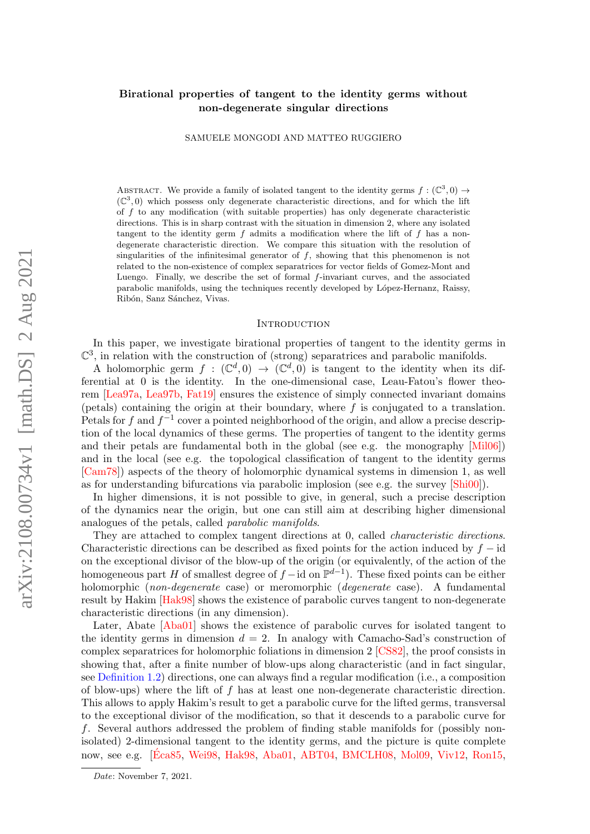# Birational properties of tangent to the identity germs without non-degenerate singular directions

SAMUELE MONGODI AND MATTEO RUGGIERO

ABSTRACT. We provide a family of isolated tangent to the identity germs  $f : (\mathbb{C}^3,0) \to$  $(\mathbb{C}^3,0)$  which possess only degenerate characteristic directions, and for which the lift of  $f$  to any modification (with suitable properties) has only degenerate characteristic directions. This is in sharp contrast with the situation in dimension 2, where any isolated tangent to the identity germ  $f$  admits a modification where the lift of  $f$  has a nondegenerate characteristic direction. We compare this situation with the resolution of singularities of the infinitesimal generator of  $f$ , showing that this phenomenon is not related to the non-existence of complex separatrices for vector fields of Gomez-Mont and Luengo. Finally, we describe the set of formal f-invariant curves, and the associated parabolic manifolds, using the techniques recently developed by López-Hernanz, Raissy, Ribón, Sanz Sánchez, Vivas.

#### **INTRODUCTION**

In this paper, we investigate birational properties of tangent to the identity germs in  $\mathbb{C}^3$ , in relation with the construction of (strong) separatrices and parabolic manifolds.

A holomorphic germ  $f : (\mathbb{C}^d, 0) \to (\mathbb{C}^d, 0)$  is tangent to the identity when its differential at 0 is the identity. In the one-dimensional case, Leau-Fatou's flower theorem [\[Lea97a,](#page-41-0) [Lea97b,](#page-41-1) [Fat19\]](#page-40-0) ensures the existence of simply connected invariant domains (petals) containing the origin at their boundary, where  $f$  is conjugated to a translation. Petals for f and  $f^{-1}$  cover a pointed neighborhood of the origin, and allow a precise description of the local dynamics of these germs. The properties of tangent to the identity germs and their petals are fundamental both in the global (see e.g. the monography [\[Mil06\]](#page-41-2)) and in the local (see e.g. the topological classification of tangent to the identity germs [\[Cam78\]](#page-40-1)) aspects of the theory of holomorphic dynamical systems in dimension 1, as well as for understanding bifurcations via parabolic implosion (see e.g. the survey [\[Shi00\]](#page-41-3)).

In higher dimensions, it is not possible to give, in general, such a precise description of the dynamics near the origin, but one can still aim at describing higher dimensional analogues of the petals, called parabolic manifolds.

They are attached to complex tangent directions at 0, called *characteristic directions*. Characteristic directions can be described as fixed points for the action induced by  $f - id$ on the exceptional divisor of the blow-up of the origin (or equivalently, of the action of the homogeneous part H of smallest degree of  $f - id$  on  $\mathbb{P}^{d-1}$ ). These fixed points can be either holomorphic (non-degenerate case) or meromorphic (degenerate case). A fundamental result by Hakim [\[Hak98\]](#page-41-4) shows the existence of parabolic curves tangent to non-degenerate characteristic directions (in any dimension).

Later, Abate [\[Aba01\]](#page-40-2) shows the existence of parabolic curves for isolated tangent to the identity germs in dimension  $d = 2$ . In analogy with Camacho-Sad's construction of complex separatrices for holomorphic foliations in dimension 2 [\[CS82\]](#page-40-3), the proof consists in showing that, after a finite number of blow-ups along characteristic (and in fact singular, see [Definition 1.2\)](#page-4-0) directions, one can always find a regular modification (i.e., a composition of blow-ups) where the lift of  $f$  has at least one non-degenerate characteristic direction. This allows to apply Hakim's result to get a parabolic curve for the lifted germs, transversal to the exceptional divisor of the modification, so that it descends to a parabolic curve for f. Several authors addressed the problem of finding stable manifolds for (possibly nonisolated) 2-dimensional tangent to the identity germs, and the picture is quite complete now, see e.g. [\[Eca85](#page-40-4), [Wei98,](#page-41-5) [Hak98,](#page-41-4) [Aba01,](#page-40-2) [ABT04,](#page-40-5) [BMCLH08,](#page-40-6) [Mol09,](#page-41-6) [Viv12,](#page-41-7) [Ron15,](#page-41-8)

Date: November 7, 2021.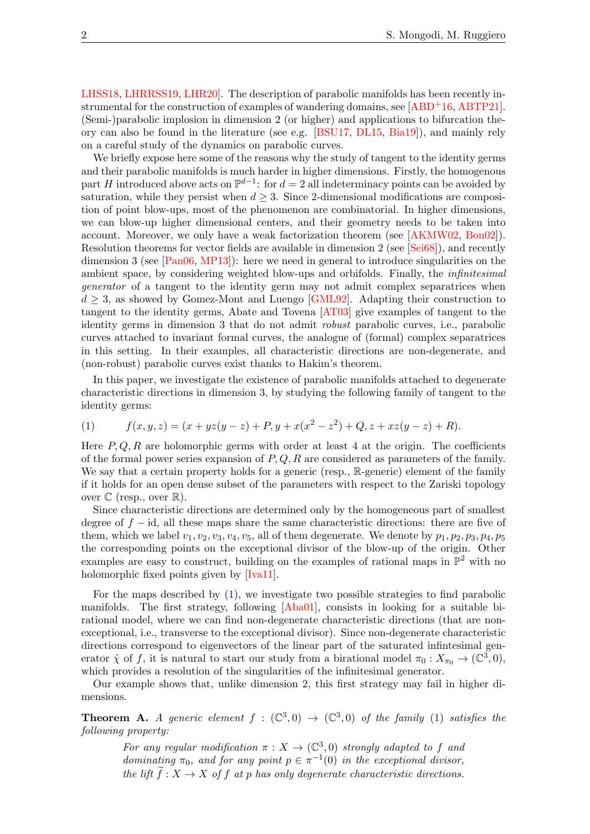[LHSS18,](#page-41-9) [LHRRSS19,](#page-41-10) [LHR20\]](#page-41-11). The description of parabolic manifolds has been recently in-strumental for the construction of examples of wandering domains, see [\[ABD](#page-40-7)+16, [ABTP21\]](#page-40-8). (Semi-)parabolic implosion in dimension 2 (or higher) and applications to bifurcation theory can also be found in the literature (see e.g. [\[BSU17,](#page-40-9) [DL15,](#page-40-10) [Bia19\]](#page-40-11)), and mainly rely on a careful study of the dynamics on parabolic curves.

We briefly expose here some of the reasons why the study of tangent to the identity germs and their parabolic manifolds is much harder in higher dimensions. Firstly, the homogenous part H introduced above acts on  $\mathbb{P}^{d-1}$ : for  $d=2$  all indeterminacy points can be avoided by saturation, while they persist when  $d \geq 3$ . Since 2-dimensional modifications are composition of point blow-ups, most of the phenomenon are combinatorial. In higher dimensions, we can blow-up higher dimensional centers, and their geometry needs to be taken into account. Moreover, we only have a weak factorization theorem (see [\[AKMW02,](#page-40-12) [Bon02\]](#page-40-13)). Resolution theorems for vector fields are available in dimension 2 (see [\[Sei68\]](#page-41-12)), and recently dimension 3 (see [\[Pan06,](#page-41-13) [MP13\]](#page-41-14)): here we need in general to introduce singularities on the ambient space, by considering weighted blow-ups and orbifolds. Finally, the infinitesimal generator of a tangent to the identity germ may not admit complex separatrices when  $d \geq 3$ , as showed by Gomez-Mont and Luengo [\[GML92\]](#page-40-14). Adapting their construction to tangent to the identity germs, Abate and Tovena [\[AT03\]](#page-40-15) give examples of tangent to the identity germs in dimension 3 that do not admit robust parabolic curves, i.e., parabolic curves attached to invariant formal curves, the analogue of (formal) complex separatrices in this setting. In their examples, all characteristic directions are non-degenerate, and (non-robust) parabolic curves exist thanks to Hakim's theorem.

In this paper, we investigate the existence of parabolic manifolds attached to degenerate characteristic directions in dimension 3, by studying the following family of tangent to the identity germs:

<span id="page-1-0"></span>(1) 
$$
f(x, y, z) = (x + yz(y - z) + P, y + x(x2 – z2) + Q, z + xz(y - z) + R).
$$

Here  $P, Q, R$  are holomorphic germs with order at least 4 at the origin. The coefficients of the formal power series expansion of  $P, Q, R$  are considered as parameters of the family. We say that a certain property holds for a generic (resp., R-generic) element of the family if it holds for an open dense subset of the parameters with respect to the Zariski topology over  $\mathbb C$  (resp., over  $\mathbb R$ ).

Since characteristic directions are determined only by the homogeneous part of smallest degree of  $f - id$ , all these maps share the same characteristic directions: there are five of them, which we label  $v_1, v_2, v_3, v_4, v_5$ , all of them degenerate. We denote by  $p_1, p_2, p_3, p_4, p_5$ the corresponding points on the exceptional divisor of the blow-up of the origin. Other examples are easy to construct, building on the examples of rational maps in  $\mathbb{P}^2$  with no holomorphic fixed points given by [\[Iva11\]](#page-41-15).

For the maps described by  $(1)$ , we investigate two possible strategies to find parabolic manifolds. The first strategy, following [\[Aba01\]](#page-40-2), consists in looking for a suitable birational model, where we can find non-degenerate characteristic directions (that are nonexceptional, i.e., transverse to the exceptional divisor). Since non-degenerate characteristic directions correspond to eigenvectors of the linear part of the saturated infintesimal generator  $\hat{\chi}$  of f, it is natural to start our study from a birational model  $\pi_0: X_{\pi_0} \to (\mathbb{C}^3, 0),$ which provides a resolution of the singularities of the infinitesimal generator.

Our example shows that, unlike dimension 2, this first strategy may fail in higher dimensions.

<span id="page-1-1"></span>**Theorem A.** A generic element  $f : (\mathbb{C}^3,0) \to (\mathbb{C}^3,0)$  of the family [\(1\)](#page-1-0) satisfies the following property:

For any regular modification  $\pi : X \to (\mathbb{C}^3,0)$  strongly adapted to f and dominating  $\pi_0$ , and for any point  $p \in \pi^{-1}(0)$  in the exceptional divisor, the lift  $\tilde{f}: X \to X$  of f at p has only degenerate characteristic directions.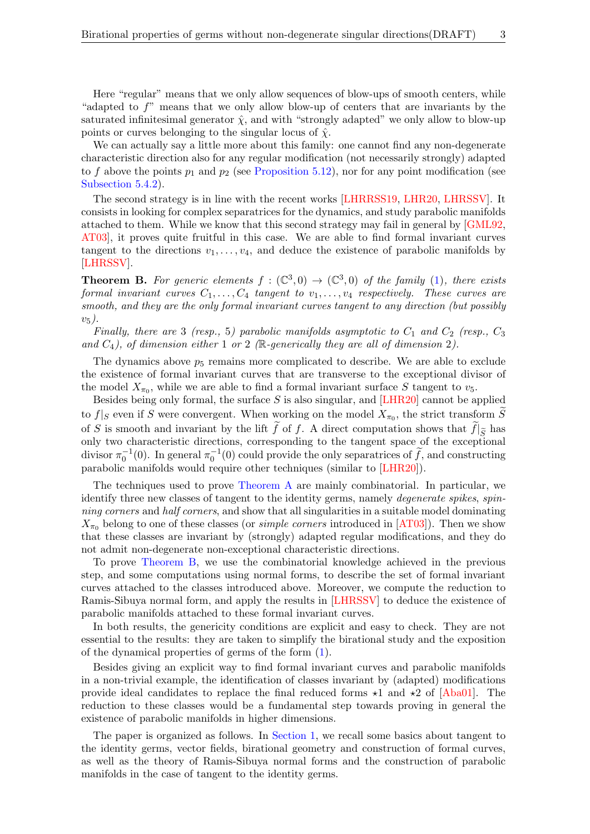Here "regular" means that we only allow sequences of blow-ups of smooth centers, while "adapted to  $f$ " means that we only allow blow-up of centers that are invariants by the saturated infinitesimal generator  $\hat{\chi}$ , and with "strongly adapted" we only allow to blow-up points or curves belonging to the singular locus of  $\hat{\chi}$ .

We can actually say a little more about this family: one cannot find any non-degenerate characteristic direction also for any regular modification (not necessarily strongly) adapted to f above the points  $p_1$  and  $p_2$  (see [Proposition 5.12\)](#page-39-0), nor for any point modification (see [Subsection 5.4.2\)](#page-39-1).

The second strategy is in line with the recent works [\[LHRRSS19,](#page-41-10) [LHR20,](#page-41-11) [LHRSSV\]](#page-41-16). It consists in looking for complex separatrices for the dynamics, and study parabolic manifolds attached to them. While we know that this second strategy may fail in general by [\[GML92,](#page-40-14) [AT03\]](#page-40-15), it proves quite fruitful in this case. We are able to find formal invariant curves tangent to the directions  $v_1, \ldots, v_4$ , and deduce the existence of parabolic manifolds by [\[LHRSSV\]](#page-41-16).

<span id="page-2-0"></span>**Theorem B.** For generic elements  $f : (\mathbb{C}^3,0) \to (\mathbb{C}^3,0)$  of the family [\(1\)](#page-1-0), there exists formal invariant curves  $C_1, \ldots, C_4$  tangent to  $v_1, \ldots, v_4$  respectively. These curves are smooth, and they are the only formal invariant curves tangent to any direction (but possibly  $v_5$ ).

Finally, there are 3 (resp., 5) parabolic manifolds asymptotic to  $C_1$  and  $C_2$  (resp.,  $C_3$ ) and  $C_4$ ), of dimension either 1 or 2 ( $\mathbb R$ -generically they are all of dimension 2).

The dynamics above  $p_5$  remains more complicated to describe. We are able to exclude the existence of formal invariant curves that are transverse to the exceptional divisor of the model  $X_{\pi_0}$ , while we are able to find a formal invariant surface S tangent to  $v_5$ .

Besides being only formal, the surface  $S$  is also singular, and [\[LHR20\]](#page-41-11) cannot be applied to  $f|_S$  even if S were convergent. When working on the model  $X_{\pi_0}$ , the strict transform S of S is smooth and invariant by the lift f of f. A direct computation shows that  $f|_{\widetilde{S}}$  has only two characteristic directions, corresponding to the tangent space of the exceptional divisor  $\pi_0^{-1}(0)$ . In general  $\pi_0^{-1}(0)$  could provide the only separatrices of  $\tilde{f}$ , and constructing parabolic manifolds would require other techniques (similar to [\[LHR20\]](#page-41-11)).

The techniques used to prove [Theorem A](#page-1-1) are mainly combinatorial. In particular, we identify three new classes of tangent to the identity germs, namely *degenerate spikes, spin*ning corners and half corners, and show that all singularities in a suitable model dominating  $X_{\pi_0}$  belong to one of these classes (or *simple corners* introduced in [\[AT03\]](#page-40-15)). Then we show that these classes are invariant by (strongly) adapted regular modifications, and they do not admit non-degenerate non-exceptional characteristic directions.

To prove [Theorem B,](#page-2-0) we use the combinatorial knowledge achieved in the previous step, and some computations using normal forms, to describe the set of formal invariant curves attached to the classes introduced above. Moreover, we compute the reduction to Ramis-Sibuya normal form, and apply the results in [\[LHRSSV\]](#page-41-16) to deduce the existence of parabolic manifolds attached to these formal invariant curves.

In both results, the genericity conditions are explicit and easy to check. They are not essential to the results: they are taken to simplify the birational study and the exposition of the dynamical properties of germs of the form [\(1\)](#page-1-0).

Besides giving an explicit way to find formal invariant curves and parabolic manifolds in a non-trivial example, the identification of classes invariant by (adapted) modifications provide ideal candidates to replace the final reduced forms  $\star$ 1 and  $\star$ 2 of [\[Aba01\]](#page-40-2). The reduction to these classes would be a fundamental step towards proving in general the existence of parabolic manifolds in higher dimensions.

The paper is organized as follows. In [Section 1,](#page-3-0) we recall some basics about tangent to the identity germs, vector fields, birational geometry and construction of formal curves, as well as the theory of Ramis-Sibuya normal forms and the construction of parabolic manifolds in the case of tangent to the identity germs.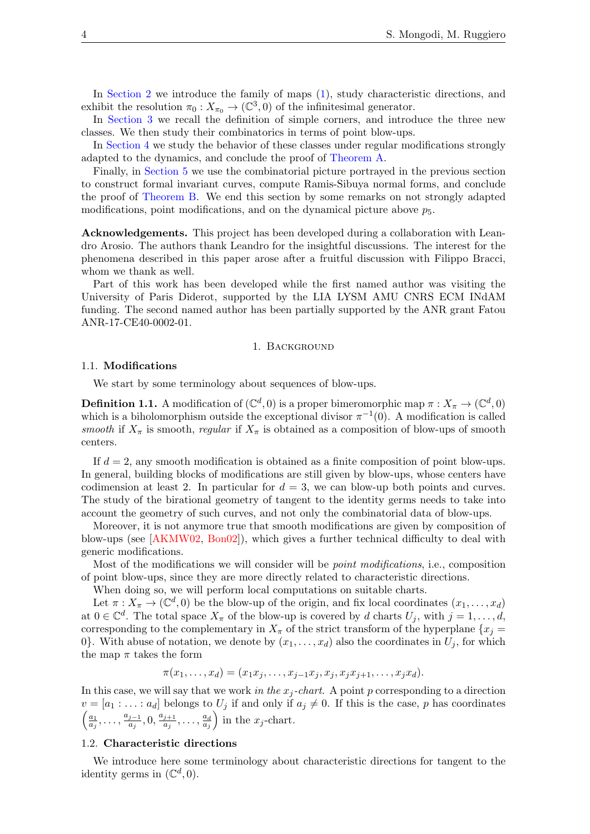In [Section 2](#page-11-0) we introduce the family of maps [\(1\)](#page-1-0), study characteristic directions, and exhibit the resolution  $\pi_0: X_{\pi_0} \to (\mathbb{C}^3, 0)$  of the infinitesimal generator.

In [Section 3](#page-18-0) we recall the definition of simple corners, and introduce the three new classes. We then study their combinatorics in terms of point blow-ups.

In [Section 4](#page-29-0) we study the behavior of these classes under regular modifications strongly adapted to the dynamics, and conclude the proof of [Theorem A.](#page-1-1)

Finally, in [Section 5](#page-31-0) we use the combinatorial picture portrayed in the previous section to construct formal invariant curves, compute Ramis-Sibuya normal forms, and conclude the proof of [Theorem B.](#page-2-0) We end this section by some remarks on not strongly adapted modifications, point modifications, and on the dynamical picture above  $p_5$ .

Acknowledgements. This project has been developed during a collaboration with Leandro Arosio. The authors thank Leandro for the insightful discussions. The interest for the phenomena described in this paper arose after a fruitful discussion with Filippo Bracci, whom we thank as well.

Part of this work has been developed while the first named author was visiting the University of Paris Diderot, supported by the LIA LYSM AMU CNRS ECM INdAM funding. The second named author has been partially supported by the ANR grant Fatou ANR-17-CE40-0002-01.

#### 1. Background

### <span id="page-3-0"></span>1.1. Modifications

We start by some terminology about sequences of blow-ups.

**Definition 1.1.** A modification of  $(\mathbb{C}^d, 0)$  is a proper bimeromorphic map  $\pi: X_{\pi} \to (\mathbb{C}^d, 0)$ which is a biholomorphism outside the exceptional divisor  $\pi^{-1}(0)$ . A modification is called smooth if  $X_\pi$  is smooth, regular if  $X_\pi$  is obtained as a composition of blow-ups of smooth centers.

If  $d = 2$ , any smooth modification is obtained as a finite composition of point blow-ups. In general, building blocks of modifications are still given by blow-ups, whose centers have codimension at least 2. In particular for  $d = 3$ , we can blow-up both points and curves. The study of the birational geometry of tangent to the identity germs needs to take into account the geometry of such curves, and not only the combinatorial data of blow-ups.

Moreover, it is not anymore true that smooth modifications are given by composition of blow-ups (see [\[AKMW02,](#page-40-12) [Bon02\]](#page-40-13)), which gives a further technical difficulty to deal with generic modifications.

Most of the modifications we will consider will be point modifications, i.e., composition of point blow-ups, since they are more directly related to characteristic directions.

When doing so, we will perform local computations on suitable charts.

Let  $\pi: X_{\pi} \to (\mathbb{C}^d, 0)$  be the blow-up of the origin, and fix local coordinates  $(x_1, \ldots, x_d)$ at  $0 \in \mathbb{C}^d$ . The total space  $X_\pi$  of the blow-up is covered by d charts  $U_j$ , with  $j = 1, \ldots, d$ , corresponding to the complementary in  $X_{\pi}$  of the strict transform of the hyperplane  $\{x_j =$ 0. With abuse of notation, we denote by  $(x_1, \ldots, x_d)$  also the coordinates in  $U_j$ , for which the map  $\pi$  takes the form

$$
\pi(x_1, \ldots, x_d) = (x_1 x_j, \ldots, x_{j-1} x_j, x_j, x_j x_{j+1}, \ldots, x_j x_d).
$$

In this case, we will say that we work in the  $x_j$ -chart. A point p corresponding to a direction  $v = [a_1 : \ldots : a_d]$  belongs to  $U_j$  if and only if  $a_j \neq 0$ . If this is the case, p has coordinates  $\frac{a_1}{a_2}$  $\frac{a_1}{a_j}, \ldots, \frac{a_{j-1}}{a_j}$  $\frac{j-1}{a_j}, 0, \frac{a_{j+1}}{a_j}$  $\frac{j+1}{a_j}, \ldots, \frac{a_d}{a_j}$  $\overline{a_j}$ ) in the  $x_j$ -chart.

### 1.2. Characteristic directions

We introduce here some terminology about characteristic directions for tangent to the identity germs in  $(\mathbb{C}^d, 0)$ .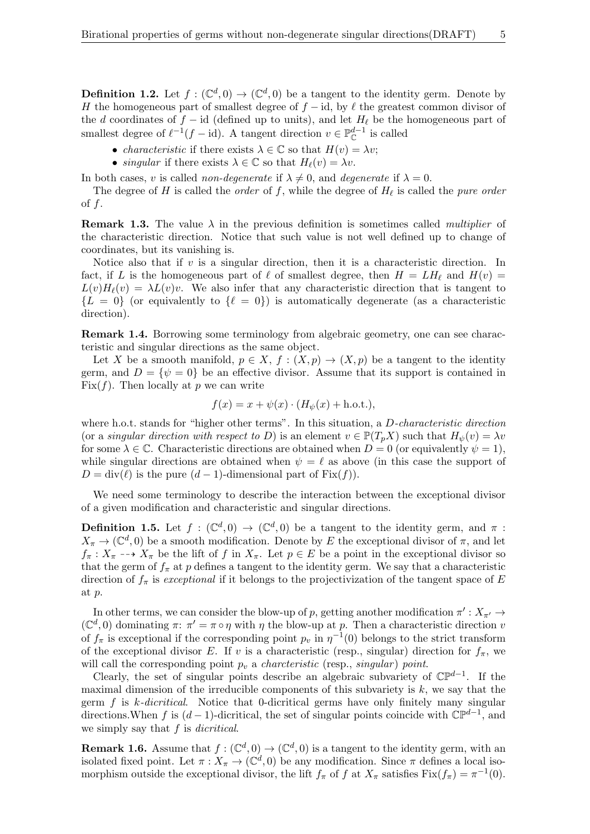<span id="page-4-0"></span>**Definition 1.2.** Let  $f: (\mathbb{C}^d, 0) \to (\mathbb{C}^d, 0)$  be a tangent to the identity germ. Denote by H the homogeneous part of smallest degree of  $f - id$ , by  $\ell$  the greatest common divisor of the d coordinates of  $f - id$  (defined up to units), and let  $H_\ell$  be the homogeneous part of smallest degree of  $\ell^{-1}(f - id)$ . A tangent direction  $v \in \mathbb{P}_{\mathbb{C}}^{d-1}$  is called

- *characteristic* if there exists  $\lambda \in \mathbb{C}$  so that  $H(v) = \lambda v$ ;
- singular if there exists  $\lambda \in \mathbb{C}$  so that  $H_{\ell}(v) = \lambda v$ .

In both cases, v is called non-degenerate if  $\lambda \neq 0$ , and degenerate if  $\lambda = 0$ .

The degree of H is called the *order* of f, while the degree of  $H_{\ell}$  is called the *pure order* of  $f$ .

**Remark 1.3.** The value  $\lambda$  in the previous definition is sometimes called *multiplier* of the characteristic direction. Notice that such value is not well defined up to change of coordinates, but its vanishing is.

Notice also that if  $v$  is a singular direction, then it is a characteristic direction. In fact, if L is the homogeneous part of  $\ell$  of smallest degree, then  $H = LH_{\ell}$  and  $H(v) =$  $L(v)H_{\ell}(v) = \lambda L(v)v$ . We also infer that any characteristic direction that is tangent to  ${L = 0}$  (or equivalently to  $\{\ell = 0\}$ ) is automatically degenerate (as a characteristic direction).

Remark 1.4. Borrowing some terminology from algebraic geometry, one can see characteristic and singular directions as the same object.

Let X be a smooth manifold,  $p \in X$ ,  $f : (X, p) \to (X, p)$  be a tangent to the identity germ, and  $D = \{\psi = 0\}$  be an effective divisor. Assume that its support is contained in Fix( $f$ ). Then locally at p we can write

$$
f(x) = x + \psi(x) \cdot (H_{\psi}(x) + \text{h.o.t.}),
$$

where h.o.t. stands for "higher other terms". In this situation, a D-characteristic direction (or a singular direction with respect to D) is an element  $v \in \mathbb{P}(T_pX)$  such that  $H_{\psi}(v) = \lambda v$ for some  $\lambda \in \mathbb{C}$ . Characteristic directions are obtained when  $D = 0$  (or equivalently  $\psi = 1$ ), while singular directions are obtained when  $\psi = \ell$  as above (in this case the support of  $D = \text{div}(\ell)$  is the pure  $(d - 1)$ -dimensional part of Fix $(f)$ ).

We need some terminology to describe the interaction between the exceptional divisor of a given modification and characteristic and singular directions.

**Definition 1.5.** Let  $f : (\mathbb{C}^d, 0) \to (\mathbb{C}^d, 0)$  be a tangent to the identity germ, and  $\pi$ :  $X_{\pi} \to (\mathbb{C}^d, 0)$  be a smooth modification. Denote by E the exceptional divisor of  $\pi$ , and let  $f_{\pi}: X_{\pi} \dashrightarrow X_{\pi}$  be the lift of f in  $X_{\pi}$ . Let  $p \in E$  be a point in the exceptional divisor so that the germ of  $f_{\pi}$  at p defines a tangent to the identity germ. We say that a characteristic direction of  $f_{\pi}$  is exceptional if it belongs to the projectivization of the tangent space of E at p.

In other terms, we can consider the blow-up of p, getting another modification  $\pi': X_{\pi'} \to$  $(\mathbb{C}^d, 0)$  dominating  $\pi: \pi' = \pi \circ \eta$  with  $\eta$  the blow-up at p. Then a characteristic direction v of  $f_{\pi}$  is exceptional if the corresponding point  $p_v$  in  $\eta^{-1}(0)$  belongs to the strict transform of the exceptional divisor E. If v is a characteristic (resp., singular) direction for  $f_{\pi}$ , we will call the corresponding point  $p_v$  a *charcteristic* (resp., *singular*) point.

Clearly, the set of singular points describe an algebraic subvariety of  $\mathbb{CP}^{d-1}$ . If the maximal dimension of the irreducible components of this subvariety is  $k$ , we say that the germ  $f$  is k-dicritical. Notice that 0-dicritical germs have only finitely many singular directions. When f is  $(d-1)$ -dicritical, the set of singular points coincide with  $\mathbb{CP}^{d-1}$ , and we simply say that f is *dicritical*.

**Remark 1.6.** Assume that  $f: (\mathbb{C}^d, 0) \to (\mathbb{C}^d, 0)$  is a tangent to the identity germ, with an isolated fixed point. Let  $\pi: X_{\pi} \to (\mathbb{C}^d, 0)$  be any modification. Since  $\pi$  defines a local isomorphism outside the exceptional divisor, the lift  $f_{\pi}$  of f at  $X_{\pi}$  satisfies  $Fix(f_{\pi}) = \pi^{-1}(0)$ .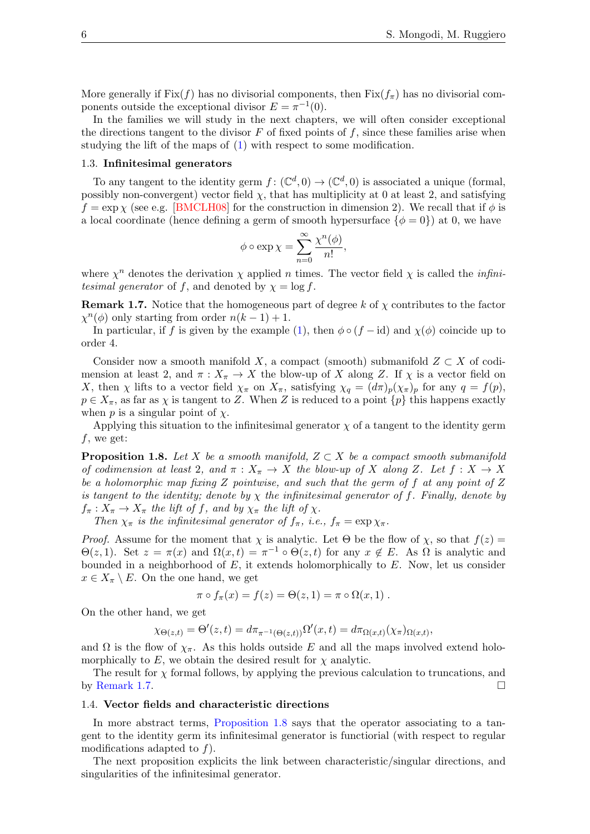More generally if Fix $(f)$  has no divisorial components, then Fix $(f_\pi)$  has no divisorial components outside the exceptional divisor  $E = \pi^{-1}(0)$ .

In the families we will study in the next chapters, we will often consider exceptional the directions tangent to the divisor  $F$  of fixed points of  $f$ , since these families arise when studying the lift of the maps of [\(1\)](#page-1-0) with respect to some modification.

### 1.3. Infinitesimal generators

To any tangent to the identity germ  $f: (\mathbb{C}^d, 0) \to (\mathbb{C}^d, 0)$  is associated a unique (formal, possibly non-convergent) vector field  $\chi$ , that has multiplicity at 0 at least 2, and satisfying  $f = \exp \chi$  (see e.g. [\[BMCLH08\]](#page-40-6) for the construction in dimension 2). We recall that if  $\phi$  is a local coordinate (hence defining a germ of smooth hypersurface  $\{\phi = 0\}$ ) at 0, we have

$$
\phi \circ \exp \chi = \sum_{n=0}^{\infty} \frac{\chi^n(\phi)}{n!},
$$

where  $\chi^n$  denotes the derivation  $\chi$  applied *n* times. The vector field  $\chi$  is called the *infini*tesimal generator of f, and denoted by  $\chi = \log f$ .

<span id="page-5-0"></span>**Remark 1.7.** Notice that the homogeneous part of degree k of  $\chi$  contributes to the factor  $\chi^{n}(\phi)$  only starting from order  $n(k-1)+1$ .

In particular, if f is given by the example [\(1\)](#page-1-0), then  $\phi \circ (f - id)$  and  $\chi(\phi)$  coincide up to order 4.

Consider now a smooth manifold X, a compact (smooth) submanifold  $Z \subset X$  of codimension at least 2, and  $\pi: X_{\pi} \to X$  the blow-up of X along Z. If  $\chi$  is a vector field on X, then  $\chi$  lifts to a vector field  $\chi_{\pi}$  on  $X_{\pi}$ , satisfying  $\chi_q = (d\pi)_p(\chi_{\pi})_p$  for any  $q = f(p)$ ,  $p \in X_{\pi}$ , as far as  $\chi$  is tangent to Z. When Z is reduced to a point  $\{p\}$  this happens exactly when  $p$  is a singular point of  $\chi$ .

Applying this situation to the infinitesimal generator  $\chi$  of a tangent to the identity germ  $f$ , we get:

<span id="page-5-1"></span>**Proposition 1.8.** Let X be a smooth manifold,  $Z \subset X$  be a compact smooth submanifold of codimension at least 2, and  $\pi : X_{\pi} \to X$  the blow-up of X along Z. Let  $f : X \to X$ be a holomorphic map fixing  $Z$  pointwise, and such that the germ of  $f$  at any point of  $Z$ is tangent to the identity; denote by  $\chi$  the infinitesimal generator of f. Finally, denote by  $f_{\pi}: X_{\pi} \to X_{\pi}$  the lift of f, and by  $\chi_{\pi}$  the lift of  $\chi$ .

Then  $\chi_{\pi}$  is the infinitesimal generator of  $f_{\pi}$ , i.e.,  $f_{\pi} = \exp \chi_{\pi}$ .

*Proof.* Assume for the moment that  $\chi$  is analytic. Let  $\Theta$  be the flow of  $\chi$ , so that  $f(z)$  =  $\Theta(z,1)$ . Set  $z = \pi(x)$  and  $\Omega(x,t) = \pi^{-1} \circ \Theta(z,t)$  for any  $x \notin E$ . As  $\Omega$  is analytic and bounded in a neighborhood of  $E$ , it extends holomorphically to  $E$ . Now, let us consider  $x \in X_{\pi} \setminus E$ . On the one hand, we get

$$
\pi \circ f_{\pi}(x) = f(z) = \Theta(z,1) = \pi \circ \Omega(x,1) .
$$

On the other hand, we get

$$
\chi_{\Theta(z,t)} = \Theta'(z,t) = d\pi_{\pi^{-1}(\Theta(z,t))}\Omega'(x,t) = d\pi_{\Omega(x,t)}(\chi_{\pi})_{\Omega(x,t)},
$$

and  $\Omega$  is the flow of  $\chi_{\pi}$ . As this holds outside E and all the maps involved extend holomorphically to  $E$ , we obtain the desired result for  $\chi$  analytic.

The result for  $\chi$  formal follows, by applying the previous calculation to truncations, and by [Remark 1.7.](#page-5-0)

#### 1.4. Vector fields and characteristic directions

In more abstract terms, [Proposition 1.8](#page-5-1) says that the operator associating to a tangent to the identity germ its infinitesimal generator is functiorial (with respect to regular modifications adapted to  $f$ ).

The next proposition explicits the link between characteristic/singular directions, and singularities of the infinitesimal generator.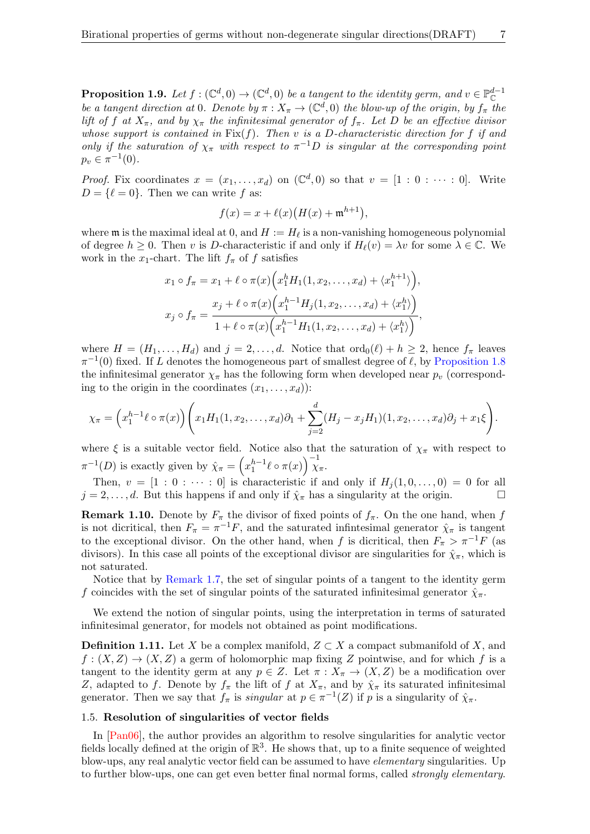<span id="page-6-0"></span>**Proposition 1.9.** Let  $f: (\mathbb{C}^d, 0) \to (\mathbb{C}^d, 0)$  be a tangent to the identity germ, and  $v \in \mathbb{P}_\mathbb{C}^{d-1}$ be a tangent direction at 0. Denote by  $\pi: X_{\pi} \to (\mathbb{C}^d, 0)$  the blow-up of the origin, by  $f_{\pi}$  the lift of f at  $X_{\pi}$ , and by  $\chi_{\pi}$  the infinitesimal generator of  $f_{\pi}$ . Let D be an effective divisor whose support is contained in  $Fix(f)$ . Then v is a D-characteristic direction for f if and only if the saturation of  $\chi_{\pi}$  with respect to  $\pi^{-1}D$  is singular at the corresponding point  $p_v \in \pi^{-1}(0)$ .

*Proof.* Fix coordinates  $x = (x_1, \ldots, x_d)$  on  $(\mathbb{C}^d, 0)$  so that  $v = [1 : 0 : \cdots : 0]$ . Write  $D = \{ \ell = 0 \}.$  Then we can write f as:

$$
f(x) = x + \ell(x)\big(H(x) + \mathfrak{m}^{h+1}\big),
$$

where  $\mathfrak m$  is the maximal ideal at 0, and  $H := H_\ell$  is a non-vanishing homogeneous polynomial of degree  $h \geq 0$ . Then v is D-characteristic if and only if  $H_{\ell}(v) = \lambda v$  for some  $\lambda \in \mathbb{C}$ . We work in the x<sub>1</sub>-chart. The lift  $f_{\pi}$  of f satisfies

$$
x_1 \circ f_{\pi} = x_1 + \ell \circ \pi(x) \Big( x_1^h H_1(1, x_2, \dots, x_d) + \langle x_1^{h+1} \rangle \Big),
$$
  

$$
x_j \circ f_{\pi} = \frac{x_j + \ell \circ \pi(x) \Big( x_1^{h-1} H_j(1, x_2, \dots, x_d) + \langle x_1^h \rangle \Big)}{1 + \ell \circ \pi(x) \Big( x_1^{h-1} H_1(1, x_2, \dots, x_d) + \langle x_1^h \rangle \Big)},
$$

where  $H = (H_1, \ldots, H_d)$  and  $j = 2, \ldots, d$ . Notice that  $\text{ord}_0(\ell) + h \geq 2$ , hence  $f_\pi$  leaves  $\pi^{-1}(0)$  fixed. If L denotes the homogeneous part of smallest degree of  $\ell$ , by [Proposition 1.8](#page-5-1) the infinitesimal generator  $\chi_{\pi}$  has the following form when developed near  $p_v$  (corresponding to the origin in the coordinates  $(x_1, \ldots, x_d)$ :

$$
\chi_{\pi} = \left(x_1^{h-1} \ell \circ \pi(x)\right) \left(x_1 H_1(1, x_2, \dots, x_d) \partial_1 + \sum_{j=2}^d (H_j - x_j H_1)(1, x_2, \dots, x_d) \partial_j + x_1 \xi\right).
$$

where  $\xi$  is a suitable vector field. Notice also that the saturation of  $\chi_{\pi}$  with respect to  $\pi^{-1}(D)$  is exactly given by  $\hat{\chi}_{\pi} = \left(x_1^{h-1}\ell \circ \pi(x)\right)^{-1} \chi_{\pi}$ .

Then,  $v = [1 : 0 : \cdots : 0]$  is characteristic if and only if  $H_i(1, 0, \ldots, 0) = 0$  for all  $j = 2, \ldots, d$ . But this happens if and only if  $\hat{\chi}_{\pi}$  has a singularity at the origin.

**Remark 1.10.** Denote by  $F_{\pi}$  the divisor of fixed points of  $f_{\pi}$ . On the one hand, when f is not dicritical, then  $F_{\pi} = \pi^{-1}F$ , and the saturated infinitesimal generator  $\hat{\chi}_{\pi}$  is tangent to the exceptional divisor. On the other hand, when f is dicritical, then  $F_{\pi} > \pi^{-1}F$  (as divisors). In this case all points of the exceptional divisor are singularities for  $\hat{\chi}_{\pi}$ , which is not saturated.

Notice that by [Remark 1.7,](#page-5-0) the set of singular points of a tangent to the identity germ f coincides with the set of singular points of the saturated infinitesimal generator  $\hat{\chi}_{\pi}$ .

We extend the notion of singular points, using the interpretation in terms of saturated infinitesimal generator, for models not obtained as point modifications.

**Definition 1.11.** Let X be a complex manifold,  $Z \subset X$  a compact submanifold of X, and  $f: (X, Z) \to (X, Z)$  a germ of holomorphic map fixing Z pointwise, and for which f is a tangent to the identity germ at any  $p \in Z$ . Let  $\pi : X_{\pi} \to (X, Z)$  be a modification over Z, adapted to f. Denote by  $f_{\pi}$  the lift of f at  $X_{\pi}$ , and by  $\hat{\chi}_{\pi}$  its saturated infinitesimal generator. Then we say that  $f_{\pi}$  is *singular* at  $p \in \pi^{-1}(Z)$  if p is a singularity of  $\hat{\chi}_{\pi}$ .

#### 1.5. Resolution of singularities of vector fields

In [\[Pan06\]](#page-41-13), the author provides an algorithm to resolve singularities for analytic vector fields locally defined at the origin of  $\mathbb{R}^3$ . He shows that, up to a finite sequence of weighted blow-ups, any real analytic vector field can be assumed to have elementary singularities. Up to further blow-ups, one can get even better final normal forms, called strongly elementary.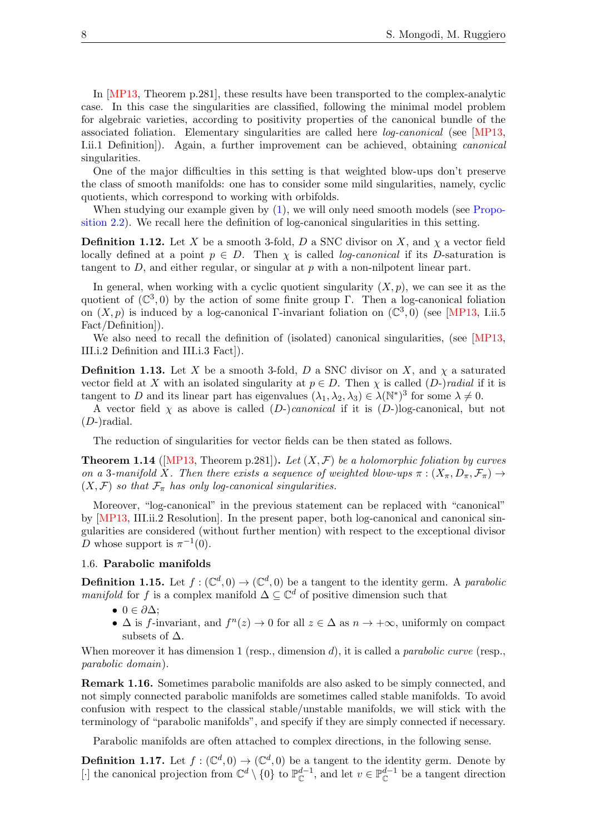In [\[MP13,](#page-41-14) Theorem p.281], these results have been transported to the complex-analytic case. In this case the singularities are classified, following the minimal model problem for algebraic varieties, according to positivity properties of the canonical bundle of the associated foliation. Elementary singularities are called here log-canonical (see [\[MP13,](#page-41-14) I.ii.1 Definition]). Again, a further improvement can be achieved, obtaining canonical singularities.

One of the major difficulties in this setting is that weighted blow-ups don't preserve the class of smooth manifolds: one has to consider some mild singularities, namely, cyclic quotients, which correspond to working with orbifolds.

When studying our example given by  $(1)$ , we will only need smooth models (see [Propo](#page-17-0)[sition 2.2\)](#page-17-0). We recall here the definition of log-canonical singularities in this setting.

**Definition 1.12.** Let X be a smooth 3-fold, D a SNC divisor on X, and  $\chi$  a vector field locally defined at a point  $p \in D$ . Then  $\chi$  is called *log-canonical* if its D-saturation is tangent to  $D$ , and either regular, or singular at  $p$  with a non-nilpotent linear part.

In general, when working with a cyclic quotient singularity  $(X, p)$ , we can see it as the quotient of  $(\mathbb{C}^3,0)$  by the action of some finite group Γ. Then a log-canonical foliation on  $(X, p)$  is induced by a log-canonical Γ-invariant foliation on  $(\mathbb{C}^3, 0)$  (see [\[MP13,](#page-41-14) I.ii.5 Fact/Definition]).

We also need to recall the definition of (isolated) canonical singularities, (see [\[MP13,](#page-41-14) III.i.2 Definition and III.i.3 Fact]).

**Definition 1.13.** Let X be a smooth 3-fold, D a SNC divisor on X, and  $\chi$  a saturated vector field at X with an isolated singularity at  $p \in D$ . Then  $\chi$  is called  $(D-)radial$  if it is tangent to D and its linear part has eigenvalues  $(\lambda_1, \lambda_2, \lambda_3) \in \lambda(\mathbb{N}^*)^3$  for some  $\lambda \neq 0$ .

A vector field  $\chi$  as above is called  $(D-)$ *canonical* if it is  $(D-)$ log-canonical, but not  $(D-)$ radial.

The reduction of singularities for vector fields can be then stated as follows.

<span id="page-7-0"></span>**Theorem 1.14** ([\[MP13,](#page-41-14) Theorem p.281]). Let  $(X, \mathcal{F})$  be a holomorphic foliation by curves on a 3-manifold X. Then there exists a sequence of weighted blow-ups  $\pi : (X_{\pi}, D_{\pi}, \mathcal{F}_{\pi}) \to$  $(X, \mathcal{F})$  so that  $\mathcal{F}_{\pi}$  has only log-canonical singularities.

Moreover, "log-canonical" in the previous statement can be replaced with "canonical" by [\[MP13,](#page-41-14) III.ii.2 Resolution]. In the present paper, both log-canonical and canonical singularities are considered (without further mention) with respect to the exceptional divisor D whose support is  $\pi^{-1}(0)$ .

## 1.6. Parabolic manifolds

**Definition 1.15.** Let  $f: (\mathbb{C}^d, 0) \to (\mathbb{C}^d, 0)$  be a tangent to the identity germ. A parabolic manifold for f is a complex manifold  $\Delta \subseteq \mathbb{C}^d$  of positive dimension such that

- 0  $\in \partial \Delta$ :
- $\Delta$  is f-invariant, and  $f^{(n)}(z) \to 0$  for all  $z \in \Delta$  as  $n \to +\infty$ , uniformly on compact subsets of  $\Delta$ .

When moreover it has dimension 1 (resp., dimension d), it is called a *parabolic curve* (resp., parabolic domain).

Remark 1.16. Sometimes parabolic manifolds are also asked to be simply connected, and not simply connected parabolic manifolds are sometimes called stable manifolds. To avoid confusion with respect to the classical stable/unstable manifolds, we will stick with the terminology of "parabolic manifolds", and specify if they are simply connected if necessary.

Parabolic manifolds are often attached to complex directions, in the following sense.

**Definition 1.17.** Let  $f: (\mathbb{C}^d, 0) \to (\mathbb{C}^d, 0)$  be a tangent to the identity germ. Denote by [⋅] the canonical projection from  $\mathbb{C}^d \setminus \{0\}$  to  $\mathbb{P}_{\mathbb{C}}^{d-1}$ , and let  $v \in \mathbb{P}_{\mathbb{C}}^{d-1}$  be a tangent direction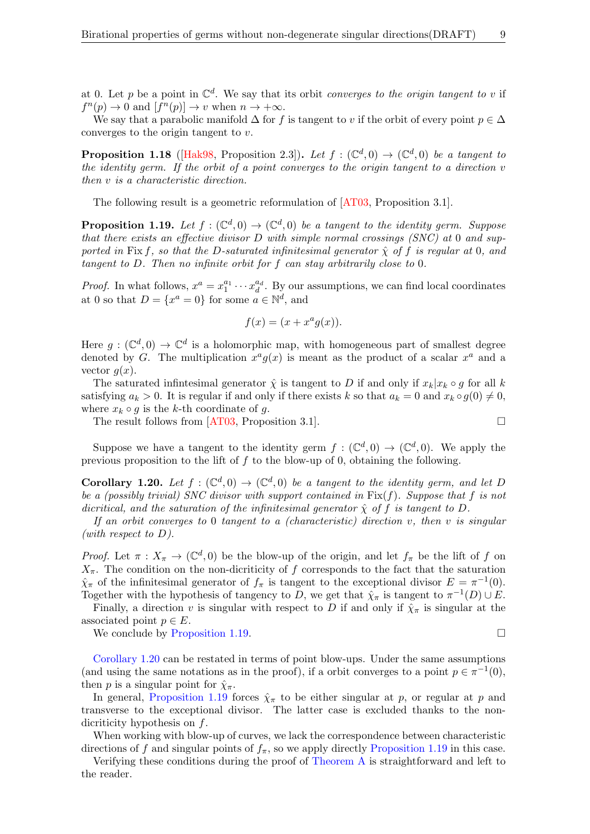at 0. Let p be a point in  $\mathbb{C}^d$ . We say that its orbit *converges to the origin tangent to v* if  $f^{n}(p) \to 0$  and  $[f^{n}(p)] \to v$  when  $n \to +\infty$ .

We say that a parabolic manifold  $\Delta$  for f is tangent to v if the orbit of every point  $p \in \Delta$ converges to the origin tangent to v.

**Proposition 1.18** ([\[Hak98,](#page-41-4) Proposition 2.3]). Let  $f : (\mathbb{C}^d, 0) \to (\mathbb{C}^d, 0)$  be a tangent to the identity germ. If the orbit of a point converges to the origin tangent to a direction v then v is a characteristic direction.

The following result is a geometric reformulation of [\[AT03,](#page-40-15) Proposition 3.1].

<span id="page-8-0"></span>**Proposition 1.19.** Let  $f : (\mathbb{C}^d, 0) \to (\mathbb{C}^d, 0)$  be a tangent to the identity germ. Suppose that there exists an effective divisor D with simple normal crossings (SNC) at 0 and supported in Fix f, so that the D-saturated infinitesimal generator  $\hat{\chi}$  of f is regular at 0, and tangent to D. Then no infinite orbit for f can stay arbitrarily close to 0.

*Proof.* In what follows,  $x^a = x_1^{a_1} \cdots x_d^{a_d}$ . By our assumptions, we can find local coordinates at 0 so that  $D = \{x^a = 0\}$  for some  $a \in \mathbb{N}^d$ , and

$$
f(x) = (x + x^a g(x)).
$$

Here  $g: (\mathbb{C}^d, 0) \to \mathbb{C}^d$  is a holomorphic map, with homogeneous part of smallest degree denoted by G. The multiplication  $x^a g(x)$  is meant as the product of a scalar  $x^a$  and a vector  $q(x)$ .

The saturated infinitesimal generator  $\hat{\chi}$  is tangent to D if and only if  $x_k|x_k \circ g$  for all k satisfying  $a_k > 0$ . It is regular if and only if there exists k so that  $a_k = 0$  and  $x_k \circ g(0) \neq 0$ , where  $x_k \circ g$  is the k-th coordinate of g.

The result follows from  $[AT03,$  Proposition 3.1].

Suppose we have a tangent to the identity germ  $f: (\mathbb{C}^d,0) \to (\mathbb{C}^d,0)$ . We apply the previous proposition to the lift of  $f$  to the blow-up of 0, obtaining the following.

<span id="page-8-1"></span>**Corollary 1.20.** Let  $f : (\mathbb{C}^d, 0) \to (\mathbb{C}^d, 0)$  be a tangent to the identity germ, and let D be a (possibly trivial) SNC divisor with support contained in  $Fix(f)$ . Suppose that f is not dicritical, and the saturation of the infinitesimal generator  $\hat{\chi}$  of f is tangent to D.

If an orbit converges to 0 tangent to a (characteristic) direction v, then v is singular (with respect to  $D$ ).

*Proof.* Let  $\pi : X_{\pi} \to (\mathbb{C}^d, 0)$  be the blow-up of the origin, and let  $f_{\pi}$  be the lift of f on  $X_{\pi}$ . The condition on the non-dicriticity of f corresponds to the fact that the saturation  $\hat{\chi}_{\pi}$  of the infinitesimal generator of  $f_{\pi}$  is tangent to the exceptional divisor  $E = \pi^{-1}(0)$ . Together with the hypothesis of tangency to D, we get that  $\hat{\chi}_{\pi}$  is tangent to  $\pi^{-1}(D) \cup E$ .

Finally, a direction v is singular with respect to D if and only if  $\hat{\chi}_{\pi}$  is singular at the associated point  $p \in E$ .

We conclude by [Proposition 1.19.](#page-8-0)

[Corollary 1.20](#page-8-1) can be restated in terms of point blow-ups. Under the same assumptions (and using the same notations as in the proof), if a orbit converges to a point  $p \in \pi^{-1}(0)$ , then p is a singular point for  $\hat{\chi}_{\pi}$ .

In general, [Proposition 1.19](#page-8-0) forces  $\hat{\chi}_{\pi}$  to be either singular at p, or regular at p and transverse to the exceptional divisor. The latter case is excluded thanks to the nondicriticity hypothesis on f.

When working with blow-up of curves, we lack the correspondence between characteristic directions of f and singular points of  $f_{\pi}$ , so we apply directly [Proposition 1.19](#page-8-0) in this case.

Verifying these conditions during the proof of [Theorem A](#page-1-1) is straightforward and left to the reader.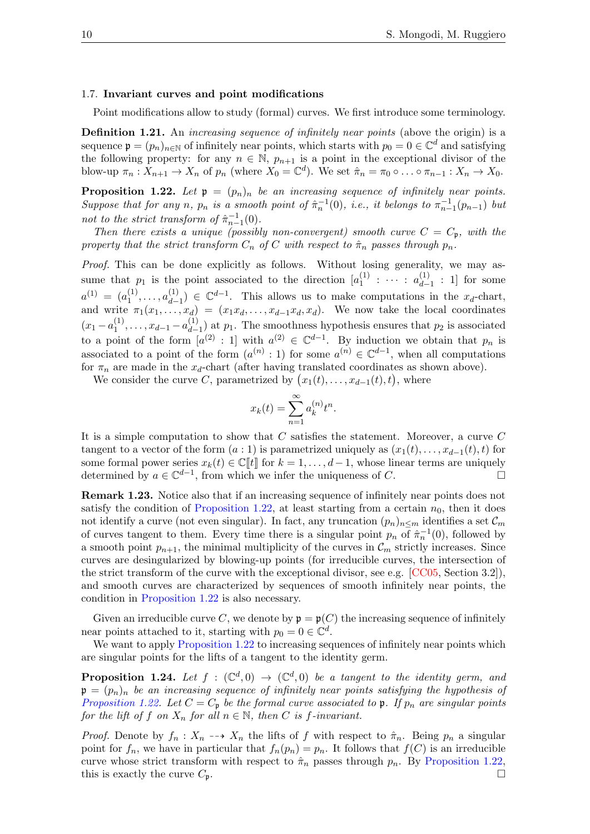#### 1.7. Invariant curves and point modifications

Point modifications allow to study (formal) curves. We first introduce some terminology.

Definition 1.21. An *increasing sequence of infinitely near points* (above the origin) is a sequence  $\mathfrak{p} = (p_n)_{n \in \mathbb{N}}$  of infinitely near points, which starts with  $p_0 = 0 \in \mathbb{C}^d$  and satisfying the following property: for any  $n \in \mathbb{N}$ ,  $p_{n+1}$  is a point in the exceptional divisor of the blow-up  $\pi_n : X_{n+1} \to X_n$  of  $p_n$  (where  $X_0 = \mathbb{C}^d$ ). We set  $\hat{\pi}_n = \pi_0 \circ \dots \circ \pi_{n-1} : X_n \to X_0$ .

<span id="page-9-0"></span>**Proposition 1.22.** Let  $\mathfrak{p} = (p_n)_n$  be an increasing sequence of infinitely near points. Suppose that for any n,  $p_n$  is a smooth point of  $\hat{\pi}_n^{-1}(0)$ , i.e., it belongs to  $\pi_{n-1}^{-1}(p_{n-1})$  but not to the strict transform of  $\hat{\pi}_{n-1}^{-1}(0)$ .

Then there exists a unique (possibly non-convergent) smooth curve  $C = C_p$ , with the property that the strict transform  $C_n$  of C with respect to  $\hat{\pi}_n$  passes through  $p_n$ .

Proof. This can be done explicitly as follows. Without losing generality, we may assume that  $p_1$  is the point associated to the direction  $[a_1^{(1)}]$  $\stackrel{(1)}{1}$  :  $\cdots$  :  $\stackrel{(1)}{a_{d-1}}$  $\begin{bmatrix} 1 \ d-1 \end{bmatrix}$ : 1] for some  $a^{(1)} = (a_1^{(1)}$  $a_{d-1}^{(1)}, \ldots, a_{d-1}^{(1)}$  $\begin{pmatrix} 1 \ d_{-1} \end{pmatrix} \in \mathbb{C}^{d-1}$ . This allows us to make computations in the  $x_d$ -chart, and write  $\pi_1(x_1, \ldots, x_d) = (x_1x_d, \ldots, x_{d-1}x_d, x_d)$ . We now take the local coordinates  $(x_1-a_1^{(1)}$  $\binom{1}{1}, \ldots, x_{d-1} - a_{d-1}^{(1)}$  $\binom{11}{d-1}$  at  $p_1$ . The smoothness hypothesis ensures that  $p_2$  is associated to a point of the form  $[a^{(2)} : 1]$  with  $a^{(2)} \in \mathbb{C}^{d-1}$ . By induction we obtain that  $p_n$  is associated to a point of the form  $(a^{(n)}: 1)$  for some  $a^{(n)} \in \mathbb{C}^{d-1}$ , when all computations for  $\pi_n$  are made in the  $x_d$ -chart (after having translated coordinates as shown above).

We consider the curve C, parametrized by  $(x_1(t), \ldots, x_{d-1}(t), t)$ , where

$$
x_k(t) = \sum_{n=1}^{\infty} a_k^{(n)} t^n.
$$

It is a simple computation to show that C satisfies the statement. Moreover, a curve C tangent to a vector of the form  $(a:1)$  is parametrized uniquely as  $(x_1(t), \ldots, x_{d-1}(t), t)$  for some formal power series  $x_k(t) \in \mathbb{C}[[t]]$  for  $k = 1, ..., d-1$ , whose linear terms are uniquely determined by  $a \in \mathbb{C}^{d-1}$ , from which we infer the uniqueness of C. □ determined by  $a \in \mathbb{C}^{d-1}$ , from which we infer the uniqueness of C. □

Remark 1.23. Notice also that if an increasing sequence of infinitely near points does not satisfy the condition of [Proposition 1.22,](#page-9-0) at least starting from a certain  $n_0$ , then it does not identify a curve (not even singular). In fact, any truncation  $(p_n)_{n \le m}$  identifies a set  $\mathcal{C}_m$ of curves tangent to them. Every time there is a singular point  $p_n$  of  $\hat{\pi}_n^{-1}(0)$ , followed by a smooth point  $p_{n+1}$ , the minimal multiplicity of the curves in  $\mathcal{C}_m$  strictly increases. Since curves are desingularized by blowing-up points (for irreducible curves, the intersection of the strict transform of the curve with the exceptional divisor, see e.g. [\[CC05,](#page-40-16) Section 3.2]), and smooth curves are characterized by sequences of smooth infinitely near points, the condition in [Proposition 1.22](#page-9-0) is also necessary.

Given an irreducible curve C, we denote by  $\mathfrak{p} = \mathfrak{p}(C)$  the increasing sequence of infinitely near points attached to it, starting with  $p_0 = 0 \in \mathbb{C}^d$ .

We want to apply [Proposition 1.22](#page-9-0) to increasing sequences of infinitely near points which are singular points for the lifts of a tangent to the identity germ.

<span id="page-9-1"></span>**Proposition 1.24.** Let  $f : (\mathbb{C}^d, 0) \to (\mathbb{C}^d, 0)$  be a tangent to the identity germ, and  $\mathfrak{p} = (p_n)_n$  be an increasing sequence of infinitely near points satisfying the hypothesis of [Proposition 1.22.](#page-9-0) Let  $C = C_p$  be the formal curve associated to p. If  $p_n$  are singular points for the lift of f on  $X_n$  for all  $n \in \mathbb{N}$ , then C is f-invariant.

*Proof.* Denote by  $f_n : X_n \dashrightarrow X_n$  the lifts of f with respect to  $\hat{\pi}_n$ . Being  $p_n$  a singular point for  $f_n$ , we have in particular that  $f_n(p_n) = p_n$ . It follows that  $f(C)$  is an irreducible curve whose strict transform with respect to  $\hat{\pi}_n$  passes through  $p_n$ . By [Proposition 1.22,](#page-9-0) this is exactly the curve  $C_p$ .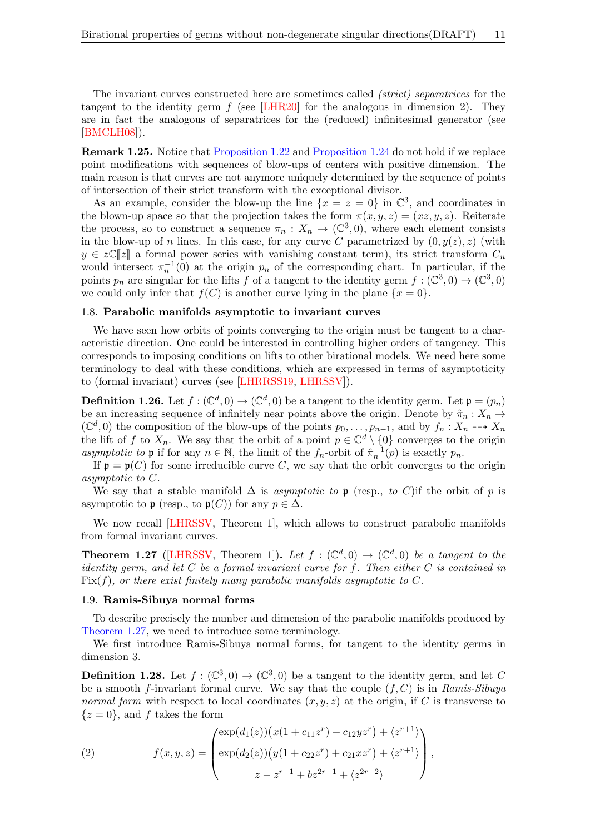The invariant curves constructed here are sometimes called (strict) separatrices for the tangent to the identity germ  $f$  (see [\[LHR20\]](#page-41-11) for the analogous in dimension 2). They are in fact the analogous of separatrices for the (reduced) infinitesimal generator (see [\[BMCLH08\]](#page-40-6)).

Remark 1.25. Notice that [Proposition 1.22](#page-9-0) and [Proposition 1.24](#page-9-1) do not hold if we replace point modifications with sequences of blow-ups of centers with positive dimension. The main reason is that curves are not anymore uniquely determined by the sequence of points of intersection of their strict transform with the exceptional divisor.

As an example, consider the blow-up the line  $\{x = z = 0\}$  in  $\mathbb{C}^3$ , and coordinates in the blown-up space so that the projection takes the form  $\pi(x, y, z) = (xz, y, z)$ . Reiterate the process, so to construct a sequence  $\pi_n: X_n \to (\mathbb{C}^3,0)$ , where each element consists in the blow-up of n lines. In this case, for any curve C parametrized by  $(0, y(z), z)$  (with  $y \in z\mathbb{C}[z]$  a formal power series with vanishing constant term), its strict transform  $C_n$ would intersect  $\pi_n^{-1}(0)$  at the origin  $p_n$  of the corresponding chart. In particular, if the points  $p_n$  are singular for the lifts f of a tangent to the identity germ  $f : (\mathbb{C}^3,0) \to (\mathbb{C}^3,0)$ we could only infer that  $f(C)$  is another curve lying in the plane  $\{x = 0\}$ .

## 1.8. Parabolic manifolds asymptotic to invariant curves

We have seen how orbits of points converging to the origin must be tangent to a characteristic direction. One could be interested in controlling higher orders of tangency. This corresponds to imposing conditions on lifts to other birational models. We need here some terminology to deal with these conditions, which are expressed in terms of asymptoticity to (formal invariant) curves (see [\[LHRRSS19,](#page-41-10) [LHRSSV\]](#page-41-16)).

**Definition 1.26.** Let  $f : (\mathbb{C}^d, 0) \to (\mathbb{C}^d, 0)$  be a tangent to the identity germ. Let  $\mathfrak{p} = (p_n)$ be an increasing sequence of infinitely near points above the origin. Denote by  $\hat{\pi}_n : X_n \to$  $(\mathbb{C}^d, 0)$  the composition of the blow-ups of the points  $p_0, \ldots, p_{n-1}$ , and by  $f_n : X_n \dashrightarrow X_n$ the lift of f to  $X_n$ . We say that the orbit of a point  $p \in \mathbb{C}^d \setminus \{0\}$  converges to the origin asymptotic to **p** if for any  $n \in \mathbb{N}$ , the limit of the  $f_n$ -orbit of  $\hat{\pi}_n^{-1}(p)$  is exactly  $p_n$ .

If  $\mathfrak{p} = \mathfrak{p}(C)$  for some irreducible curve C, we say that the orbit converges to the origin asymptotic to C.

We say that a stable manifold  $\Delta$  is *asymptotic to* p (resp., to C)if the orbit of p is asymptotic to p (resp., to  $p(C)$ ) for any  $p \in \Delta$ .

We now recall [\[LHRSSV,](#page-41-16) Theorem 1], which allows to construct parabolic manifolds from formal invariant curves.

<span id="page-10-0"></span>**Theorem 1.27** ([\[LHRSSV,](#page-41-16) Theorem 1]). Let  $f : (\mathbb{C}^d,0) \to (\mathbb{C}^d,0)$  be a tangent to the identity germ, and let  $C$  be a formal invariant curve for  $f$ . Then either  $C$  is contained in  $Fix(f)$ , or there exist finitely many parabolic manifolds asymptotic to C.

## 1.9. Ramis-Sibuya normal forms

To describe precisely the number and dimension of the parabolic manifolds produced by [Theorem 1.27,](#page-10-0) we need to introduce some terminology.

We first introduce Ramis-Sibuya normal forms, for tangent to the identity germs in dimension 3.

**Definition 1.28.** Let  $f : (\mathbb{C}^3, 0) \to (\mathbb{C}^3, 0)$  be a tangent to the identity germ, and let C be a smooth f-invariant formal curve. We say that the couple  $(f, C)$  is in Ramis-Sibuya normal form with respect to local coordinates  $(x, y, z)$  at the origin, if C is transverse to  $\{z=0\}$ , and f takes the form

<span id="page-10-1"></span>(2) 
$$
f(x,y,z) = \begin{pmatrix} \exp(d_1(z))(x(1+c_{11}z^r) + c_{12}yz^r) + \langle z^{r+1} \rangle \\ \exp(d_2(z))(y(1+c_{22}z^r) + c_{21}xz^r) + \langle z^{r+1} \rangle \\ z - z^{r+1} + bz^{2r+1} + \langle z^{2r+2} \rangle \end{pmatrix},
$$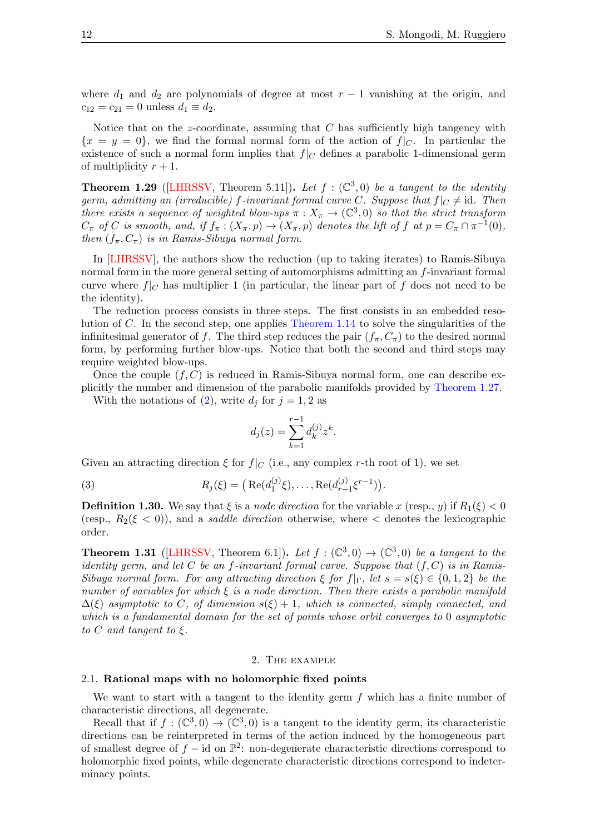where  $d_1$  and  $d_2$  are polynomials of degree at most  $r-1$  vanishing at the origin, and  $c_{12} = c_{21} = 0$  unless  $d_1 \equiv d_2$ .

Notice that on the z-coordinate, assuming that  $C$  has sufficiently high tangency with  ${x = y = 0}$ , we find the formal normal form of the action of  $f|_C$ . In particular the existence of such a normal form implies that  $f|_C$  defines a parabolic 1-dimensional germ of multiplicity  $r + 1$ .

**Theorem 1.29** ([\[LHRSSV,](#page-41-16) Theorem 5.11]). Let  $f : (\mathbb{C}^3, 0)$  be a tangent to the identity germ, admitting an (irreducible) f-invariant formal curve C. Suppose that  $f|_C \neq id$ . Then there exists a sequence of weighted blow-ups  $\pi: X_{\pi} \to (\mathbb{C}^3,0)$  so that the strict transform  $C_{\pi}$  of C is smooth, and, if  $f_{\pi}: (X_{\pi}, p) \to (X_{\pi}, p)$  denotes the lift of f at  $p = C_{\pi} \cap \pi^{-1}(0)$ , then  $(f_{\pi}, C_{\pi})$  is in Ramis-Sibuya normal form.

In [\[LHRSSV\]](#page-41-16), the authors show the reduction (up to taking iterates) to Ramis-Sibuya normal form in the more general setting of automorphisms admitting an f-invariant formal curve where  $f|_C$  has multiplier 1 (in particular, the linear part of f does not need to be the identity).

The reduction process consists in three steps. The first consists in an embedded resolution of C. In the second step, one applies [Theorem 1.14](#page-7-0) to solve the singularities of the infinitesimal generator of f. The third step reduces the pair  $(f_\pi, C_\pi)$  to the desired normal form, by performing further blow-ups. Notice that both the second and third steps may require weighted blow-ups.

Once the couple  $(f, C)$  is reduced in Ramis-Sibuya normal form, one can describe explicitly the number and dimension of the parabolic manifolds provided by [Theorem 1.27.](#page-10-0)

With the notations of [\(2\)](#page-10-1), write  $d_j$  for  $j = 1, 2$  as

<span id="page-11-1"></span>
$$
d_j(z) = \sum_{k=1}^{r-1} d_k^{(j)} z^k.
$$

Given an attracting direction  $\xi$  for  $f|_C$  (i.e., any complex r-th root of 1), we set

(3) 
$$
R_j(\xi) = \left( \text{Re}(d_1^{(j)}\xi), \dots, \text{Re}(d_{r-1}^{(j)}\xi^{r-1}) \right).
$$

**Definition 1.30.** We say that  $\xi$  is a node direction for the variable x (resp., y) if  $R_1(\xi) < 0$ (resp.,  $R_2(\xi < 0)$ ), and a *saddle direction* otherwise, where  $\leq$  denotes the lexicographic order.

<span id="page-11-2"></span>**Theorem 1.31** ([\[LHRSSV,](#page-41-16) Theorem 6.1]). Let  $f : (\mathbb{C}^3,0) \to (\mathbb{C}^3,0)$  be a tangent to the identity germ, and let C be an f-invariant formal curve. Suppose that  $(f, C)$  is in Ramis-Sibuya normal form. For any attracting direction  $\xi$  for  $f|_{\Gamma}$ , let  $s = s(\xi) \in \{0, 1, 2\}$  be the number of variables for which  $\xi$  is a node direction. Then there exists a parabolic manifold  $\Delta(\xi)$  asymptotic to C, of dimension  $s(\xi) + 1$ , which is connected, simply connected, and which is a fundamental domain for the set of points whose orbit converges to 0 asymptotic to C and tangent to  $\xi$ .

## 2. The example

## <span id="page-11-0"></span>2.1. Rational maps with no holomorphic fixed points

We want to start with a tangent to the identity germ  $f$  which has a finite number of characteristic directions, all degenerate.

Recall that if  $f : (\mathbb{C}^3,0) \to (\mathbb{C}^3,0)$  is a tangent to the identity germ, its characteristic directions can be reinterpreted in terms of the action induced by the homogeneous part of smallest degree of  $f - id$  on  $\mathbb{P}^2$ : non-degenerate characteristic directions correspond to holomorphic fixed points, while degenerate characteristic directions correspond to indeterminacy points.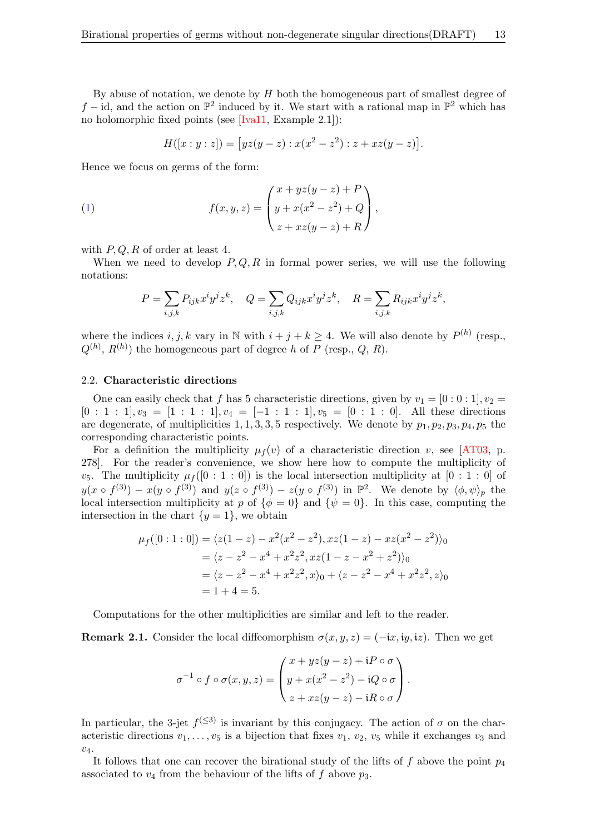By abuse of notation, we denote by  $H$  both the homogeneous part of smallest degree of  $f$  − id, and the action on  $\mathbb{P}^2$  induced by it. We start with a rational map in  $\mathbb{P}^2$  which has no holomorphic fixed points (see [\[Iva11,](#page-41-15) Example 2.1]):

$$
H([x:y:z]) = [yz(y-z) : x(x^2 - z^2) : z + xz(y-z)].
$$

Hence we focus on germs of the form:

(1) 
$$
f(x,y,z) = \begin{pmatrix} x + yz(y-z) + P \\ y + x(x^2 - z^2) + Q \\ z + xz(y-z) + R \end{pmatrix},
$$

with  $P, Q, R$  of order at least 4.

When we need to develop  $P, Q, R$  in formal power series, we will use the following notations:

$$
P = \sum_{i,j,k} P_{ijk} x^i y^j z^k, \quad Q = \sum_{i,j,k} Q_{ijk} x^i y^j z^k, \quad R = \sum_{i,j,k} R_{ijk} x^i y^j z^k,
$$

where the indices  $i, j, k$  vary in N with  $i + j + k \geq 4$ . We will also denote by  $P^{(h)}$  (resp.,  $Q^{(h)}$ ,  $R^{(h)}$  the homogeneous part of degree h of P (resp., Q, R).

#### 2.2. Characteristic directions

One can easily check that f has 5 characteristic directions, given by  $v_1 = [0:0:1], v_2 =$  $[0:1:1], v_3 = [1:1:1], v_4 = [-1:1:1], v_5 = [0:1:0].$  All these directions are degenerate, of multiplicities 1, 1, 3, 3, 5 respectively. We denote by  $p_1, p_2, p_3, p_4, p_5$  the corresponding characteristic points.

For a definition the multiplicity  $\mu_f(v)$  of a characteristic direction v, see [\[AT03,](#page-40-15) p. 278]. For the reader's convenience, we show here how to compute the multiplicity of  $v_5$ . The multiplicity  $\mu_f([0:1:0])$  is the local intersection multiplicity at  $[0:1:0]$  of  $y(x \circ f^{(3)}) - x(y \circ f^{(3)})$  and  $y(z \circ f^{(3)}) - z(y \circ f^{(3)})$  in  $\mathbb{P}^2$ . We denote by  $\langle \phi, \psi \rangle_p$  the local intersection multiplicity at p of  $\{\phi = 0\}$  and  $\{\psi = 0\}$ . In this case, computing the intersection in the chart  $\{y=1\}$ , we obtain

$$
\mu_f([0:1:0]) = \langle z(1-z) - x^2(x^2 - z^2), xz(1-z) - xz(x^2 - z^2) \rangle_0
$$
  
=  $\langle z - z^2 - x^4 + x^2z^2, xz(1 - z - x^2 + z^2) \rangle_0$   
=  $\langle z - z^2 - x^4 + x^2z^2, x \rangle_0 + \langle z - z^2 - x^4 + x^2z^2, z \rangle_0$   
= 1 + 4 = 5.

Computations for the other multiplicities are similar and left to the reader.

<span id="page-12-0"></span>**Remark 2.1.** Consider the local diffeomorphism  $\sigma(x, y, z) = (-ix, iy, iz)$ . Then we get

$$
\sigma^{-1} \circ f \circ \sigma(x, y, z) = \begin{pmatrix} x + yz(y - z) + iP \circ \sigma \\ y + x(x^2 - z^2) - iQ \circ \sigma \\ z + xz(y - z) - iR \circ \sigma \end{pmatrix}.
$$

In particular, the 3-jet  $f^{(\leq 3)}$  is invariant by this conjugacy. The action of  $\sigma$  on the characteristic directions  $v_1, \ldots, v_5$  is a bijection that fixes  $v_1, v_2, v_5$  while it exchanges  $v_3$  and  $v_4$ .

It follows that one can recover the birational study of the lifts of f above the point  $p_4$ associated to  $v_4$  from the behaviour of the lifts of f above  $p_3$ .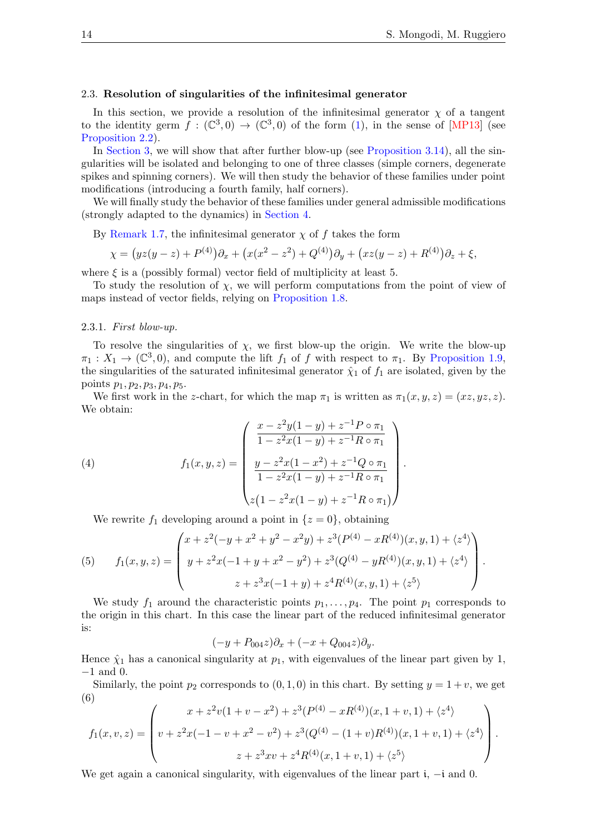### <span id="page-13-0"></span>2.3. Resolution of singularities of the infinitesimal generator

In this section, we provide a resolution of the infinitesimal generator  $\chi$  of a tangent to the identity germ  $f : (\mathbb{C}^3,0) \to (\mathbb{C}^3,0)$  of the form [\(1\)](#page-1-0), in the sense of [\[MP13\]](#page-41-14) (see [Proposition 2.2\)](#page-17-0).

In [Section 3,](#page-18-0) we will show that after further blow-up (see [Proposition 3.14\)](#page-22-0), all the singularities will be isolated and belonging to one of three classes (simple corners, degenerate spikes and spinning corners). We will then study the behavior of these families under point modifications (introducing a fourth family, half corners).

We will finally study the behavior of these families under general admissible modifications (strongly adapted to the dynamics) in [Section 4.](#page-29-0)

By [Remark 1.7,](#page-5-0) the infinitesimal generator  $\chi$  of f takes the form

$$
\chi = (yz(y-z) + P^{(4)})\partial_x + (x(x^2 - z^2) + Q^{(4)})\partial_y + (xz(y-z) + R^{(4)})\partial_z + \xi,
$$

where  $\xi$  is a (possibly formal) vector field of multiplicity at least 5.

To study the resolution of  $\chi$ , we will perform computations from the point of view of maps instead of vector fields, relying on [Proposition 1.8.](#page-5-1)

#### 2.3.1. First blow-up.

To resolve the singularities of  $\chi$ , we first blow-up the origin. We write the blow-up  $\pi_1: X_1 \to (\mathbb{C}^3, 0)$ , and compute the lift  $f_1$  of f with respect to  $\pi_1$ . By [Proposition 1.9,](#page-6-0) the singularities of the saturated infinitesimal generator  $\hat{\chi}_1$  of  $f_1$  are isolated, given by the points  $p_1, p_2, p_3, p_4, p_5.$ 

We first work in the z-chart, for which the map  $\pi_1$  is written as  $\pi_1(x, y, z) = (xz, yz, z)$ . We obtain:

(4) 
$$
f_1(x, y, z) = \begin{pmatrix} \frac{x - z^2 y (1 - y) + z^{-1} P \circ \pi_1}{1 - z^2 x (1 - y) + z^{-1} R \circ \pi_1} \\ \frac{y - z^2 x (1 - x^2) + z^{-1} Q \circ \pi_1}{1 - z^2 x (1 - y) + z^{-1} R \circ \pi_1} \\ z (1 - z^2 x (1 - y) + z^{-1} R \circ \pi_1) \end{pmatrix}.
$$

We rewrite  $f_1$  developing around a point in  $\{z=0\}$ , obtaining

<span id="page-13-1"></span>(5) 
$$
f_1(x, y, z) = \begin{pmatrix} x + z^2(-y + x^2 + y^2 - x^2y) + z^3(P^{(4)} - xR^{(4)})(x, y, 1) + \langle z^4 \rangle \\ y + z^2x(-1 + y + x^2 - y^2) + z^3(Q^{(4)} - yR^{(4)})(x, y, 1) + \langle z^4 \rangle \\ z + z^3x(-1 + y) + z^4R^{(4)}(x, y, 1) + \langle z^5 \rangle \end{pmatrix}.
$$

We study  $f_1$  around the characteristic points  $p_1, \ldots, p_4$ . The point  $p_1$  corresponds to the origin in this chart. In this case the linear part of the reduced infinitesimal generator is:

$$
(-y + P_{004}z)\partial_x + (-x + Q_{004}z)\partial_y.
$$

Hence  $\hat{\chi}_1$  has a canonical singularity at  $p_1$ , with eigenvalues of the linear part given by 1, −1 and 0.

Similarly, the point  $p_2$  corresponds to  $(0, 1, 0)$  in this chart. By setting  $y = 1 + v$ , we get (6)

<span id="page-13-2"></span>
$$
f_1(x,v,z) = \begin{pmatrix} x + z^2v(1 + v - x^2) + z^3(P^{(4)} - xR^{(4)})(x, 1 + v, 1) + \langle z^4 \rangle \\ v + z^2x(-1 - v + x^2 - v^2) + z^3(Q^{(4)} - (1 + v)R^{(4)})(x, 1 + v, 1) + \langle z^4 \rangle \\ z + z^3xv + z^4R^{(4)}(x, 1 + v, 1) + \langle z^5 \rangle \end{pmatrix}.
$$

We get again a canonical singularity, with eigenvalues of the linear part i, −i and 0.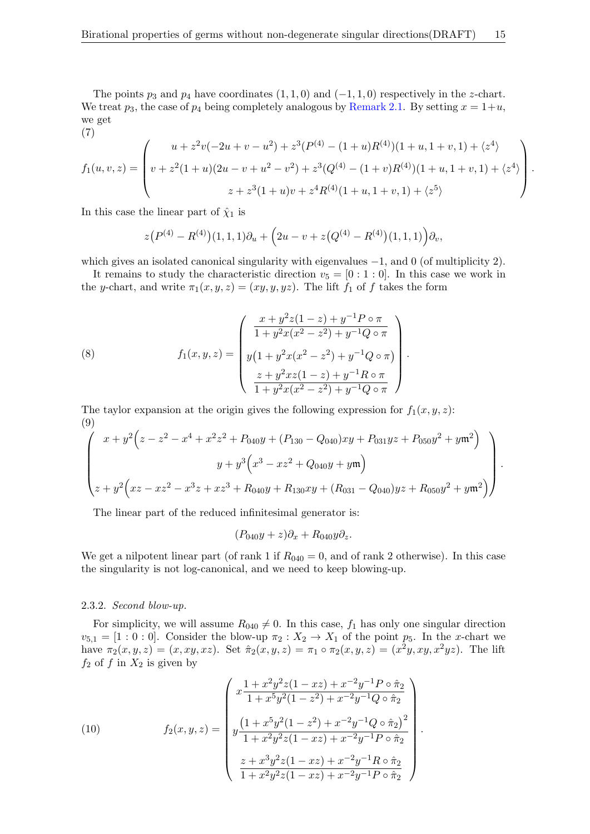The points  $p_3$  and  $p_4$  have coordinates  $(1, 1, 0)$  and  $(-1, 1, 0)$  respectively in the z-chart. We treat  $p_3$ , the case of  $p_4$  being completely analogous by [Remark 2.1.](#page-12-0) By setting  $x = 1 + u$ , we get

<span id="page-14-1"></span>(7)  
\n
$$
f_1(u, v, z) = \begin{pmatrix} u + z^2v(-2u + v - u^2) + z^3(P^{(4)} - (1 + u)R^{(4)})(1 + u, 1 + v, 1) + \langle z^4 \rangle \\ v + z^2(1 + u)(2u - v + u^2 - v^2) + z^3(Q^{(4)} - (1 + v)R^{(4)})(1 + u, 1 + v, 1) + \langle z^4 \rangle \\ z + z^3(1 + u)v + z^4R^{(4)}(1 + u, 1 + v, 1) + \langle z^5 \rangle \end{pmatrix}.
$$

In this case the linear part of  $\hat{\chi}_1$  is

$$
z(P^{(4)} - R^{(4)})(1,1,1)\partial_u + (2u - v + z(Q^{(4)} - R^{(4)})(1,1,1))\partial_v,
$$

which gives an isolated canonical singularity with eigenvalues  $-1$ , and 0 (of multiplicity 2).

It remains to study the characteristic direction  $v_5 = [0:1:0]$ . In this case we work in the y-chart, and write  $\pi_1(x, y, z) = (xy, y, yz)$ . The lift  $f_1$  of f takes the form

(8) 
$$
f_1(x, y, z) = \begin{pmatrix} \frac{x + y^2 z (1 - z) + y^{-1} P \circ \pi}{1 + y^2 x (x^2 - z^2) + y^{-1} Q \circ \pi} \\ y (1 + y^2 x (x^2 - z^2) + y^{-1} Q \circ \pi) \\ \frac{z + y^2 x z (1 - z) + y^{-1} R \circ \pi}{1 + y^2 x (x^2 - z^2) + y^{-1} Q \circ \pi} \end{pmatrix}.
$$

The taylor expansion at the origin gives the following expression for  $f_1(x, y, z)$ : (9)

<span id="page-14-0"></span>
$$
\begin{pmatrix}\nx + y^2 \left(z - z^2 - x^4 + x^2 z^2 + P_{040}y + (P_{130} - Q_{040})xy + P_{031}yz + P_{050}y^2 + y\mathfrak{m}^2\right) \\
y + y^3 \left(x^3 - x z^2 + Q_{040}y + y\mathfrak{m}\right) \\
z + y^2 \left(xz - x z^2 - x^3 z + x z^3 + R_{040}y + R_{130}xy + (R_{031} - Q_{040})yz + R_{050}y^2 + y\mathfrak{m}^2\right)\n\end{pmatrix}.
$$

The linear part of the reduced infinitesimal generator is:

$$
(P_{040}y+z)\partial_x + R_{040}y\partial_z.
$$

We get a nilpotent linear part (of rank 1 if  $R_{040} = 0$ , and of rank 2 otherwise). In this case the singularity is not log-canonical, and we need to keep blowing-up.

# 2.3.2. Second blow-up.

For simplicity, we will assume  $R_{040} \neq 0$ . In this case,  $f_1$  has only one singular direction  $v_{5,1} = [1:0:0]$ . Consider the blow-up  $\pi_2 : X_2 \to X_1$  of the point  $p_5$ . In the x-chart we have  $\pi_2(x, y, z) = (x, xy, xz)$ . Set  $\hat{\pi}_2(x, y, z) = \pi_1 \circ \pi_2(x, y, z) = (x^2y, xy, x^2yz)$ . The lift  $f_2$  of f in  $X_2$  is given by

(10) 
$$
f_2(x, y, z) = \begin{pmatrix} x\frac{1+x^2y^2z(1-xz) + x^{-2}y^{-1}P \circ \hat{\pi}_2}{1+x^5y^2(1-z^2) + x^{-2}y^{-1}Q \circ \hat{\pi}_2} \\ y\frac{(1+x^5y^2(1-z^2) + x^{-2}y^{-1}Q \circ \hat{\pi}_2)^2}{1+x^2y^2z(1-xz) + x^{-2}y^{-1}P \circ \hat{\pi}_2} \\ \frac{z+x^3y^2z(1-xz) + x^{-2}y^{-1}R \circ \hat{\pi}_2}{1+x^2y^2z(1-xz) + x^{-2}y^{-1}P \circ \hat{\pi}_2} \end{pmatrix}.
$$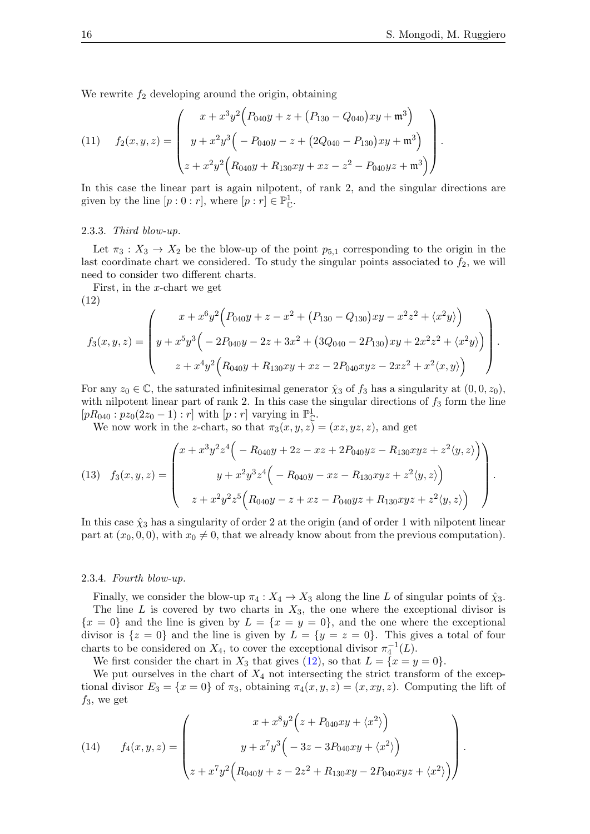.

We rewrite  $f_2$  developing around the origin, obtaining

(11) 
$$
f_2(x, y, z) = \begin{pmatrix} x + x^3 y^2 (P_{040}y + z + (P_{130} - Q_{040})xy + \mathfrak{m}^3) \\ y + x^2 y^3 (P_{040}y - z + (2Q_{040} - P_{130})xy + \mathfrak{m}^3) \\ z + x^2 y^2 (P_{040}y + P_{130}xy + xz - z^2 - P_{040}yz + \mathfrak{m}^3) \end{pmatrix}
$$

In this case the linear part is again nilpotent, of rank 2, and the singular directions are given by the line  $[p:0:r]$ , where  $[p:r] \in \mathbb{P}_{\mathbb{C}}^1$ .

#### 2.3.3. Third blow-up.

Let  $\pi_3 : X_3 \to X_2$  be the blow-up of the point  $p_{5,1}$  corresponding to the origin in the last coordinate chart we considered. To study the singular points associated to  $f_2$ , we will need to consider two different charts.

First, in the x-chart we get

(12)

<span id="page-15-0"></span>
$$
f_3(x,y,z) = \begin{pmatrix} x + x^6 y^2 \Big( P_{040}y + z - x^2 + (P_{130} - Q_{130})xy - x^2 z^2 + \langle x^2 y \rangle \Big) \\ y + x^5 y^3 \Big( -2P_{040}y - 2z + 3x^2 + (3Q_{040} - 2P_{130})xy + 2x^2 z^2 + \langle x^2 y \rangle \Big) \\ z + x^4 y^2 \Big( R_{040}y + R_{130}xy + xz - 2P_{040}xyz - 2xz^2 + x^2 \langle x, y \rangle \Big) \end{pmatrix}.
$$

For any  $z_0 \in \mathbb{C}$ , the saturated infinitesimal generator  $\hat{\chi}_3$  of  $f_3$  has a singularity at  $(0, 0, z_0)$ , with nilpotent linear part of rank 2. In this case the singular directions of  $f_3$  form the line  $[pR_{040} : p_{z_0}(2z_0 - 1) : r]$  with  $[p : r]$  varying in  $\mathbb{P}_{\mathbb{C}}^1$ .

We now work in the z-chart, so that  $\pi_3(x, y, z) = (xz, yz, z)$ , and get

<span id="page-15-1"></span>(13) 
$$
f_3(x, y, z) = \begin{pmatrix} x + x^3 y^2 z^4 \bigg( -R_{040}y + 2z - xz + 2P_{040}yz - R_{130}xyz + z^2 \langle y, z \rangle \bigg) \\ y + x^2 y^3 z^4 \bigg( -R_{040}y - xz - R_{130}xyz + z^2 \langle y, z \rangle \bigg) \\ z + x^2 y^2 z^5 \bigg( R_{040}y - z + xz - P_{040}yz + R_{130}xyz + z^2 \langle y, z \rangle \bigg) \end{pmatrix}.
$$

In this case  $\hat{\chi}_3$  has a singularity of order 2 at the origin (and of order 1 with nilpotent linear part at  $(x_0, 0, 0)$ , with  $x_0 \neq 0$ , that we already know about from the previous computation).

### 2.3.4. Fourth blow-up.

Finally, we consider the blow-up  $\pi_4 : X_4 \to X_3$  along the line L of singular points of  $\hat{\chi}_3$ . The line  $L$  is covered by two charts in  $X_3$ , the one where the exceptional divisor is  ${x = 0}$  and the line is given by  $L = {x = y = 0}$ , and the one where the exceptional divisor is  $\{z=0\}$  and the line is given by  $L = \{y=z=0\}$ . This gives a total of four charts to be considered on  $X_4$ , to cover the exceptional divisor  $\pi_4^{-1}(L)$ .

We first consider the chart in  $X_3$  that gives [\(12\)](#page-15-0), so that  $L = \{x = y = 0\}.$ 

We put ourselves in the chart of  $X_4$  not intersecting the strict transform of the exceptional divisor  $E_3 = \{x = 0\}$  of  $\pi_3$ , obtaining  $\pi_4(x, y, z) = (x, xy, z)$ . Computing the lift of  $f_3$ , we get

<span id="page-15-2"></span>(14) 
$$
f_4(x, y, z) = \begin{pmatrix} x + x^8 y^2 (z + P_{040}xy + \langle x^2 \rangle) \\ y + x^7 y^3 (z^3 - 3P_{040}xy + \langle x^2 \rangle) \\ z + x^7 y^2 (R_{040}y + z - 2z^2 + R_{130}xy - 2P_{040}xyz + \langle x^2 \rangle) \end{pmatrix}.
$$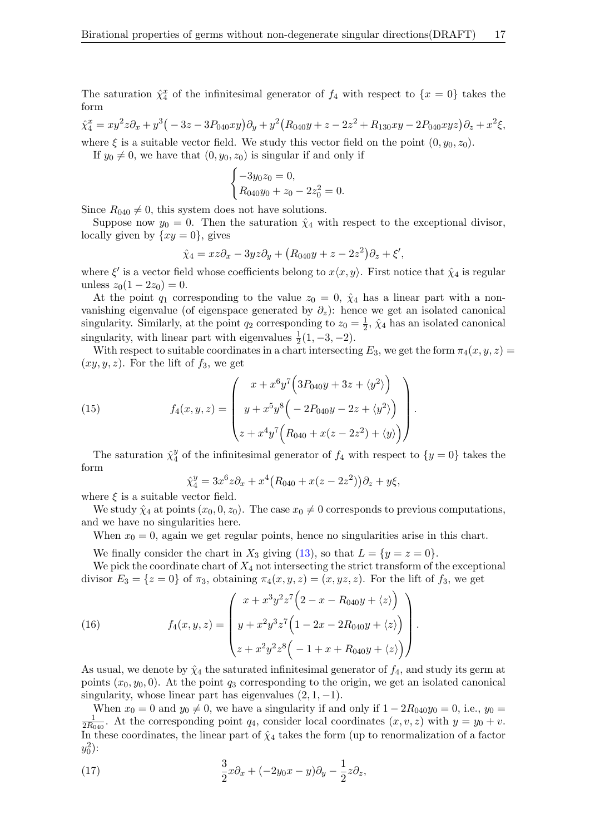The saturation  $\hat{\chi}_4^x$  of the infinitesimal generator of  $f_4$  with respect to  $\{x=0\}$  takes the form

 $\hat{\chi}_4^x = xy^2z\partial_x + y^3(-3z - 3P_{040}xy)\partial_y + y^2(R_{040}y + z - 2z^2 + R_{130}xy - 2P_{040}xyz)\partial_z + x^2\xi,$ 

where  $\xi$  is a suitable vector field. We study this vector field on the point  $(0, y_0, z_0)$ .

If  $y_0 \neq 0$ , we have that  $(0, y_0, z_0)$  is singular if and only if

$$
\begin{cases}\n-3y_0z_0 = 0, \\
R_{040}y_0 + z_0 - 2z_0^2 = 0.\n\end{cases}
$$

Since  $R_{040} \neq 0$ , this system does not have solutions.

Suppose now  $y_0 = 0$ . Then the saturation  $\hat{\chi}_4$  with respect to the exceptional divisor, locally given by  $\{xy=0\}$ , gives

$$
\hat{\chi}_4 = xz\partial_x - 3yz\partial_y + (R_{040}y + z - 2z^2)\partial_z + \xi',
$$

where  $\xi'$  is a vector field whose coefficients belong to  $x\langle x, y \rangle$ . First notice that  $\hat{\chi}_4$  is regular unless  $z_0(1-2z_0)=0$ .

At the point  $q_1$  corresponding to the value  $z_0 = 0$ ,  $\hat{\chi}_4$  has a linear part with a nonvanishing eigenvalue (of eigenspace generated by  $\partial_z$ ): hence we get an isolated canonical singularity. Similarly, at the point  $q_2$  corresponding to  $z_0 = \frac{1}{2}$  $\frac{1}{2}$ ,  $\hat{\chi}_4$  has an isolated canonical singularity, with linear part with eigenvalues  $\frac{1}{2}(1, -3, -2)$ .

With respect to suitable coordinates in a chart intersecting  $E_3$ , we get the form  $\pi_4(x, y, z) =$  $(xy, y, z)$ . For the lift of  $f_3$ , we get

(15) 
$$
f_4(x, y, z) = \begin{pmatrix} x + x^6 y^7 \left(3P_{040}y + 3z + \langle y^2 \rangle \right) \\ y + x^5 y^8 \left( -2P_{040}y - 2z + \langle y^2 \rangle \right) \\ z + x^4 y^7 \left( R_{040} + x(z - 2z^2) + \langle y \rangle \right) \end{pmatrix}.
$$

The saturation  $\hat{\chi}_4^y$  $y_4^y$  of the infinitesimal generator of  $f_4$  with respect to  $\{y=0\}$  takes the form

$$
\hat{\chi}_4^y = 3x^6 z \partial_x + x^4 (R_{040} + x(z - 2z^2)) \partial_z + y\xi,
$$

where  $\xi$  is a suitable vector field.

We study  $\hat{\chi}_4$  at points  $(x_0, 0, z_0)$ . The case  $x_0 \neq 0$  corresponds to previous computations, and we have no singularities here.

When  $x_0 = 0$ , again we get regular points, hence no singularities arise in this chart.

We finally consider the chart in  $X_3$  giving [\(13\)](#page-15-1), so that  $L = \{y = z = 0\}.$ 

We pick the coordinate chart of  $X_4$  not intersecting the strict transform of the exceptional divisor  $E_3 = \{z = 0\}$  of  $\pi_3$ , obtaining  $\pi_4(x, y, z) = (x, yz, z)$ . For the lift of  $f_3$ , we get

<span id="page-16-0"></span>(16) 
$$
f_4(x, y, z) = \begin{pmatrix} x + x^3 y^2 z^7 \left( 2 - x - R_{040} y + \langle z \rangle \right) \\ y + x^2 y^3 z^7 \left( 1 - 2x - 2R_{040} y + \langle z \rangle \right) \\ z + x^2 y^2 z^8 \left( -1 + x + R_{040} y + \langle z \rangle \right) \end{pmatrix}.
$$

As usual, we denote by  $\hat{\chi}_4$  the saturated infinitesimal generator of  $f_4$ , and study its germ at points  $(x_0, y_0, 0)$ . At the point  $q_3$  corresponding to the origin, we get an isolated canonical singularity, whose linear part has eigenvalues  $(2, 1, -1)$ .

When  $x_0 = 0$  and  $y_0 \neq 0$ , we have a singularity if and only if  $1 - 2R_{040}y_0 = 0$ , i.e.,  $y_0 =$ 1  $\frac{1}{2R_{040}}$ . At the corresponding point  $q_4$ , consider local coordinates  $(x, v, z)$  with  $y = y_0 + v$ . In these coordinates, the linear part of  $\hat{\chi}_4$  takes the form (up to renormalization of a factor  $y_0^2$ :

<span id="page-16-1"></span>(17) 
$$
\frac{3}{2}x\partial_x + (-2y_0x - y)\partial_y - \frac{1}{2}z\partial_z,
$$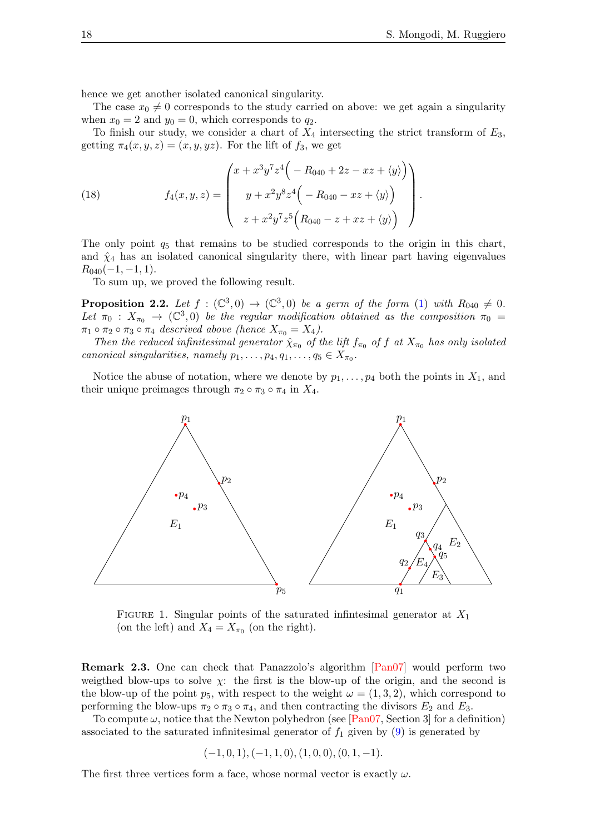hence we get another isolated canonical singularity.

The case  $x_0 \neq 0$  corresponds to the study carried on above: we get again a singularity when  $x_0 = 2$  and  $y_0 = 0$ , which corresponds to  $q_2$ .

To finish our study, we consider a chart of  $X_4$  intersecting the strict transform of  $E_3$ , getting  $\pi_4(x, y, z) = (x, y, yz)$ . For the lift of  $f_3$ , we get

<span id="page-17-1"></span>(18) 
$$
f_4(x, y, z) = \begin{pmatrix} x + x^3 y^7 z^4 \left( -R_{040} + 2z - xz + \langle y \rangle \right) \\ y + x^2 y^8 z^4 \left( -R_{040} - xz + \langle y \rangle \right) \\ z + x^2 y^7 z^5 \left( R_{040} - z + xz + \langle y \rangle \right) \end{pmatrix}.
$$

The only point  $q_5$  that remains to be studied corresponds to the origin in this chart, and  $\hat{\chi}_4$  has an isolated canonical singularity there, with linear part having eigenvalues  $R_{040}(-1,-1,1).$ 

To sum up, we proved the following result.

<span id="page-17-0"></span>**Proposition 2.2.** Let  $f : (\mathbb{C}^3,0) \to (\mathbb{C}^3,0)$  be a germ of the form [\(1\)](#page-1-0) with  $R_{040} \neq 0$ . Let  $\pi_0$  :  $X_{\pi_0}$   $\rightarrow$  (C<sup>3</sup>,0) be the regular modification obtained as the composition  $\pi_0$  =  $\pi_1 \circ \pi_2 \circ \pi_3 \circ \pi_4$  descrived above (hence  $X_{\pi_0} = X_4$ ).

Then the reduced infinitesimal generator  $\hat{\chi}_{\pi_0}$  of the lift  $f_{\pi_0}$  of f at  $X_{\pi_0}$  has only isolated canonical singularities, namely  $p_1, \ldots, p_4, q_1, \ldots, q_5 \in X_{\pi_0}$ .

Notice the abuse of notation, where we denote by  $p_1, \ldots, p_4$  both the points in  $X_1$ , and their unique preimages through  $\pi_2 \circ \pi_3 \circ \pi_4$  in  $X_4$ .



FIGURE 1. Singular points of the saturated infinitesimal generator at  $X_1$ (on the left) and  $X_4 = X_{\pi_0}$  (on the right).

Remark 2.3. One can check that Panazzolo's algorithm [\[Pan07\]](#page-41-17) would perform two weigthed blow-ups to solve  $\chi$ : the first is the blow-up of the origin, and the second is the blow-up of the point  $p_5$ , with respect to the weight  $\omega = (1, 3, 2)$ , which correspond to performing the blow-ups  $\pi_2 \circ \pi_3 \circ \pi_4$ , and then contracting the divisors  $E_2$  and  $E_3$ .

To compute  $\omega$ , notice that the Newton polyhedron (see [\[Pan07,](#page-41-17) Section 3] for a definition) associated to the saturated infinitesimal generator of  $f_1$  given by  $(9)$  is generated by

$$
(-1,0,1), (-1,1,0), (1,0,0), (0,1,-1).
$$

The first three vertices form a face, whose normal vector is exactly  $\omega$ .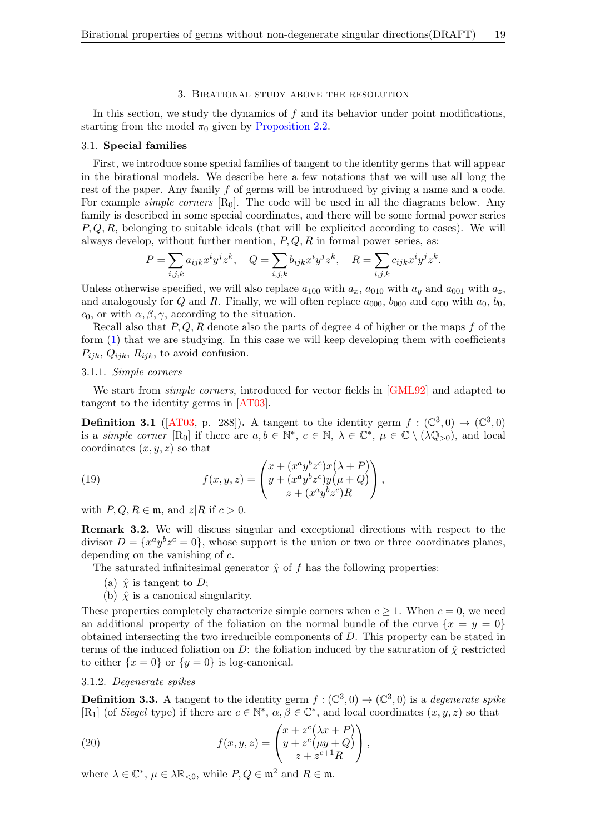### 3. Birational study above the resolution

<span id="page-18-0"></span>In this section, we study the dynamics of  $f$  and its behavior under point modifications, starting from the model  $\pi_0$  given by [Proposition 2.2.](#page-17-0)

## <span id="page-18-2"></span>3.1. Special families

First, we introduce some special families of tangent to the identity germs that will appear in the birational models. We describe here a few notations that we will use all long the rest of the paper. Any family f of germs will be introduced by giving a name and a code. For example *simple corners*  $[R_0]$ . The code will be used in all the diagrams below. Any family is described in some special coordinates, and there will be some formal power series  $P, Q, R$ , belonging to suitable ideals (that will be explicited according to cases). We will always develop, without further mention,  $P, Q, R$  in formal power series, as:

$$
P=\sum_{i,j,k}a_{ijk}x^iy^jz^k,\quad Q=\sum_{i,j,k}b_{ijk}x^iy^jz^k,\quad R=\sum_{i,j,k}c_{ijk}x^iy^jz^k.
$$

Unless otherwise specified, we will also replace  $a_{100}$  with  $a_x$ ,  $a_{010}$  with  $a_y$  and  $a_{001}$  with  $a_z$ , and analogously for Q and R. Finally, we will often replace  $a_{000}$ ,  $b_{000}$  and  $c_{000}$  with  $a_0$ ,  $b_0$ ,  $c_0$ , or with  $\alpha, \beta, \gamma$ , according to the situation.

Recall also that  $P, Q, R$  denote also the parts of degree 4 of higher or the maps f of the form [\(1\)](#page-1-0) that we are studying. In this case we will keep developing them with coefficients  $P_{ijk}, Q_{ijk}, R_{ijk}$ , to avoid confusion.

## 3.1.1. Simple corners

We start from *simple corners*, introduced for vector fields in [\[GML92\]](#page-40-14) and adapted to tangent to the identity germs in [\[AT03\]](#page-40-15).

**Definition 3.1** ([\[AT03,](#page-40-15) p. 288]). A tangent to the identity germ  $f : (\mathbb{C}^3,0) \to (\mathbb{C}^3,0)$ is a *simple corner* [R<sub>0</sub>] if there are  $a, b \in \mathbb{N}^*, c \in \mathbb{N}, \lambda \in \mathbb{C}^*, \mu \in \mathbb{C} \setminus (\lambda \mathbb{Q}_{>0})$ , and local coordinates  $(x, y, z)$  so that

<span id="page-18-3"></span>(19) 
$$
f(x,y,z) = \begin{pmatrix} x + (x^a y^b z^c) x (\lambda + P) \\ y + (x^a y^b z^c) y (\mu + Q) \\ z + (x^a y^b z^c) R \end{pmatrix},
$$

with  $P, Q, R \in \mathfrak{m}$ , and  $z|R$  if  $c > 0$ .

Remark 3.2. We will discuss singular and exceptional directions with respect to the divisor  $D = \{x^a y^b z^c = 0\}$ , whose support is the union or two or three coordinates planes, depending on the vanishing of c.

The saturated infinitesimal generator  $\hat{\chi}$  of f has the following properties:

- (a)  $\hat{\chi}$  is tangent to D;
- (b)  $\hat{\chi}$  is a canonical singularity.

These properties completely characterize simple corners when  $c \geq 1$ . When  $c = 0$ , we need an additional property of the foliation on the normal bundle of the curve  $\{x = y = 0\}$ obtained intersecting the two irreducible components of D. This property can be stated in terms of the induced foliation on D: the foliation induced by the saturation of  $\hat{\chi}$  restricted to either  $\{x = 0\}$  or  $\{y = 0\}$  is log-canonical.

## 3.1.2. Degenerate spikes

**Definition 3.3.** A tangent to the identity germ  $f : (\mathbb{C}^3, 0) \to (\mathbb{C}^3, 0)$  is a *degenerate spike* [R<sub>1</sub>] (of *Siegel* type) if there are  $c \in \mathbb{N}^*$ ,  $\alpha, \beta \in \mathbb{C}^*$ , and local coordinates  $(x, y, z)$  so that

<span id="page-18-1"></span>(20) 
$$
f(x,y,z) = \begin{pmatrix} x + z^c (\lambda x + P) \\ y + z^c (\mu y + Q) \\ z + z^{c+1} R \end{pmatrix},
$$

where  $\lambda \in \mathbb{C}^*$ ,  $\mu \in \lambda \mathbb{R}_{< 0}$ , while  $P, Q \in \mathfrak{m}^2$  and  $R \in \mathfrak{m}$ .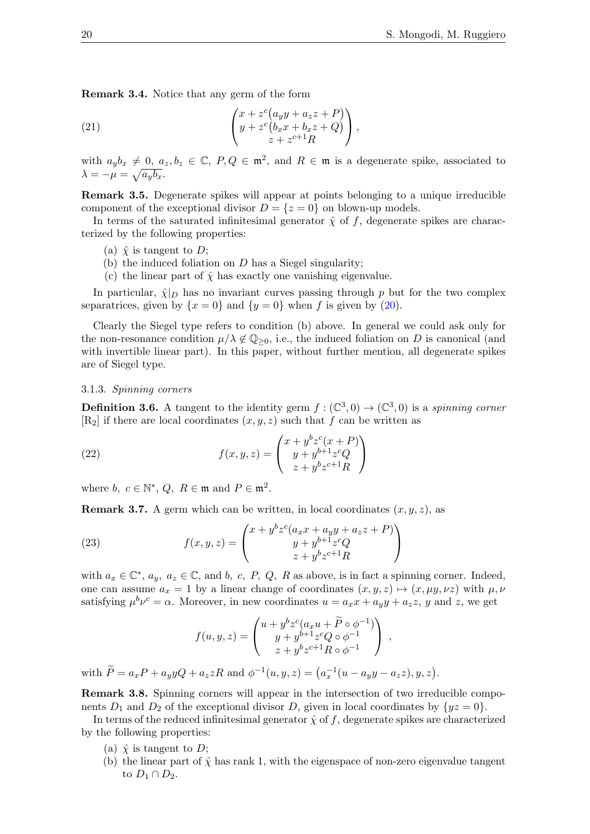Remark 3.4. Notice that any germ of the form

<span id="page-19-1"></span>(21) 
$$
\begin{pmatrix} x + z^c (a_y y + a_z z + P) \\ y + z^c (b_x x + b_x z + Q) \\ z + z^{c+1} R \end{pmatrix},
$$

with  $a_yb_x \neq 0$ ,  $a_z, b_z \in \mathbb{C}$ ,  $P, Q \in \mathfrak{m}^2$ , and  $R \in \mathfrak{m}$  is a degenerate spike, associated to  $\lambda = -\mu = \sqrt{a_y b_x}.$ 

Remark 3.5. Degenerate spikes will appear at points belonging to a unique irreducible component of the exceptional divisor  $D = \{z = 0\}$  on blown-up models.

In terms of the saturated infinitesimal generator  $\hat{\chi}$  of f, degenerate spikes are characterized by the following properties:

- (a)  $\hat{\chi}$  is tangent to D;
- (b) the induced foliation on  $D$  has a Siegel singularity;
- (c) the linear part of  $\hat{\chi}$  has exactly one vanishing eigenvalue.

In particular,  $\hat{\chi}|_D$  has no invariant curves passing through p but for the two complex separatrices, given by  $\{x = 0\}$  and  $\{y = 0\}$  when f is given by [\(20\)](#page-18-1).

Clearly the Siegel type refers to condition (b) above. In general we could ask only for the non-resonance condition  $\mu/\lambda \notin \mathbb{Q}_{\geq 0}$ , i.e., the induced foliation on D is canonical (and with invertible linear part). In this paper, without further mention, all degenerate spikes are of Siegel type.

## 3.1.3. Spinning corners

**Definition 3.6.** A tangent to the identity germ  $f : (\mathbb{C}^3,0) \to (\mathbb{C}^3,0)$  is a spinning corner  $[R_2]$  if there are local coordinates  $(x, y, z)$  such that f can be written as

<span id="page-19-2"></span>(22) 
$$
f(x, y, z) = \begin{pmatrix} x + y^b z^c (x + P) \\ y + y^{b+1} z^c Q \\ z + y^b z^{c+1} R \end{pmatrix}
$$

where  $b, c \in \mathbb{N}^*, Q, R \in \mathfrak{m}$  and  $P \in \mathfrak{m}^2$ .

**Remark 3.7.** A germ which can be written, in local coordinates  $(x, y, z)$ , as

(23) 
$$
f(x, y, z) = \begin{pmatrix} x + y^b z^c (a_x x + a_y y + a_z z + P) \\ y + y^{b+1} z^c Q \\ z + y^b z^{c+1} R \end{pmatrix}
$$

with  $a_x \in \mathbb{C}^*$ ,  $a_y$ ,  $a_z \in \mathbb{C}$ , and b, c, P, Q, R as above, is in fact a spinning corner. Indeed, one can assume  $a_x = 1$  by a linear change of coordinates  $(x, y, z) \mapsto (x, \mu y, \nu z)$  with  $\mu, \nu$ satisfying  $\mu^b \nu^c = \alpha$ . Moreover, in new coordinates  $u = a_x x + a_y y + a_z z$ , y and z, we get

<span id="page-19-0"></span>
$$
f(u, y, z) = \begin{pmatrix} u + y^b z^c (a_x u + \widetilde{P} \circ \phi^{-1}) \\ y + y^{b+1} z^c Q \circ \phi^{-1} \\ z + y^b z^{c+1} R \circ \phi^{-1} \end{pmatrix} ,
$$

with  $\tilde{P} = a_x P + a_y y Q + a_z z R$  and  $\phi^{-1}(u, y, z) = (a_x^{-1}(u - a_y y - a_z z), y, z)$ .

Remark 3.8. Spinning corners will appear in the intersection of two irreducible components  $D_1$  and  $D_2$  of the exceptional divisor D, given in local coordinates by  $\{yz = 0\}$ .

In terms of the reduced infinitesimal generator  $\hat{\chi}$  of f, degenerate spikes are characterized by the following properties:

- (a)  $\hat{\chi}$  is tangent to D;
- (b) the linear part of  $\hat{\chi}$  has rank 1, with the eigenspace of non-zero eigenvalue tangent to  $D_1 \cap D_2$ .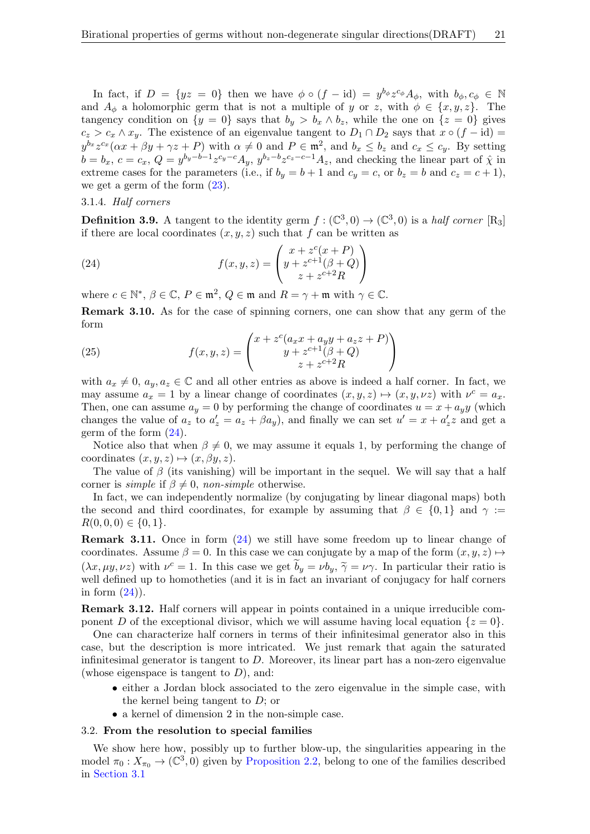In fact, if  $D = \{yz = 0\}$  then we have  $\phi \circ (f - id) = y^{b_{\phi}} z^{c_{\phi}} A_{\phi}$ , with  $b_{\phi}, c_{\phi} \in \mathbb{N}$ and  $A_{\phi}$  a holomorphic germ that is not a multiple of y or z, with  $\phi \in \{x, y, z\}$ . The tangency condition on  $\{y = 0\}$  says that  $b_y > b_x \wedge b_z$ , while the one on  $\{z = 0\}$  gives  $c_z > c_x \wedge x_y$ . The existence of an eigenvalue tangent to  $D_1 \cap D_2$  says that  $x \circ (f - id) =$  $y^{b_x}z^{c_x}(\alpha x + \beta y + \gamma z + P)$  with  $\alpha \neq 0$  and  $P \in \mathfrak{m}^2$ , and  $b_x \leq b_z$  and  $c_x \leq c_y$ . By setting  $b = b_x, c = c_x, Q = y^{b_y - b - 1} z^{c_y - c} A_y, y^{b_z - b} z^{c_z - c - 1} A_z$ , and checking the linear part of  $\hat{\chi}$  in extreme cases for the parameters (i.e., if  $b_y = b + 1$  and  $c_y = c$ , or  $b_z = b$  and  $c_z = c + 1$ ), we get a germ of the form [\(23\)](#page-19-0).

## 3.1.4. Half corners

**Definition 3.9.** A tangent to the identity germ  $f : (\mathbb{C}^3, 0) \to (\mathbb{C}^3, 0)$  is a half corner [R<sub>3</sub>] if there are local coordinates  $(x, y, z)$  such that f can be written as

<span id="page-20-0"></span>(24) 
$$
f(x,y,z) = \begin{pmatrix} x + z^{c}(x+P) \\ y + z^{c+1}(\beta+Q) \\ z + z^{c+2}R \end{pmatrix}
$$

where  $c \in \mathbb{N}^*, \, \beta \in \mathbb{C}, \, P \in \mathfrak{m}^2, \, Q \in \mathfrak{m}$  and  $R = \gamma + \mathfrak{m}$  with  $\gamma \in \mathbb{C}$ .

<span id="page-20-1"></span>Remark 3.10. As for the case of spinning corners, one can show that any germ of the form

(25) 
$$
f(x,y,z) = \begin{pmatrix} x + z^c (a_x x + a_y y + a_z z + P) \\ y + z^{c+1} (\beta + Q) \\ z + z^{c+2} R \end{pmatrix}
$$

with  $a_x \neq 0$ ,  $a_y, a_z \in \mathbb{C}$  and all other entries as above is indeed a half corner. In fact, we may assume  $a_x = 1$  by a linear change of coordinates  $(x, y, z) \mapsto (x, y, \nu z)$  with  $\nu^c = a_x$ . Then, one can assume  $a_y = 0$  by performing the change of coordinates  $u = x + a_y y$  (which changes the value of  $a_z$  to  $a'_z = a_z + \beta a_y$ , and finally we can set  $u' = x + a'_z z$  and get a germ of the form [\(24\)](#page-20-0).

Notice also that when  $\beta \neq 0$ , we may assume it equals 1, by performing the change of coordinates  $(x, y, z) \mapsto (x, \beta y, z)$ .

The value of  $\beta$  (its vanishing) will be important in the sequel. We will say that a half corner is *simple* if  $\beta \neq 0$ , *non-simple* otherwise.

In fact, we can independently normalize (by conjugating by linear diagonal maps) both the second and third coordinates, for example by assuming that  $\beta \in \{0,1\}$  and  $\gamma :=$  $R(0, 0, 0) \in \{0, 1\}.$ 

Remark 3.11. Once in form [\(24\)](#page-20-0) we still have some freedom up to linear change of coordinates. Assume  $\beta = 0$ . In this case we can conjugate by a map of the form  $(x, y, z) \mapsto$  $(\lambda x, \mu y, \nu z)$  with  $\nu^c = 1$ . In this case we get  $b_y = \nu b_y$ ,  $\tilde{\gamma} = \nu \gamma$ . In particular their ratio is well defined up to homotheties (and it is in fact an invariant of conjugacy for half corners in form  $(24)$ ).

Remark 3.12. Half corners will appear in points contained in a unique irreducible component D of the exceptional divisor, which we will assume having local equation  $\{z=0\}$ .

One can characterize half corners in terms of their infinitesimal generator also in this case, but the description is more intricated. We just remark that again the saturated infinitesimal generator is tangent to D. Moreover, its linear part has a non-zero eigenvalue (whose eigenspace is tangent to  $D$ ), and:

- either a Jordan block associated to the zero eigenvalue in the simple case, with the kernel being tangent to  $D$ ; or
- a kernel of dimension 2 in the non-simple case.

## 3.2. From the resolution to special families

We show here how, possibly up to further blow-up, the singularities appearing in the model  $\pi_0: X_{\pi_0} \to (\mathbb{C}^3, 0)$  given by [Proposition 2.2,](#page-17-0) belong to one of the families described in [Section 3.1](#page-18-2)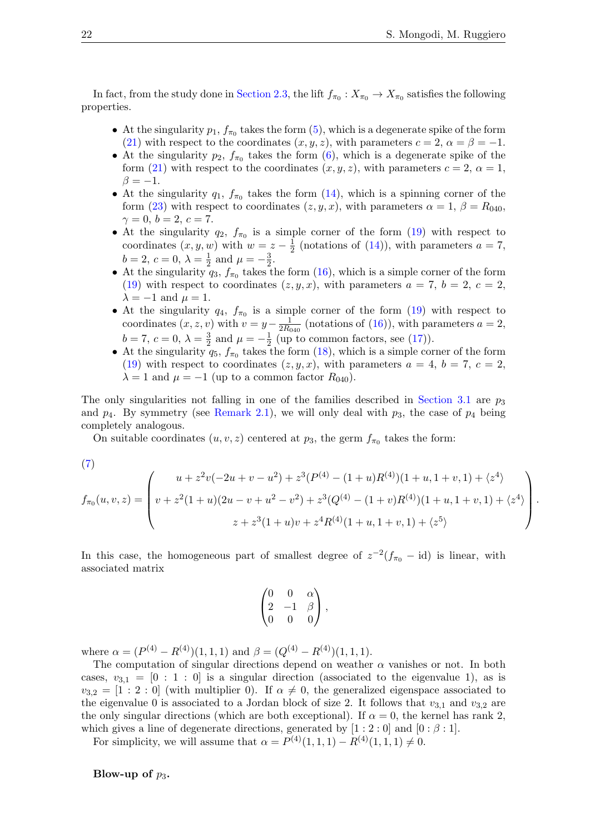In fact, from the study done in [Section 2.3,](#page-13-0) the lift  $f_{\pi_0}: X_{\pi_0} \to X_{\pi_0}$  satisfies the following properties.

- At the singularity  $p_1, f_{\pi_0}$  takes the form  $(5)$ , which is a degenerate spike of the form [\(21\)](#page-19-1) with respect to the coordinates  $(x, y, z)$ , with parameters  $c = 2$ ,  $\alpha = \beta = -1$ .
- At the singularity  $p_2$ ,  $f_{\pi_0}$  takes the form [\(6\)](#page-13-2), which is a degenerate spike of the form [\(21\)](#page-19-1) with respect to the coordinates  $(x, y, z)$ , with parameters  $c = 2$ ,  $\alpha = 1$ ,  $\beta = -1.$
- At the singularity  $q_1, f_{\pi_0}$  takes the form [\(14\)](#page-15-2), which is a spinning corner of the form [\(23\)](#page-19-0) with respect to coordinates  $(z, y, x)$ , with parameters  $\alpha = 1, \beta = R_{040}$ ,  $\gamma = 0, b = 2, c = 7.$
- At the singularity  $q_2$ ,  $f_{\pi_0}$  is a simple corner of the form [\(19\)](#page-18-3) with respect to coordinates  $(x, y, w)$  with  $w = z - \frac{1}{2}$  $\frac{1}{2}$  (notations of [\(14\)](#page-15-2)), with parameters  $a = 7$ ,  $b = 2, c = 0, \lambda = \frac{1}{2}$  $rac{1}{2}$  and  $\mu = -\frac{3}{2}$  $\frac{3}{2}$ .
- At the singularity  $q_3$ ,  $f_{\pi_0}$  takes the form [\(16\)](#page-16-0), which is a simple corner of the form [\(19\)](#page-18-3) with respect to coordinates  $(z, y, x)$ , with parameters  $a = 7, b = 2, c = 2$ ,  $\lambda = -1$  and  $\mu = 1$ .
- At the singularity  $q_4$ ,  $f_{\pi_0}$  is a simple corner of the form [\(19\)](#page-18-3) with respect to coordinates  $(x, z, v)$  with  $v = y - \frac{1}{2Rc}$  $\frac{1}{2R_{040}}$  (notations of [\(16\)](#page-16-0)), with parameters  $a = 2$ ,  $b = 7, c = 0, \lambda = \frac{3}{2}$  $\frac{3}{2}$  and  $\mu = -\frac{1}{2}$  $\frac{1}{2}$  (up to common factors, see [\(17\)](#page-16-1)).
- At the singularity  $q_5$ ,  $f_{\pi_0}$  takes the form [\(18\)](#page-17-1), which is a simple corner of the form [\(19\)](#page-18-3) with respect to coordinates  $(z, y, x)$ , with parameters  $a = 4, b = 7, c = 2$ ,  $\lambda = 1$  and  $\mu = -1$  (up to a common factor  $R_{040}$ ).

The only singularities not falling in one of the families described in [Section 3.1](#page-18-2) are  $p_3$ and  $p_4$ . By symmetry (see [Remark 2.1\)](#page-12-0), we will only deal with  $p_3$ , the case of  $p_4$  being completely analogous.

On suitable coordinates  $(u, v, z)$  centered at  $p_3$ , the germ  $f_{\pi_0}$  takes the form:

(7)  
\n
$$
f_{\pi_0}(u, v, z) = \begin{pmatrix} u + z^2v(-2u + v - u^2) + z^3(P^{(4)} - (1 + u)R^{(4)})(1 + u, 1 + v, 1) + \langle z^4 \rangle \\ v + z^2(1 + u)(2u - v + u^2 - v^2) + z^3(Q^{(4)} - (1 + v)R^{(4)})(1 + u, 1 + v, 1) + \langle z^4 \rangle \\ z + z^3(1 + u)v + z^4R^{(4)}(1 + u, 1 + v, 1) + \langle z^5 \rangle \end{pmatrix}.
$$

In this case, the homogeneous part of smallest degree of  $z^{-2}(f_{\pi_0} - id)$  is linear, with associated matrix

$$
\begin{pmatrix} 0 & 0 & \alpha \\ 2 & -1 & \beta \\ 0 & 0 & 0 \end{pmatrix},
$$

where  $\alpha = (P^{(4)} - R^{(4)})(1, 1, 1)$  and  $\beta = (Q^{(4)} - R^{(4)})(1, 1, 1)$ .

The computation of singular directions depend on weather  $\alpha$  vanishes or not. In both cases,  $v_{3,1} = \begin{bmatrix} 0: 1: 0 \end{bmatrix}$  is a singular direction (associated to the eigenvalue 1), as is  $v_{3,2} = [1 : 2 : 0]$  (with multiplier 0). If  $\alpha \neq 0$ , the generalized eigenspace associated to the eigenvalue 0 is associated to a Jordan block of size 2. It follows that  $v_{3,1}$  and  $v_{3,2}$  are the only singular directions (which are both exceptional). If  $\alpha = 0$ , the kernel has rank 2, which gives a line of degenerate directions, generated by  $[1:2:0]$  and  $[0:\beta:1]$ .

For simplicity, we will assume that  $\alpha = P^{(4)}(1,1,1) - R^{(4)}(1,1,1) \neq 0$ .

Blow-up of  $p_3$ .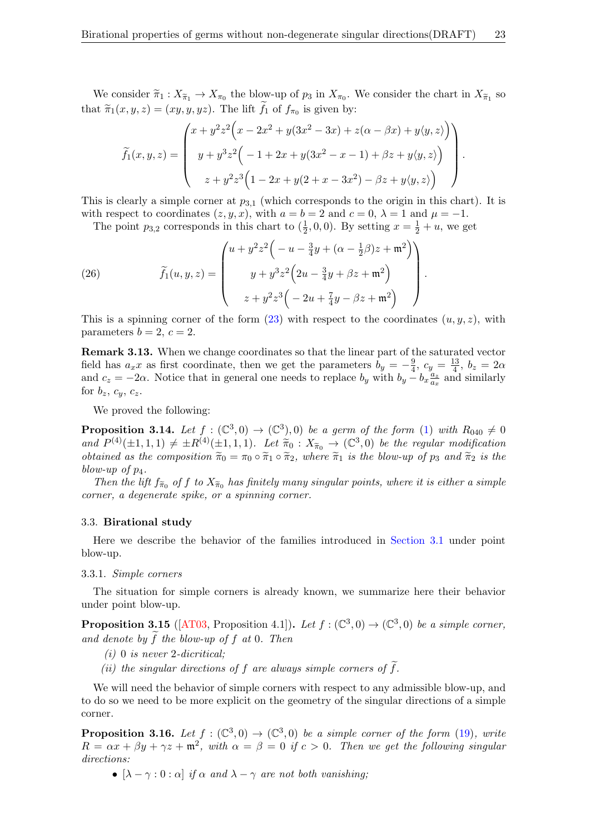We consider  $\widetilde{\pi}_1 : X_{\widetilde{\pi}_1} \to X_{\pi_0}$  the blow-up of  $p_3$  in  $X_{\pi_0}$ . We consider the chart in  $X_{\widetilde{\pi}_1}$  so that  $\widetilde{\pi}_1(x, y, z) = (xy, y, yz)$ . The lift  $f_1$  of  $f_{\pi_0}$  is given by:

$$
\widetilde{f}_1(x, y, z) = \begin{pmatrix} x + y^2 z^2 (x - 2x^2 + y(3x^2 - 3x) + z(\alpha - \beta x) + y \langle y, z \rangle) \\ y + y^3 z^2 (-1 + 2x + y(3x^2 - x - 1) + \beta z + y \langle y, z \rangle) \\ z + y^2 z^3 (1 - 2x + y(2 + x - 3x^2) - \beta z + y \langle y, z \rangle) \end{pmatrix}.
$$

This is clearly a simple corner at  $p_{3,1}$  (which corresponds to the origin in this chart). It is with respect to coordinates  $(z, y, x)$ , with  $a = b = 2$  and  $c = 0$ ,  $\lambda = 1$  and  $\mu = -1$ .

<span id="page-22-2"></span>The point  $p_{3,2}$  corresponds in this chart to  $(\frac{1}{2}, 0, 0)$ . By setting  $x = \frac{1}{2} + u$ , we get

(26) 
$$
\widetilde{f}_1(u, y, z) = \begin{pmatrix} u + y^2 z^2 \left( -u - \frac{3}{4}y + (\alpha - \frac{1}{2}\beta)z + \mathfrak{m}^2 \right) \\ y + y^3 z^2 \left( 2u - \frac{3}{4}y + \beta z + \mathfrak{m}^2 \right) \\ z + y^2 z^3 \left( -2u + \frac{7}{4}y - \beta z + \mathfrak{m}^2 \right) \end{pmatrix}
$$

This is a spinning corner of the form  $(23)$  with respect to the coordinates  $(u, y, z)$ , with parameters  $b = 2, c = 2$ .

.

Remark 3.13. When we change coordinates so that the linear part of the saturated vector field has  $a_x x$  as first coordinate, then we get the parameters  $b_y = -\frac{9}{4}$  $\frac{9}{4}$ ,  $c_y = \frac{13}{4}$  $\frac{13}{4}$ ,  $b_z = 2\alpha$ and  $c_z = -2\alpha$ . Notice that in general one needs to replace  $b_y$  with  $b_y - b_x \frac{a_z}{a_x}$  $\frac{a_z}{a_x}$  and similarly for  $b_z$ ,  $c_y$ ,  $c_z$ .

We proved the following:

<span id="page-22-0"></span>**Proposition 3.14.** Let  $f : (\mathbb{C}^3, 0) \to (\mathbb{C}^3), 0$  be a germ of the form [\(1\)](#page-1-0) with  $R_{040} \neq 0$ and  $P^{(4)}(\pm 1,1,1) \neq \pm R^{(4)}(\pm 1,1,1)$ . Let  $\tilde{\pi}_0 : X_{\tilde{\pi}_0} \to (\mathbb{C}^3,0)$  be the regular modification<br>obtained as the composition  $\tilde{\pi}_0 = \pi_0 \circ \tilde{\pi}_0 \circ \tilde{\pi}_0$  where  $\tilde{\pi}_1$  is the blow up of  $p_0$  and  $\tilde{\pi}_2$ obtained as the composition  $\tilde{\pi}_0 = \pi_0 \circ \tilde{\pi}_1 \circ \tilde{\pi}_2$ , where  $\tilde{\pi}_1$  is the blow-up of  $p_3$  and  $\tilde{\pi}_2$  is the blow-up of  $p_4$ .

Then the lift  $f_{\tilde{\pi}_0}$  of f to  $X_{\tilde{\pi}_0}$  has finitely many singular points, where it is either a simple<br>man a deconomic order a simple company someon corner, a degenerate spike, or a spinning corner.

#### 3.3. Birational study

Here we describe the behavior of the families introduced in [Section 3.1](#page-18-2) under point blow-up.

### 3.3.1. Simple corners

The situation for simple corners is already known, we summarize here their behavior under point blow-up.

<span id="page-22-1"></span>**Proposition 3.15** ([\[AT03,](#page-40-15) Proposition 4.1]). Let  $f: (\mathbb{C}^3, 0) \to (\mathbb{C}^3, 0)$  be a simple corner, and denote by  $\tilde{f}$  the blow-up of f at 0. Then

- $(i)$  0 is never 2-dicritical;
- (ii) the singular directions of f are always simple corners of  $\tilde{f}$ .

We will need the behavior of simple corners with respect to any admissible blow-up, and to do so we need to be more explicit on the geometry of the singular directions of a simple corner.

**Proposition 3.16.** Let  $f : (\mathbb{C}^3, 0) \to (\mathbb{C}^3, 0)$  be a simple corner of the form [\(19\)](#page-18-3), write  $R = \alpha x + \beta y + \gamma z + \mathfrak{m}^2$ , with  $\alpha = \beta = 0$  if  $c > 0$ . Then we get the following singular directions:

•  $[\lambda - \gamma : 0 : \alpha]$  if  $\alpha$  and  $\lambda - \gamma$  are not both vanishing;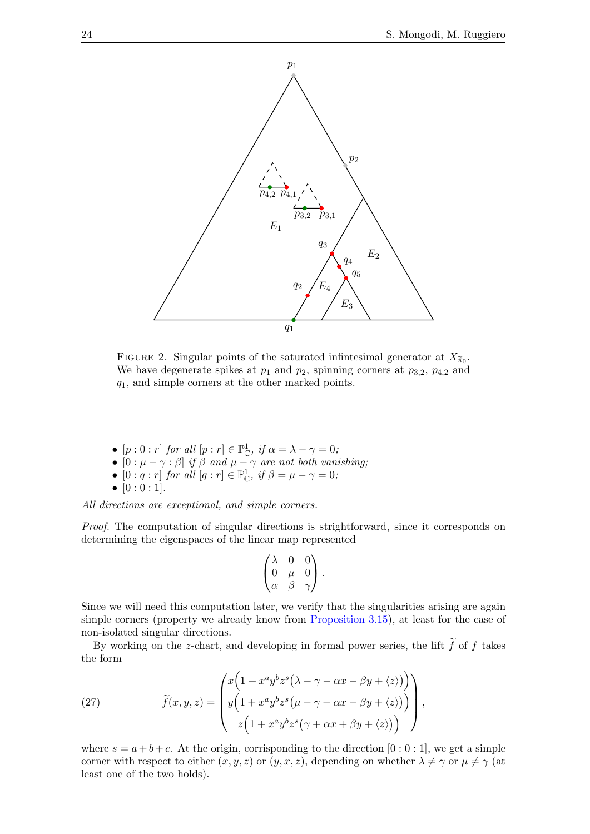

FIGURE 2. Singular points of the saturated infinitesimal generator at  $X_{\tilde{\pi}_0}$ . We have degenerate spikes at  $p_1$  and  $p_2$ , spinning corners at  $p_{3,2}$ ,  $p_{4,2}$  and  $q_1$ , and simple corners at the other marked points.

- $[p:0:r]$  for all  $[p:r] \in \mathbb{P}_{\mathbb{C}}^1$ , if  $\alpha = \lambda \gamma = 0$ ;
- $[0:\mu-\gamma:\beta]$  if  $\beta$  and  $\mu-\gamma$  are not both vanishing;
- $[0:q:r]$  for all  $[q:r] \in \mathbb{P}_{\mathbb{C}}^1$ , if  $\beta = \mu \gamma = 0$ ;
- $[0:0:1]$ .

All directions are exceptional, and simple corners.

Proof. The computation of singular directions is strightforward, since it corresponds on determining the eigenspaces of the linear map represented

$$
\begin{pmatrix}\n\lambda & 0 & 0 \\
0 & \mu & 0 \\
\alpha & \beta & \gamma\n\end{pmatrix}.
$$

Since we will need this computation later, we verify that the singularities arising are again simple corners (property we already know from [Proposition 3.15\)](#page-22-1), at least for the case of non-isolated singular directions.

By working on the z-chart, and developing in formal power series, the lift  $\tilde{f}$  of f takes the form

<span id="page-23-0"></span>(27) 
$$
\widetilde{f}(x, y, z) = \begin{pmatrix} x \left( 1 + x^a y^b z^s \left( \lambda - \gamma - \alpha x - \beta y + \langle z \rangle \right) \right) \\ y \left( 1 + x^a y^b z^s \left( \mu - \gamma - \alpha x - \beta y + \langle z \rangle \right) \right) \\ z \left( 1 + x^a y^b z^s \left( \gamma + \alpha x + \beta y + \langle z \rangle \right) \right) \end{pmatrix},
$$

where  $s = a + b + c$ . At the origin, corrisponding to the direction  $[0:0:1]$ , we get a simple corner with respect to either  $(x, y, z)$  or  $(y, x, z)$ , depending on whether  $\lambda \neq \gamma$  or  $\mu \neq \gamma$  (at least one of the two holds).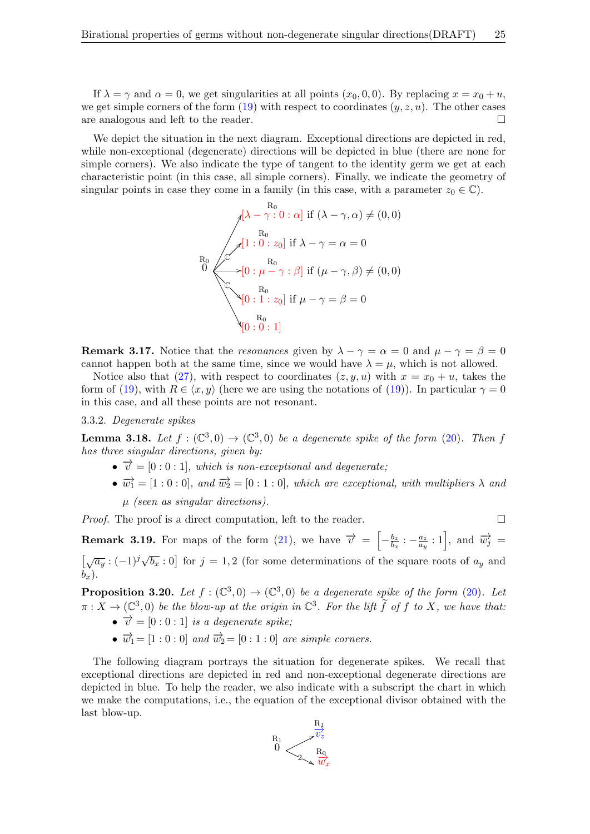If  $\lambda = \gamma$  and  $\alpha = 0$ , we get singularities at all points  $(x_0, 0, 0)$ . By replacing  $x = x_0 + u$ , we get simple corners of the form  $(19)$  with respect to coordinates  $(y, z, u)$ . The other cases are analogous and left to the reader.

We depict the situation in the next diagram. Exceptional directions are depicted in red, while non-exceptional (degenerate) directions will be depicted in blue (there are none for simple corners). We also indicate the type of tangent to the identity germ we get at each characteristic point (in this case, all simple corners). Finally, we indicate the geometry of singular points in case they come in a family (in this case, with a parameter  $z_0 \in \mathbb{C}$ ).

$$
R_0
$$
\n
$$
\begin{array}{c}\nR_0 \\
R_1 \\
R_2\n\end{array}
$$
\n
$$
R_1
$$
\n
$$
R_2
$$
\n
$$
R_3
$$
\n
$$
R_4
$$
\n
$$
R_5
$$
\n
$$
R_6
$$
\n
$$
R_7
$$
\n
$$
R_8
$$
\n
$$
[0: \mu - \gamma: \beta] \text{ if } (\mu - \gamma, \beta) \neq (0, 0)
$$
\n
$$
R_9
$$
\n
$$
[0: 1: z_0] \text{ if } \mu - \gamma = \beta = 0
$$
\n
$$
R_0
$$
\n
$$
[0: 0: 1]
$$

**Remark 3.17.** Notice that the resonances given by  $\lambda - \gamma = \alpha = 0$  and  $\mu - \gamma = \beta = 0$ cannot happen both at the same time, since we would have  $\lambda = \mu$ , which is not allowed.

Notice also that [\(27\)](#page-23-0), with respect to coordinates  $(z, y, u)$  with  $x = x_0 + u$ , takes the form of [\(19\)](#page-18-3), with  $R \in \langle x, y \rangle$  (here we are using the notations of (19)). In particular  $\gamma = 0$ in this case, and all these points are not resonant.

## 3.3.2. Degenerate spikes

**Lemma 3.18.** Let  $f : (\mathbb{C}^3, 0) \to (\mathbb{C}^3, 0)$  be a degenerate spike of the form [\(20\)](#page-18-1). Then f has three singular directions, given by:

- $\bullet \ \overrightarrow{v} = [0:0:1],$  which is non-exceptional and degenerate;
- $\overrightarrow{w_1} = [1:0:0],$  and  $\overrightarrow{w_2} = [0:1:0],$  which are exceptional, with multipliers  $\lambda$  and  $\mu$  (seen as singular directions).

*Proof.* The proof is a direct computation, left to the reader.  $\Box$ 

**Remark 3.19.** For maps of the form [\(21\)](#page-19-1), we have  $\vec{v} = \begin{bmatrix} -\frac{b_2}{b_1} & \cdots & \cdots & -\frac{b_{n-1}}{b_n} \end{bmatrix}$  $\frac{b_z}{b_x}:$   $-\frac{a_z}{a_y}$  $\left[\frac{a_z}{a_y} : 1\right]$ , and  $\overrightarrow{w}_j$  =  $\left[\sqrt{a_y}:(-1)^j\sqrt{b_x}:0\right]$  for  $j=1,2$  (for some determinations of the square roots of  $a_y$  and  $b_x$ ).

<span id="page-24-0"></span>**Proposition 3.20.** Let  $f : (\mathbb{C}^3, 0) \to (\mathbb{C}^3, 0)$  be a degenerate spike of the form [\(20\)](#page-18-1). Let  $\pi: X \to (\mathbb{C}^3, 0)$  be the blow-up at the origin in  $\mathbb{C}^3$ . For the lift  $\widetilde{f}$  of f to X, we have that:

- $\vec{v} = [0:0:1]$  is a degenerate spike;
- $\overrightarrow{w}_1 = [1:0:0]$  and  $\overrightarrow{w}_2 = [0:1:0]$  are simple corners.

The following diagram portrays the situation for degenerate spikes. We recall that exceptional directions are depicted in red and non-exceptional degenerate directions are depicted in blue. To help the reader, we also indicate with a subscript the chart in which we make the computations, i.e., the equation of the exceptional divisor obtained with the last blow-up.

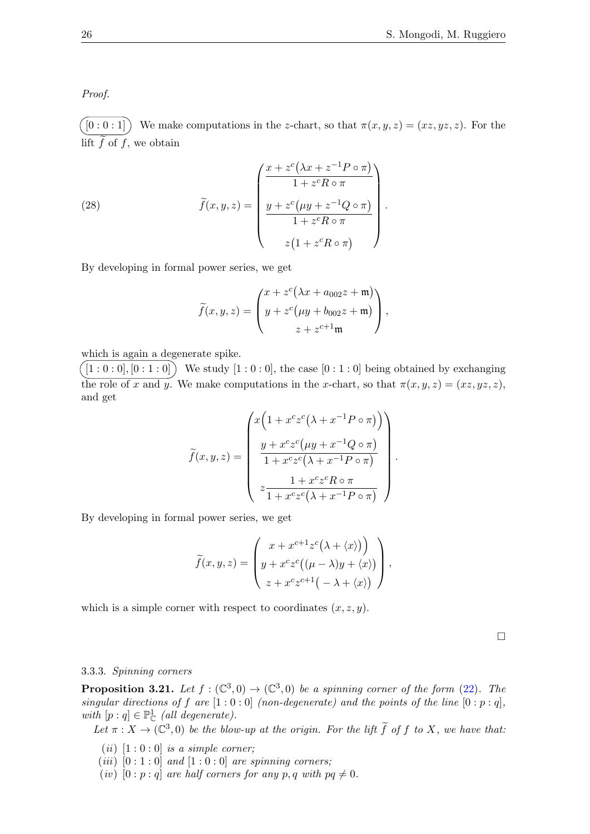Proof.

 $(0:0:1]$  We make computations in the z-chart, so that  $\pi(x,y,z) = (xz,yz,z)$ . For the lift  $f$  of  $f$ , we obtain

(28) 
$$
\widetilde{f}(x, y, z) = \begin{pmatrix} \frac{x + z^{c}(\lambda x + z^{-1} P \circ \pi)}{1 + z^{c} R \circ \pi} \\ \frac{y + z^{c}(\mu y + z^{-1} Q \circ \pi)}{1 + z^{c} R \circ \pi} \\ z(1 + z^{c} R \circ \pi) \end{pmatrix}.
$$

By developing in formal power series, we get

$$
\widetilde{f}(x,y,z) = \begin{pmatrix} x + z^c (\lambda x + a_{002}z + \mathfrak{m}) \\ y + z^c (\mu y + b_{002}z + \mathfrak{m}) \\ z + z^{c+1} \mathfrak{m} \end{pmatrix},
$$

which is again a degenerate spike.

 $([1:0:0],[0:1:0])$  We study  $[1:0:0]$ , the case  $[0:1:0]$  being obtained by exchanging the role of x and y. We make computations in the x-chart, so that  $\pi(x, y, z) = (xz, yz, z)$ , and get

$$
\widetilde{f}(x,y,z) = \begin{pmatrix} x \left( 1 + x^c z^c \left( \lambda + x^{-1} P \circ \pi \right) \right) \\ y + x^c z^c \left( \mu y + x^{-1} Q \circ \pi \right) \\ 1 + x^c z^c \left( \lambda + x^{-1} P \circ \pi \right) \\ z \frac{1 + x^c z^c R \circ \pi}{1 + x^c z^c \left( \lambda + x^{-1} P \circ \pi \right)} \end{pmatrix}.
$$

By developing in formal power series, we get

$$
\widetilde{f}(x, y, z) = \begin{pmatrix} x + x^{c+1} z^c (\lambda + \langle x \rangle) \\ y + x^c z^c ((\mu - \lambda) y + \langle x \rangle) \\ z + x^c z^{c+1} (-\lambda + \langle x \rangle) \end{pmatrix},
$$

which is a simple corner with respect to coordinates  $(x, z, y)$ .

 $\Box$ 

## 3.3.3. Spinning corners

<span id="page-25-0"></span>**Proposition 3.21.** Let  $f : (\mathbb{C}^3, 0) \to (\mathbb{C}^3, 0)$  be a spinning corner of the form [\(22\)](#page-19-2). The singular directions of f are  $[1:0:0]$  (non-degenerate) and the points of the line  $[0:p:q]$ , with  $[p:q] \in \mathbb{P}^1_{\mathbb{C}}$  (all degenerate).

Let  $\pi: X \to (\mathbb{C}^3, 0)$  be the blow-up at the origin. For the lift  $\tilde{f}$  of f to X, we have that:

- (*ii*)  $[1:0:0]$  *is a simple corner;*
- (iii)  $[0:1:0]$  and  $[1:0:0]$  are spinning corners;
- (iv)  $[0:p:q]$  are half corners for any p, q with  $pq \neq 0$ .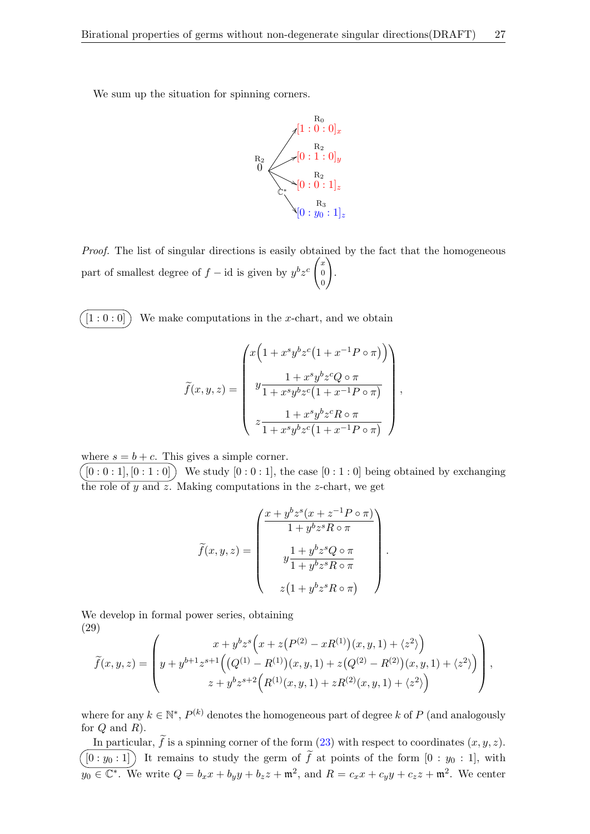We sum up the situation for spinning corners.



Proof. The list of singular directions is easily obtained by the fact that the homogeneous part of smallest degree of  $f - id$  is given by  $y^b z^c \begin{pmatrix} x \\ 0 \end{pmatrix}$ 0 0  $\setminus$ .

 $[1:0:0]$  We make computations in the x-chart, and we obtain

$$
\widetilde{f}(x,y,z) = \begin{pmatrix} x \left(1 + x^s y^b z^c \left(1 + x^{-1} P \circ \pi\right) \right) \\ y \frac{1 + x^s y^b z^c Q \circ \pi}{1 + x^s y^b z^c \left(1 + x^{-1} P \circ \pi\right)} \\ z \frac{1 + x^s y^b z^c R \circ \pi}{1 + x^s y^b z^c \left(1 + x^{-1} P \circ \pi\right)} \end{pmatrix},
$$

where  $s = b + c$ . This gives a simple corner.

 $[0:0:1], [0:1:0]$  We study  $[0:0:1],$  the case  $[0:1:0]$  being obtained by exchanging the role of  $y$  and  $\overline{z}$ . Making computations in the  $z$ -chart, we get

$$
\widetilde{f}(x, y, z) = \begin{pmatrix}\n\frac{x + y^b z^s (x + z^{-1} P \circ \pi)}{1 + y^b z^s R \circ \pi} \\
y \frac{1 + y^b z^s Q \circ \pi}{1 + y^b z^s R \circ \pi} \\
z (1 + y^b z^s R \circ \pi)\n\end{pmatrix}
$$

.

We develop in formal power series, obtaining (29)

<span id="page-26-0"></span>
$$
\widetilde{f}(x,y,z) = \left( y + y^{b+1} z^{s+1} \Big( \big( Q^{(1)} - R^{(1)} \big) (x,y,1) + z \big( Q^{(2)} - R^{(2)} \big) (x,y,1) + \langle z^2 \rangle \Big) \right),
$$
\n
$$
z + y^b z^{s+2} \Big( R^{(1)}(x,y,1) + z R^{(2)}(x,y,1) + \langle z^2 \rangle \Big) \right),
$$

where for any  $k \in \mathbb{N}^*$ ,  $P^{(k)}$  denotes the homogeneous part of degree k of P (and analogously for  $Q$  and  $R$ ).

In particular,  $\tilde{f}$  is a spinning corner of the form [\(23\)](#page-19-0) with respect to coordinates  $(x, y, z)$ .  $(0 : y_0 : 1)$  It remains to study the germ of  $\tilde{f}$  at points of the form  $[0 : y_0 : 1]$ , with  $y_0 \in \mathbb{C}^*$ . We write  $Q = b_x x + b_y y + b_z z + \mathfrak{m}^2$ , and  $R = c_x x + c_y y + c_z z + \mathfrak{m}^2$ . We center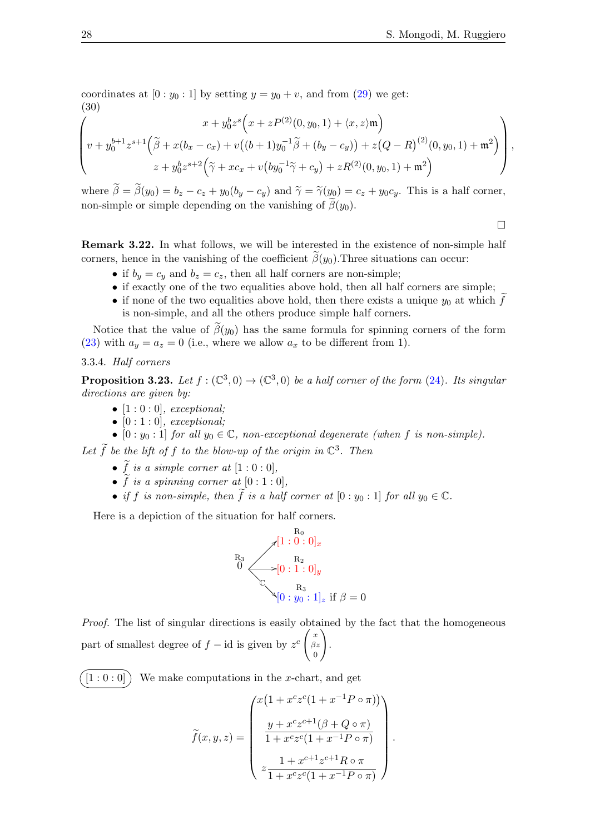coordinates at  $[0 : y_0 : 1]$  by setting  $y = y_0 + v$ , and from  $(29)$  we get: (30)

<span id="page-27-1"></span>
$$
\left(v+y_0^{b+1}z^{s+1}\left(\tilde{\beta}+x(b_x-c_x)+v((b+1)y_0^{-1}\tilde{\beta}+(b_y-c_y))+z(Q-R)^{(2)}(0,y_0,1)+\mathfrak{m}^2\right)\right),
$$
  

$$
z+y_0^bz^{s+2}\left(\tilde{\gamma}+xc_x+v\left(by_0^{-1}\tilde{\gamma}+c_y\right)+zR^{(2)}(0,y_0,1)+\mathfrak{m}^2\right)\right),
$$

where  $\tilde{\beta} = \tilde{\beta}(y_0) = b_z - c_z + y_0(b_y - c_y)$  and  $\tilde{\gamma} = \tilde{\gamma}(y_0) = c_z + y_0c_y$ . This is a half corner, non-simple or simple depending on the vanishing of  $\tilde{\beta}(y_0)$ .

 $\Box$ 

Remark 3.22. In what follows, we will be interested in the existence of non-simple half corners, hence in the vanishing of the coefficient  $\beta(y_0)$ . Three situations can occur:

- if  $b_y = c_y$  and  $b_z = c_z$ , then all half corners are non-simple;
- if exactly one of the two equalities above hold, then all half corners are simple;
- if none of the two equalities above hold, then there exists a unique  $y_0$  at which f is non-simple, and all the others produce simple half corners.

Notice that the value of  $\beta(y_0)$  has the same formula for spinning corners of the form [\(23\)](#page-19-0) with  $a_y = a_z = 0$  (i.e., where we allow  $a_x$  to be different from 1).

## 3.3.4. Half corners

<span id="page-27-0"></span>**Proposition 3.23.** Let  $f : (\mathbb{C}^3, 0) \to (\mathbb{C}^3, 0)$  be a half corner of the form [\(24\)](#page-20-0). Its singular directions are given by:

- $[1:0:0]$ , exceptional;
- $[0:1:0]$ , exceptional;
- $[0:y_0:1]$  for all  $y_0 \in \mathbb{C}$ , non-exceptional degenerate (when f is non-simple).

Let  $\widetilde{f}$  be the lift of f to the blow-up of the origin in  $\mathbb{C}^3$ . Then

- $\tilde{f}$  is a simple corner at  $[1:0:0],$
- $\tilde{f}$  is a spinning corner at  $[0:1:0],$
- if f is non-simple, then  $\tilde{f}$  is a half corner at  $[0 : y_0 : 1]$  for all  $y_0 \in \mathbb{C}$ .

Here is a depiction of the situation for half corners.

$$
\begin{array}{r}\n\text{R}_0 \\
\hline\n\begin{bmatrix}\n\text{R}_3 \\
\text{R}_2 \\
\text{R}_3\n\end{bmatrix} \\
\hline\n\begin{bmatrix}\n\text{R}_2 \\
\text{R}_2 \\
\text{R}_3\n\end{bmatrix} \\
\hline\n\begin{bmatrix}\n\text{R}_3 \\
\text{R}_3\n\end{bmatrix} : 1]_z \text{ if } \beta = 0\n\end{array}
$$

Proof. The list of singular directions is easily obtained by the fact that the homogeneous part of smallest degree of  $f - id$  is given by  $z^c \begin{pmatrix} x \\ \beta x \end{pmatrix}$  $\beta z$ 0  $\setminus$ .

 $[1:0:0]$  We make computations in the x-chart, and get

$$
\tilde{f}(x, y, z) = \begin{pmatrix} x(1 + x^c z^c (1 + x^{-1} P \circ \pi)) \\ y + x^c z^{c+1} (\beta + Q \circ \pi) \\ 1 + x^c z^c (1 + x^{-1} P \circ \pi) \\ z \frac{1 + x^{c+1} z^{c+1} R \circ \pi}{1 + x^c z^c (1 + x^{-1} P \circ \pi)} \end{pmatrix}
$$

.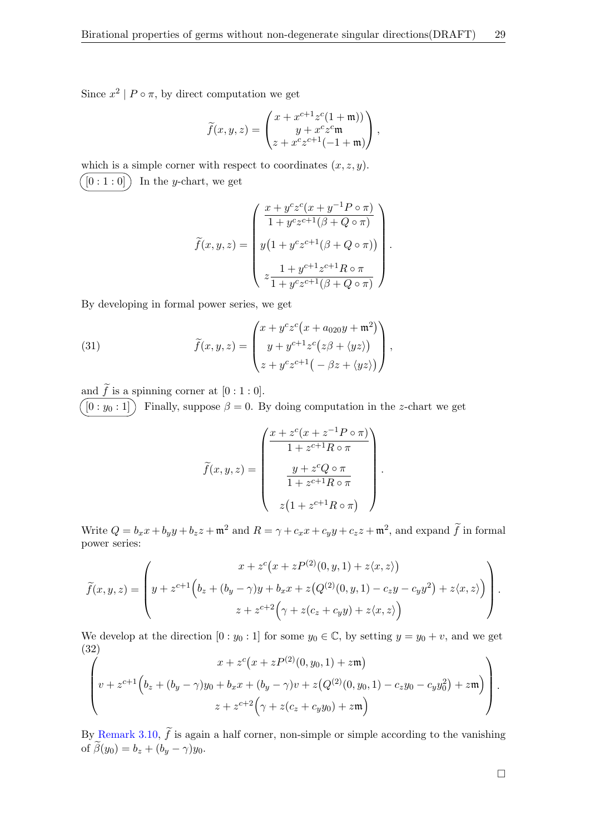Since  $x^2 \mid P \circ \pi$ , by direct computation we get

$$
\widetilde{f}(x,y,z) = \begin{pmatrix} x + x^{c+1} z^c (1 + \mathfrak{m})) \\ y + x^c z^c \mathfrak{m} \\ z + x^c z^{c+1} (-1 + \mathfrak{m}) \end{pmatrix},
$$

which is a simple corner with respect to coordinates  $(x, z, y)$ .  $[0:1:0]$  In the y-chart, we get

$$
\widetilde{f}(x, y, z) = \begin{pmatrix}\n\frac{x + y^c z^c (x + y^{-1} P \circ \pi)}{1 + y^c z^{c+1} (\beta + Q \circ \pi)} \\
y (1 + y^c z^{c+1} (\beta + Q \circ \pi)) \\
z \frac{1 + y^{c+1} z^{c+1} R \circ \pi}{1 + y^c z^{c+1} (\beta + Q \circ \pi)}\n\end{pmatrix}.
$$

By developing in formal power series, we get

(31) 
$$
\widetilde{f}(x,y,z) = \begin{pmatrix} x + y^c z^c (x + a_{020}y + \mathfrak{m}^2) \\ y + y^{c+1} z^c (z\beta + \langle yz \rangle) \\ z + y^c z^{c+1} (-\beta z + \langle yz \rangle) \end{pmatrix},
$$

and  $f$  is a spinning corner at  $[0:1:0]$ .

 $[0:y_0:1]$  Finally, suppose  $\beta=0$ . By doing computation in the z-chart we get

$$
\widetilde{f}(x, y, z) = \begin{pmatrix}\n\frac{x + z^c (x + z^{-1} P \circ \pi)}{1 + z^{c+1} R \circ \pi} \\
\frac{y + z^c Q \circ \pi}{1 + z^{c+1} R \circ \pi} \\
z (1 + z^{c+1} R \circ \pi)\n\end{pmatrix}
$$

.

Write  $Q = b_x x + b_y y + b_z z + \mathfrak{m}^2$  and  $R = \gamma + c_x x + c_y y + c_z z + \mathfrak{m}^2$ , and expand  $\tilde{f}$  in formal power series:

$$
\widetilde{f}(x,y,z) = \left( y + z^{c+1} \left( b_z + (b_y - \gamma)y + b_x x + z \left( Q^{(2)}(0, y, 1) - c_z y - c_y y^2 \right) + z \langle x, z \rangle \right) \right) \cdot z + z^{c+2} \left( \gamma + z (c_z + c_y y) + z \langle x, z \rangle \right)
$$

We develop at the direction  $[0:y_0:1]$  for some  $y_0 \in \mathbb{C}$ , by setting  $y = y_0 + v$ , and we get (32)

<span id="page-28-0"></span>
$$
\left(v+z^{c+1}\left(b_z+(b_y-\gamma)y_0+b_xx+(b_y-\gamma)v+z\left(Q^{(2)}(0,y_0,1)-c_zy_0-c_yy_0^2\right)+zm\right)\right).
$$
  

$$
z+z^{c+2}\left(\gamma+z(c_z+c_yy_0)+zm\right)
$$

By [Remark 3.10,](#page-20-1)  $\tilde{f}$  is again a half corner, non-simple or simple according to the vanishing of  $\widetilde{\beta}(y_0) = b_z + (b_y - \gamma)y_0$ .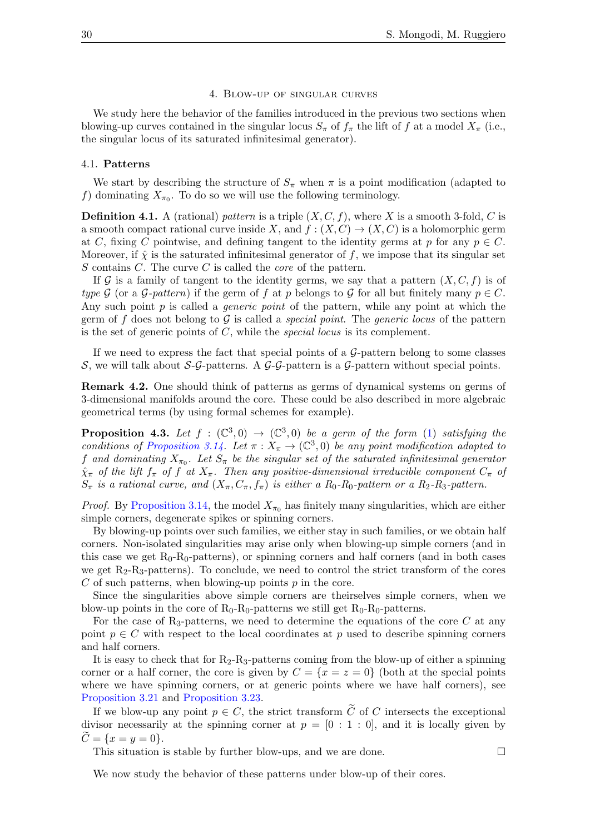#### 4. Blow-up of singular curves

<span id="page-29-0"></span>We study here the behavior of the families introduced in the previous two sections when blowing-up curves contained in the singular locus  $S_{\pi}$  of  $f_{\pi}$  the lift of f at a model  $X_{\pi}$  (i.e., the singular locus of its saturated infinitesimal generator).

### 4.1. Patterns

We start by describing the structure of  $S_\pi$  when  $\pi$  is a point modification (adapted to f) dominating  $X_{\pi_0}$ . To do so we will use the following terminology.

**Definition 4.1.** A (rational) pattern is a triple  $(X, C, f)$ , where X is a smooth 3-fold, C is a smooth compact rational curve inside X, and  $f : (X, C) \to (X, C)$  is a holomorphic germ at C, fixing C pointwise, and defining tangent to the identity germs at p for any  $p \in C$ . Moreover, if  $\hat{\chi}$  is the saturated infinitesimal generator of f, we impose that its singular set  $S$  contains  $C$ . The curve  $C$  is called the *core* of the pattern.

If G is a family of tangent to the identity germs, we say that a pattern  $(X, C, f)$  is of type G (or a G-pattern) if the germ of f at p belongs to G for all but finitely many  $p \in C$ . Any such point  $p$  is called a *generic point* of the pattern, while any point at which the germ of f does not belong to  $\mathcal G$  is called a *special point*. The *generic locus* of the pattern is the set of generic points of  $C$ , while the *special locus* is its complement.

If we need to express the fact that special points of a  $\mathcal{G}\text{-pattern}$  belong to some classes S, we will talk about S-G-patterns. A G-G-pattern is a G-pattern without special points.

Remark 4.2. One should think of patterns as germs of dynamical systems on germs of 3-dimensional manifolds around the core. These could be also described in more algebraic geometrical terms (by using formal schemes for example).

<span id="page-29-1"></span>**Proposition 4.3.** Let  $f : (\mathbb{C}^3,0) \to (\mathbb{C}^3,0)$  be a germ of the form [\(1\)](#page-1-0) satisfying the conditions of [Proposition 3.14.](#page-22-0) Let  $\pi: X_{\pi} \to (\mathbb{C}^3, 0)$  be any point modification adapted to f and dominating  $X_{\pi_0}$ . Let  $S_{\pi}$  be the singular set of the saturated infinitesimal generator  $\hat{\chi}_{\pi}$  of the lift  $f_{\pi}$  of f at  $X_{\pi}$ . Then any positive-dimensional irreducible component  $C_{\pi}$  of  $S_{\pi}$  is a rational curve, and  $(X_{\pi}, C_{\pi}, f_{\pi})$  is either a  $R_0$ - $R_0$ -pattern or a  $R_2$ - $R_3$ -pattern.

*Proof.* By [Proposition 3.14,](#page-22-0) the model  $X_{\pi_0}$  has finitely many singularities, which are either simple corners, degenerate spikes or spinning corners.

By blowing-up points over such families, we either stay in such families, or we obtain half corners. Non-isolated singularities may arise only when blowing-up simple corners (and in this case we get  $R_0-R_0$ -patterns), or spinning corners and half corners (and in both cases we get  $R_2-R_3$ -patterns). To conclude, we need to control the strict transform of the cores  $C$  of such patterns, when blowing-up points  $p$  in the core.

Since the singularities above simple corners are theirselves simple corners, when we blow-up points in the core of  $R_0-R_0$ -patterns we still get  $R_0-R_0$ -patterns.

For the case of  $R_3$ -patterns, we need to determine the equations of the core C at any point  $p \in C$  with respect to the local coordinates at p used to describe spinning corners and half corners.

It is easy to check that for  $R_2-R_3$ -patterns coming from the blow-up of either a spinning corner or a half corner, the core is given by  $C = \{x = z = 0\}$  (both at the special points where we have spinning corners, or at generic points where we have half corners), see [Proposition 3.21](#page-25-0) and [Proposition 3.23.](#page-27-0)

If we blow-up any point  $p \in C$ , the strict transform  $\widetilde{C}$  of C intersects the exceptional divisor necessarily at the spinning corner at  $p = [0 : 1 : 0]$ , and it is locally given by  $\widetilde{C} = \{x = y = 0\}.$ 

This situation is stable by further blow-ups, and we are done.  $\Box$ 

We now study the behavior of these patterns under blow-up of their cores.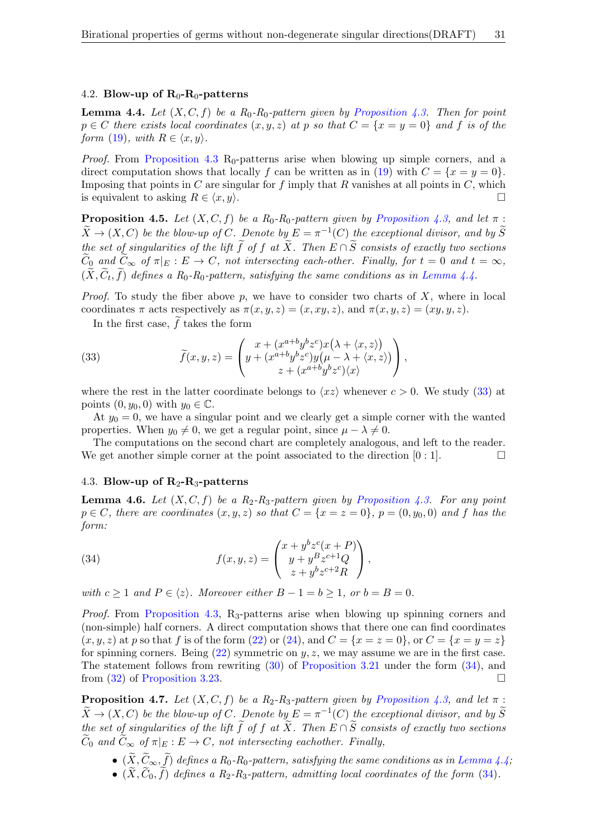### 4.2. Blow-up of  $R_0-R_0$ -patterns

<span id="page-30-0"></span>**Lemma 4.4.** Let  $(X, C, f)$  be a  $R_0$ - $R_0$ -pattern given by [Proposition 4.3.](#page-29-1) Then for point  $p \in C$  there exists local coordinates  $(x, y, z)$  at p so that  $C = \{x = y = 0\}$  and f is of the form [\(19\)](#page-18-3), with  $R \in \langle x, y \rangle$ .

Proof. From [Proposition 4.3](#page-29-1) R<sub>0</sub>-patterns arise when blowing up simple corners, and a direct computation shows that locally f can be written as in [\(19\)](#page-18-3) with  $C = \{x = y = 0\}$ . Imposing that points in  $C$  are singular for  $f$  imply that  $R$  vanishes at all points in  $C$ , which is equivalent to asking  $R \in \langle x, y \rangle$ .

<span id="page-30-3"></span>**Proposition 4.5.** Let  $(X, C, f)$  be a R<sub>0</sub>-R<sub>0</sub>-pattern given by [Proposition 4.3,](#page-29-1) and let  $\pi$ :  $\widetilde{X} \to (X, C)$  be the blow-up of C. Denote by  $E = \pi^{-1}(C)$  the exceptional divisor, and by  $\widetilde{S}$ the set of singularities of the lift  $\tilde{f}$  of f at  $\tilde{X}$ . Then  $E \cap \tilde{S}$  consists of exactly two sections  $\widetilde{C}_0$  and  $\widetilde{C}_\infty$  of  $\pi|_E : E \to C$ , not intersecting each-other. Finally, for  $t = 0$  and  $t = \infty$ ,  $(X, C_t, f)$  defines a R<sub>0</sub>-R<sub>0</sub>-pattern, satisfying the same conditions as in [Lemma 4.4.](#page-30-0)

*Proof.* To study the fiber above p, we have to consider two charts of  $X$ , where in local coordinates  $\pi$  acts respectively as  $\pi(x, y, z) = (x, xy, z)$ , and  $\pi(x, y, z) = (xy, y, z)$ .

<span id="page-30-1"></span>In the first case,  $\widetilde{f}$  takes the form

(33) 
$$
\widetilde{f}(x,y,z) = \begin{pmatrix} x + (x^{a+b}y^bz^c)x(\lambda + \langle x,z \rangle) \\ y + (x^{a+b}y^bz^c)y(\mu - \lambda + \langle x,z \rangle) \\ z + (x^{a+b}y^bz^c)\langle x \rangle \end{pmatrix},
$$

where the rest in the latter coordinate belongs to  $\langle xz \rangle$  whenever  $c > 0$ . We study [\(33\)](#page-30-1) at points  $(0, y_0, 0)$  with  $y_0 \in \mathbb{C}$ .

At  $y_0 = 0$ , we have a singular point and we clearly get a simple corner with the wanted properties. When  $y_0 \neq 0$ , we get a regular point, since  $\mu - \lambda \neq 0$ .

The computations on the second chart are completely analogous, and left to the reader. We get another simple corner at the point associated to the direction  $[0:1]$ .

## 4.3. Blow-up of  $R_2-R_3$ -patterns

**Lemma 4.6.** Let  $(X, C, f)$  be a  $R_2-R_3$ -pattern given by [Proposition 4.3.](#page-29-1) For any point  $p \in C$ , there are coordinates  $(x, y, z)$  so that  $C = \{x = z = 0\}$ ,  $p = (0, y_0, 0)$  and f has the form:

<span id="page-30-2"></span>(34) 
$$
f(x,y,z) = \begin{pmatrix} x + y^b z^c (x+P) \\ y + y^B z^{c+1} Q \\ z + y^b z^{c+2} R \end{pmatrix},
$$

with  $c \ge 1$  and  $P \in \langle z \rangle$ . Moreover either  $B - 1 = b \ge 1$ , or  $b = B = 0$ .

Proof. From [Proposition 4.3,](#page-29-1) R<sub>3</sub>-patterns arise when blowing up spinning corners and (non-simple) half corners. A direct computation shows that there one can find coordinates  $(x, y, z)$  at p so that f is of the form [\(22\)](#page-19-2) or [\(24\)](#page-20-0), and  $C = \{x = z = 0\}$ , or  $C = \{x = y = z\}$ for spinning corners. Being  $(22)$  symmetric on y, z, we may assume we are in the first case. The statement follows from rewriting [\(30\)](#page-27-1) of [Proposition 3.21](#page-25-0) under the form [\(34\)](#page-30-2), and from [\(32\)](#page-28-0) of [Proposition 3.23.](#page-27-0)

<span id="page-30-4"></span>**Proposition 4.7.** Let  $(X, C, f)$  be a R<sub>2</sub>-R<sub>3</sub>-pattern given by [Proposition 4.3,](#page-29-1) and let  $\pi$ :  $\widetilde{X} \to (X, C)$  be the blow-up of C. Denote by  $E = \pi^{-1}(C)$  the exceptional divisor, and by  $\widetilde{S}$ the set of singularities of the lift  $\tilde{f}$  of f at  $\tilde{X}$ . Then  $E \cap \tilde{S}$  consists of exactly two sections  $\widetilde{C}_0$  and  $\widetilde{C}_{\infty}$  of  $\pi|_E : E \to C$ , not intersecting eachother. Finally,

- $(\widetilde{X}, \widetilde{C}_{\infty}, \widetilde{f})$  defines a  $R_0$ - $R_0$ -pattern, satisfying the same conditions as in [Lemma 4.4;](#page-30-0)
- $(\tilde{X}, \tilde{C}_0, \tilde{f})$  defines a R<sub>2</sub>-R<sub>3</sub>-pattern, admitting local coordinates of the form [\(34\)](#page-30-2).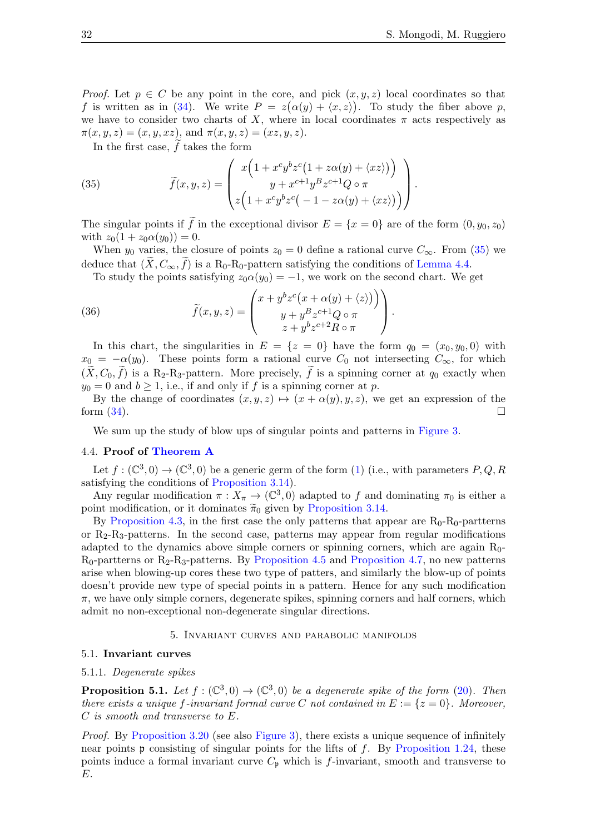*Proof.* Let  $p \in C$  be any point in the core, and pick  $(x, y, z)$  local coordinates so that f is written as in [\(34\)](#page-30-2). We write  $P = z(\alpha(y) + \langle x, z \rangle)$ . To study the fiber above p, we have to consider two charts of X, where in local coordinates  $\pi$  acts respectively as  $\pi(x, y, z) = (x, y, xz), \text{ and } \pi(x, y, z) = (xz, y, z).$ 

<span id="page-31-1"></span>In the first case,  $\tilde{f}$  takes the form

(35) 
$$
\widetilde{f}(x,y,z) = \begin{pmatrix} x\left(1 + x^c y^b z^c \left(1 + z\alpha(y) + \langle xz \rangle\right)\right) \\ y + x^{c+1} y^B z^{c+1} Q \circ \pi \\ z\left(1 + x^c y^b z^c \left(-1 - z\alpha(y) + \langle xz \rangle\right)\right) \end{pmatrix}.
$$

The singular points if  $\tilde{f}$  in the exceptional divisor  $E = \{x = 0\}$  are of the form  $(0, y_0, z_0)$ with  $z_0(1 + z_0 \alpha(y_0)) = 0$ .

When  $y_0$  varies, the closure of points  $z_0 = 0$  define a rational curve  $C_{\infty}$ . From [\(35\)](#page-31-1) we deduce that  $(X, C_{\infty}, f)$  is a R<sub>0</sub>-R<sub>0</sub>-pattern satisfying the conditions of [Lemma 4.4.](#page-30-0)

<span id="page-31-2"></span>To study the points satisfying  $z_0 \alpha(y_0) = -1$ , we work on the second chart. We get

(36) 
$$
\widetilde{f}(x, y, z) = \begin{pmatrix} x + y^b z^c (x + \alpha(y) + \langle z \rangle) \\ y + y^B z^{c+1} Q \circ \pi \\ z + y^b z^{c+2} R \circ \pi \end{pmatrix}.
$$

In this chart, the singularities in  $E = \{z = 0\}$  have the form  $q_0 = (x_0, y_0, 0)$  with  $x_0 = -\alpha(y_0)$ . These points form a rational curve  $C_0$  not intersecting  $C_{\infty}$ , for which  $(\tilde{X}, C_0, \tilde{f})$  is a R<sub>2</sub>-R<sub>3</sub>-pattern. More precisely,  $\tilde{f}$  is a spinning corner at  $q_0$  exactly when  $y_0 = 0$  and  $b \ge 1$ , i.e., if and only if f is a spinning corner at p.

By the change of coordinates  $(x, y, z) \mapsto (x + \alpha(y), y, z)$ , we get an expression of the form  $(34)$ .

We sum up the study of blow ups of singular points and patterns in [Figure 3.](#page-32-0)

## 4.4. Proof of [Theorem A](#page-1-1)

Let  $f: (\mathbb{C}^3,0) \to (\mathbb{C}^3,0)$  be a generic germ of the form [\(1\)](#page-1-0) (i.e., with parameters  $P,Q,R$ satisfying the conditions of [Proposition 3.14\)](#page-22-0).

Any regular modification  $\pi: X_{\pi} \to (\mathbb{C}^3, 0)$  adapted to f and dominating  $\pi_0$  is either a point modification, or it dominates  $\tilde{\pi}_0$  given by [Proposition 3.14.](#page-22-0)

By [Proposition 4.3,](#page-29-1) in the first case the only patterns that appear are  $R_0-R_0$ -partterns or  $R_2-R_3$ -patterns. In the second case, patterns may appear from regular modifications adapted to the dynamics above simple corners or spinning corners, which are again  $R_0$ - $R_0$ -partterns or  $R_2$ - $R_3$ -patterns. By [Proposition 4.5](#page-30-3) and [Proposition 4.7,](#page-30-4) no new patterns arise when blowing-up cores these two type of patters, and similarly the blow-up of points doesn't provide new type of special points in a pattern. Hence for any such modification  $\pi$ , we have only simple corners, degenerate spikes, spinning corners and half corners, which admit no non-exceptional non-degenerate singular directions.

#### 5. Invariant curves and parabolic manifolds

### <span id="page-31-0"></span>5.1. Invariant curves

#### 5.1.1. Degenerate spikes

<span id="page-31-3"></span>**Proposition 5.1.** Let  $f : (\mathbb{C}^3, 0) \to (\mathbb{C}^3, 0)$  be a degenerate spike of the form [\(20\)](#page-18-1). Then there exists a unique f-invariant formal curve C not contained in  $E := \{z = 0\}$ . Moreover, C is smooth and transverse to E.

Proof. By [Proposition 3.20](#page-24-0) (see also [Figure 3\)](#page-32-0), there exists a unique sequence of infinitely near points  $\mathfrak p$  consisting of singular points for the lifts of f. By [Proposition 1.24,](#page-9-1) these points induce a formal invariant curve  $C_{\mathfrak{p}}$  which is f-invariant, smooth and transverse to E.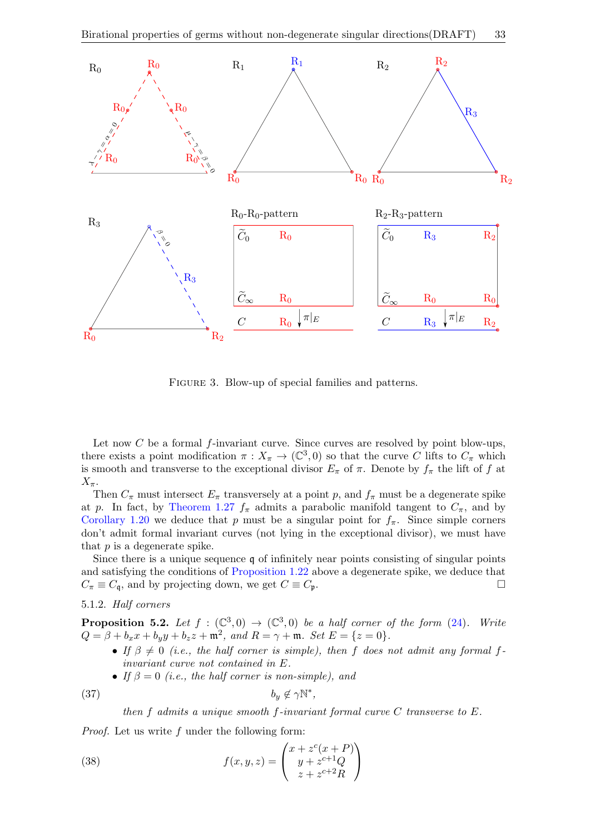<span id="page-32-0"></span>

Figure 3. Blow-up of special families and patterns.

Let now  $C$  be a formal  $f$ -invariant curve. Since curves are resolved by point blow-ups, there exists a point modification  $\pi: X_{\pi} \to (\mathbb{C}^3, 0)$  so that the curve C lifts to  $C_{\pi}$  which is smooth and transverse to the exceptional divisor  $E_{\pi}$  of  $\pi$ . Denote by  $f_{\pi}$  the lift of f at  $X_{\pi}$ .

Then  $C_{\pi}$  must intersect  $E_{\pi}$  transversely at a point p, and  $f_{\pi}$  must be a degenerate spike at p. In fact, by [Theorem 1.27](#page-10-0)  $f_{\pi}$  admits a parabolic manifold tangent to  $C_{\pi}$ , and by [Corollary 1.20](#page-8-1) we deduce that p must be a singular point for  $f_{\pi}$ . Since simple corners don't admit formal invariant curves (not lying in the exceptional divisor), we must have that  $p$  is a degenerate spike.

Since there is a unique sequence q of infinitely near points consisting of singular points and satisfying the conditions of [Proposition 1.22](#page-9-0) above a degenerate spike, we deduce that  $C_{\pi} \equiv C_{\mathfrak{q}}$ , and by projecting down, we get  $C \equiv C_{\mathfrak{p}}$ .

## 5.1.2. Half corners

<span id="page-32-1"></span>**Proposition 5.2.** Let  $f : (\mathbb{C}^3, 0) \to (\mathbb{C}^3, 0)$  be a half corner of the form [\(24\)](#page-20-0). Write  $Q = \beta + b_x x + b_y y + b_z z + \mathfrak{m}^2$ , and  $R = \gamma + \mathfrak{m}$ . Set  $E = \{z = 0\}$ .

• If  $\beta \neq 0$  (i.e., the half corner is simple), then f does not admit any formal finvariant curve not contained in E.

<span id="page-32-2"></span>∗ ,

• If  $\beta = 0$  (i.e., the half corner is non-simple), and

$$
(37) \t\t b_y \notin \gamma \mathbb{N}
$$

then f admits a unique smooth f-invariant formal curve C transverse to E.

Proof. Let us write f under the following form:

(38) 
$$
f(x,y,z) = \begin{pmatrix} x + z^c(x+P) \\ y + z^{c+1}Q \\ z + z^{c+2}R \end{pmatrix}
$$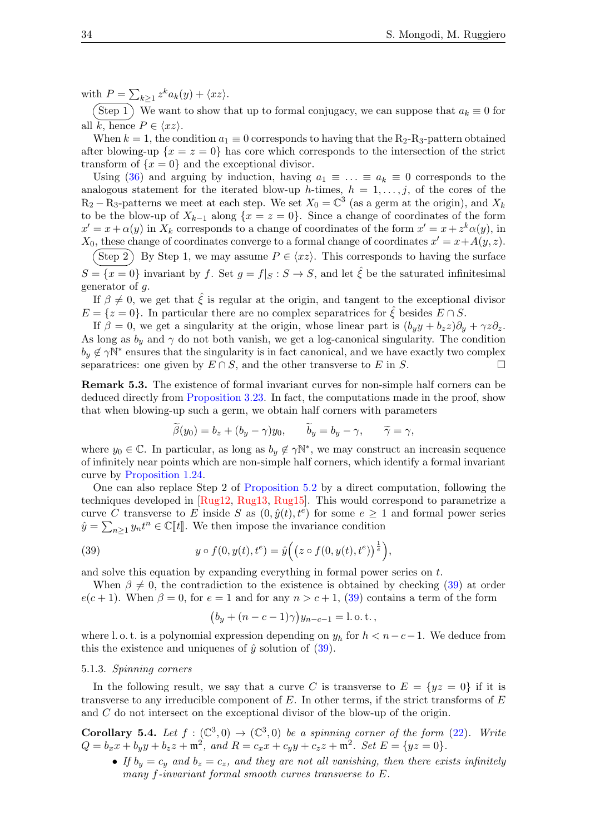with  $P = \sum_{k \geq 1} z^k a_k(y) + \langle xz \rangle$ .

 $(\text{Step 1})$  We want to show that up to formal conjugacy, we can suppose that  $a_k \equiv 0$  for all  $\overline{k}$ , hence  $P \in \langle xz \rangle$ .

When  $k = 1$ , the condition  $a_1 \equiv 0$  corresponds to having that the R<sub>2</sub>-R<sub>3</sub>-pattern obtained after blowing-up  $\{x = z = 0\}$  has core which corresponds to the intersection of the strict transform of  $\{x=0\}$  and the exceptional divisor.

Using [\(36\)](#page-31-2) and arguing by induction, having  $a_1 \equiv \ldots \equiv a_k \equiv 0$  corresponds to the analogous statement for the iterated blow-up h-times,  $h = 1, \ldots, j$ , of the cores of the  $R_2 - R_3$ -patterns we meet at each step. We set  $X_0 = \mathbb{C}^3$  (as a germ at the origin), and  $X_k$ to be the blow-up of  $X_{k-1}$  along  $\{x = z = 0\}$ . Since a change of coordinates of the form  $x' = x + \alpha(y)$  in  $X_k$  corresponds to a change of coordinates of the form  $x' = x + z^k \alpha(y)$ , in  $X_0$ , these change of coordinates converge to a formal change of coordinates  $x' = x + A(y, z)$ .

 $(\text{Step 2})$  By Step 1, we may assume  $P \in \langle xz \rangle$ . This corresponds to having the surface  $S = \{x = 0\}$  invariant by f. Set  $g = f|_S : S \to S$ , and let  $\hat{\xi}$  be the saturated infinitesimal generator of g.

If  $\beta \neq 0$ , we get that  $\hat{\xi}$  is regular at the origin, and tangent to the exceptional divisor  $E = \{z = 0\}$ . In particular there are no complex separatrices for  $\xi$  besides  $E \cap S$ .

If  $\beta = 0$ , we get a singularity at the origin, whose linear part is  $(b_uy + b_zz)\partial_y + \gamma z\partial_z$ . As long as  $b_y$  and  $\gamma$  do not both vanish, we get a log-canonical singularity. The condition  $b_y \notin \gamma \mathbb{N}^*$  ensures that the singularity is in fact canonical, and we have exactly two complex separatrices: one given by  $E \cap S$ , and the other transverse to E in S.

<span id="page-33-2"></span>Remark 5.3. The existence of formal invariant curves for non-simple half corners can be deduced directly from [Proposition 3.23.](#page-27-0) In fact, the computations made in the proof, show that when blowing-up such a germ, we obtain half corners with parameters

$$
\widetilde{\beta}(y_0) = b_z + (b_y - \gamma)y_0, \qquad \widetilde{b}_y = b_y - \gamma, \qquad \widetilde{\gamma} = \gamma,
$$

where  $y_0 \in \mathbb{C}$ . In particular, as long as  $b_y \notin \gamma \mathbb{N}^*$ , we may construct an increasin sequence of infinitely near points which are non-simple half corners, which identify a formal invariant curve by [Proposition 1.24.](#page-9-1)

One can also replace Step 2 of [Proposition 5.2](#page-32-1) by a direct computation, following the techniques developed in [\[Rug12,](#page-41-18) [Rug13,](#page-41-19) [Rug15\]](#page-41-20). This would correspond to parametrize a curve C transverse to E inside S as  $(0, \hat{y}(t), t^e)$  for some  $e \geq 1$  and formal power series  $\hat{y} = \sum_{n \geq 1} y_n t^n \in \mathbb{C}[\![t]\!]$ . We then impose the invariance condition

(39) 
$$
y \circ f(0, y(t), t^e) = \hat{y}\Big( \big(z \circ f(0, y(t), t^e)\big)^{\frac{1}{e}} \Big),
$$

and solve this equation by expanding everything in formal power series on t.

When  $\beta \neq 0$ , the contradiction to the existence is obtained by checking [\(39\)](#page-33-0) at order  $e(c+1)$ . When  $\beta = 0$ , for  $e = 1$  and for any  $n > c+1$ , [\(39\)](#page-33-0) contains a term of the form

<span id="page-33-0"></span>
$$
(b_y + (n - c - 1)\gamma)y_{n-c-1} = 1
$$
 o. t.,

where l. o.t. is a polynomial expression depending on  $y_h$  for  $h < n-c-1$ . We deduce from this the existence and uniquenes of  $\hat{y}$  solution of [\(39\)](#page-33-0).

### 5.1.3. Spinning corners

In the following result, we say that a curve C is transverse to  $E = \{yz = 0\}$  if it is transverse to any irreducible component of  $E$ . In other terms, if the strict transforms of  $E$ and C do not intersect on the exceptional divisor of the blow-up of the origin.

<span id="page-33-1"></span>**Corollary 5.4.** Let  $f : (\mathbb{C}^3, 0) \to (\mathbb{C}^3, 0)$  be a spinning corner of the form [\(22\)](#page-19-2). Write  $Q = b_x x + b_y y + b_z z + \mathfrak{m}^2$ , and  $R = c_x x + c_y y + c_z z + \mathfrak{m}^2$ . Set  $E = \{yz = 0\}$ .

• If  $b_y = c_y$  and  $b_z = c_z$ , and they are not all vanishing, then there exists infinitely many f-invariant formal smooth curves transverse to E.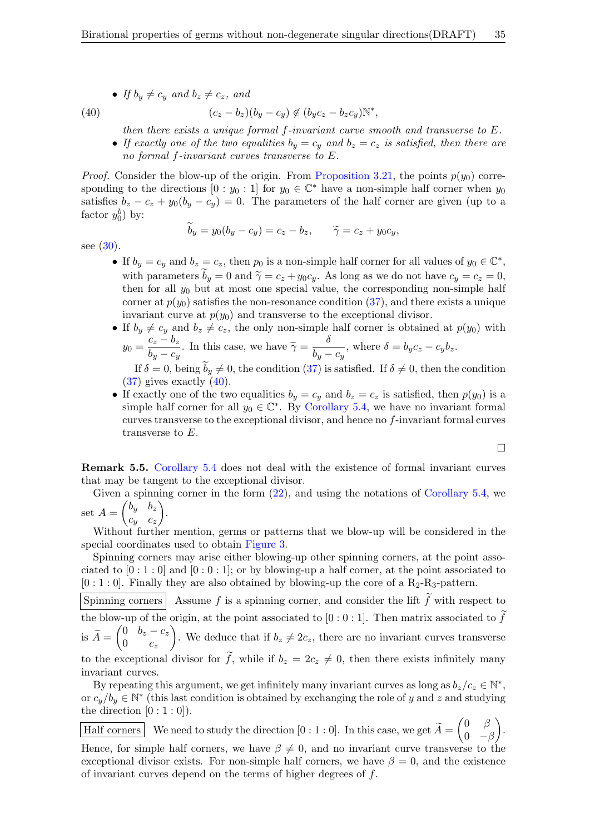• If  $b_y \neq c_y$  and  $b_z \neq c_z$ , and

(40) 
$$
(c_z-b_z)(b_y-c_y) \notin (b_yc_z-b_zc_y)\mathbb{N}^*,
$$

<span id="page-34-0"></span>then there exists a unique formal f-invariant curve smooth and transverse to E.

• If exactly one of the two equalities  $b_y = c_y$  and  $b_z = c_z$  is satisfied, then there are no formal f-invariant curves transverse to E.

*Proof.* Consider the blow-up of the origin. From [Proposition 3.21,](#page-25-0) the points  $p(y_0)$  corresponding to the directions  $[0:y_0:1]$  for  $y_0 \in \mathbb{C}^*$  have a non-simple half corner when  $y_0$ satisfies  $b_z - c_z + y_0(b_y - c_y) = 0$ . The parameters of the half corner are given (up to a factor  $y_0^b$ ) by:

$$
b_y = y_0(b_y - c_y) = c_z - b_z, \qquad \widetilde{\gamma} = c_z + y_0 c_y,
$$

see [\(30\)](#page-27-1).

- If  $b_y = c_y$  and  $b_z = c_z$ , then  $p_0$  is a non-simple half corner for all values of  $y_0 \in \mathbb{C}^*$ , with parameters  $b_y = 0$  and  $\tilde{\gamma} = c_z + y_0 c_y$ . As long as we do not have  $c_y = c_z = 0$ , then for all  $y_0$  but at most one special value, the corresponding non-simple half corner at  $p(y_0)$  satisfies the non-resonance condition  $(37)$ , and there exists a unique invariant curve at  $p(y_0)$  and transverse to the exceptional divisor.
- If  $b_y \neq c_y$  and  $b_z \neq c_z$ , the only non-simple half corner is obtained at  $p(y_0)$  with  $y_0 = \frac{c_z - b_z}{b_z}$  $\frac{c_z - b_z}{b_y - c_y}$ . In this case, we have  $\widetilde{\gamma} = \frac{\delta}{b_y - c_y}$  $\frac{\partial}{\partial y - c_y}$ , where  $\delta = b_y c_z - c_y b_z$ .

If  $\delta = 0$ , being  $b_y \neq 0$ , the condition [\(37\)](#page-32-2) is satisfied. If  $\delta \neq 0$ , then the condition  $(37)$  gives exactly  $(40)$ .

• If exactly one of the two equalities  $b_y = c_y$  and  $b_z = c_z$  is satisfied, then  $p(y_0)$  is a simple half corner for all  $y_0 \in \mathbb{C}^*$ . By [Corollary 5.4,](#page-33-1) we have no invariant formal curves transverse to the exceptional divisor, and hence no f-invariant formal curves transverse to E.

$$
\Box
$$

<span id="page-34-1"></span>Remark 5.5. [Corollary 5.4](#page-33-1) does not deal with the existence of formal invariant curves that may be tangent to the exceptional divisor.

Given a spinning corner in the form  $(22)$ , and using the notations of [Corollary 5.4,](#page-33-1) we set  $A = \begin{pmatrix} b_y & b_z \end{pmatrix}$ .

 $c_y$   $c_z$ Without further mention, germs or patterns that we blow-up will be considered in the special coordinates used to obtain [Figure 3.](#page-32-0)

Spinning corners may arise either blowing-up other spinning corners, at the point associated to  $[0:1:0]$  and  $[0:0:1]$ ; or by blowing-up a half corner, at the point associated to  $[0:1:0]$ . Finally they are also obtained by blowing-up the core of a R<sub>2</sub>-R<sub>3</sub>-pattern.

Spinning corners Assume f is a spinning corner, and consider the lift  $\tilde{f}$  with respect to the blow-up of the origin, at the point associated to [0 : 0 : 1]. Then matrix associated to  $\tilde{f}$ is  $\widetilde{A} = \begin{pmatrix} 0 & b_z - c_z \\ 0 & c_z \end{pmatrix}$  $0 \quad c_z$ ). We deduce that if  $b_z \neq 2c_z$ , there are no invariant curves transverse to the exceptional divisor for  $\tilde{f}$ , while if  $b_z = 2c_z \neq 0$ , then there exists infinitely many invariant curves.

By repeating this argument, we get infinitely many invariant curves as long as  $b_z/c_z \in \mathbb{N}^*$ , or  $c_y/b_y \in \mathbb{N}^*$  (this last condition is obtained by exchanging the role of y and z and studying the direction  $[0:1:0]$ ).

Half corners We need to study the direction  $[0:1:0]$ . In this case, we get  $\widetilde{A} = \begin{pmatrix} 0 & \beta \\ 0 & -\beta \end{pmatrix}$  $0 - \beta$  $\big).$ Hence, for simple half corners, we have  $\beta \neq 0$ , and no invariant curve transverse to the exceptional divisor exists. For non-simple half corners, we have  $\beta = 0$ , and the existence of invariant curves depend on the terms of higher degrees of f.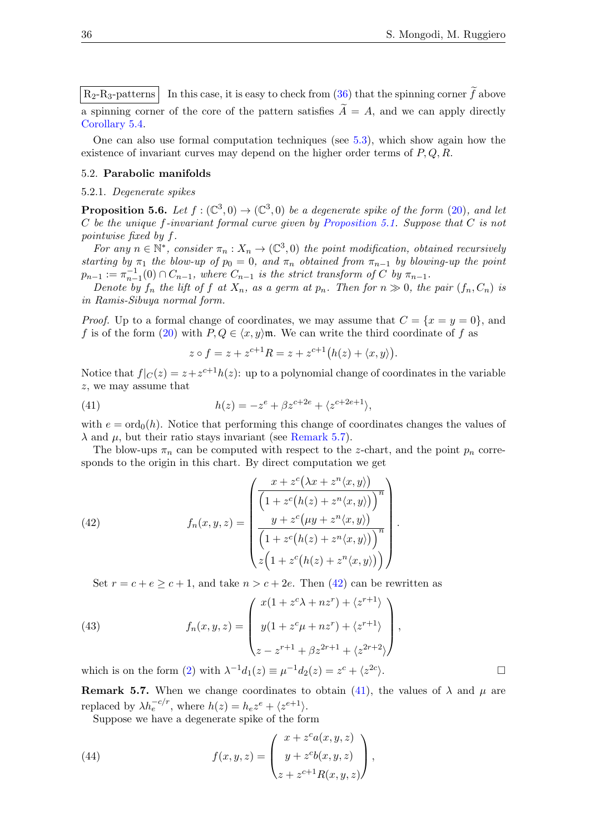$R_2-R_3$ -patterns In this case, it is easy to check from [\(36\)](#page-31-2) that the spinning corner  $\tilde{f}$  above a spinning corner of the core of the pattern satisfies  $\widetilde{A} = A$ , and we can apply directly [Corollary 5.4.](#page-33-1)

One can also use formal computation techniques (see [5.3\)](#page-33-2), which show again how the existence of invariant curves may depend on the higher order terms of  $P, Q, R$ .

# 5.2. Parabolic manifolds

### 5.2.1. Degenerate spikes

<span id="page-35-3"></span>**Proposition 5.6.** Let  $f : (\mathbb{C}^3, 0) \to (\mathbb{C}^3, 0)$  be a degenerate spike of the form [\(20\)](#page-18-1), and let C be the unique f-invariant formal curve given by [Proposition 5.1.](#page-31-3) Suppose that C is not pointwise fixed by f.

For any  $n \in \mathbb{N}^*$ , consider  $\pi_n : X_n \to (\mathbb{C}^3, 0)$  the point modification, obtained recursively starting by  $\pi_1$  the blow-up of  $p_0 = 0$ , and  $\pi_n$  obtained from  $\pi_{n-1}$  by blowing-up the point  $p_{n-1} := \pi_{n-1}^{-1}(0) \cap C_{n-1}$ , where  $C_{n-1}$  is the strict transform of C by  $\pi_{n-1}$ .

Denote by  $f_n$  the lift of f at  $X_n$ , as a germ at  $p_n$ . Then for  $n \gg 0$ , the pair  $(f_n, C_n)$  is in Ramis-Sibuya normal form.

*Proof.* Up to a formal change of coordinates, we may assume that  $C = \{x = y = 0\}$ , and f is of the form [\(20\)](#page-18-1) with  $P, Q \in \langle x, y \rangle \mathfrak{m}$ . We can write the third coordinate of f as

<span id="page-35-2"></span>
$$
z \circ f = z + z^{c+1}R = z + z^{c+1}(h(z) + \langle x, y \rangle).
$$

Notice that  $f|_{C}(z) = z + z^{c+1}h(z)$ : up to a polynomial change of coordinates in the variable z, we may assume that

(41) 
$$
h(z) = -z^{e} + \beta z^{c+2e} + \langle z^{c+2e+1} \rangle,
$$

with  $e = \text{ord}_0(h)$ . Notice that performing this change of coordinates changes the values of  $\lambda$  and  $\mu$ , but their ratio stays invariant (see [Remark 5.7\)](#page-35-0).

The blow-ups  $\pi_n$  can be computed with respect to the z-chart, and the point  $p_n$  corresponds to the origin in this chart. By direct computation we get

<span id="page-35-1"></span>(42) 
$$
f_n(x, y, z) = \begin{pmatrix} \frac{x + z^c(\lambda x + z^n \langle x, y \rangle)}{\left(1 + z^c(h(z) + z^n \langle x, y \rangle)\right)^n} \\ \frac{y + z^c(\mu y + z^n \langle x, y \rangle)}{\left(1 + z^c(h(z) + z^n \langle x, y \rangle)\right)^n} \\ z\left(1 + z^c(h(z) + z^n \langle x, y \rangle)\right) \end{pmatrix}.
$$

<span id="page-35-4"></span>Set  $r = c + e \geq c + 1$ , and take  $n > c + 2e$ . Then [\(42\)](#page-35-1) can be rewritten as

(43) 
$$
f_n(x, y, z) = \begin{pmatrix} x(1 + z^c \lambda + nz^r) + \langle z^{r+1} \rangle \\ y(1 + z^c \mu + nz^r) + \langle z^{r+1} \rangle \\ z - z^{r+1} + \beta z^{2r+1} + \langle z^{2r+2} \rangle \end{pmatrix},
$$

which is on the form [\(2\)](#page-10-1) with  $\lambda^{-1}d_1(z) \equiv \mu^{-1}d_2(z) = z^c + \langle z^{2c} \rangle$ 

<span id="page-35-0"></span>**Remark 5.7.** When we change coordinates to obtain [\(41\)](#page-35-2), the values of  $\lambda$  and  $\mu$  are replaced by  $\lambda h_e^{-c/r}$ , where  $h(z) = h_e z^e + \langle z^{e+1} \rangle$ .

Suppose we have a degenerate spike of the form

(44) 
$$
f(x, y, z) = \begin{pmatrix} x + z^c a(x, y, z) \\ y + z^c b(x, y, z) \\ z + z^{c+1} R(x, y, z) \end{pmatrix},
$$

).  $\Box$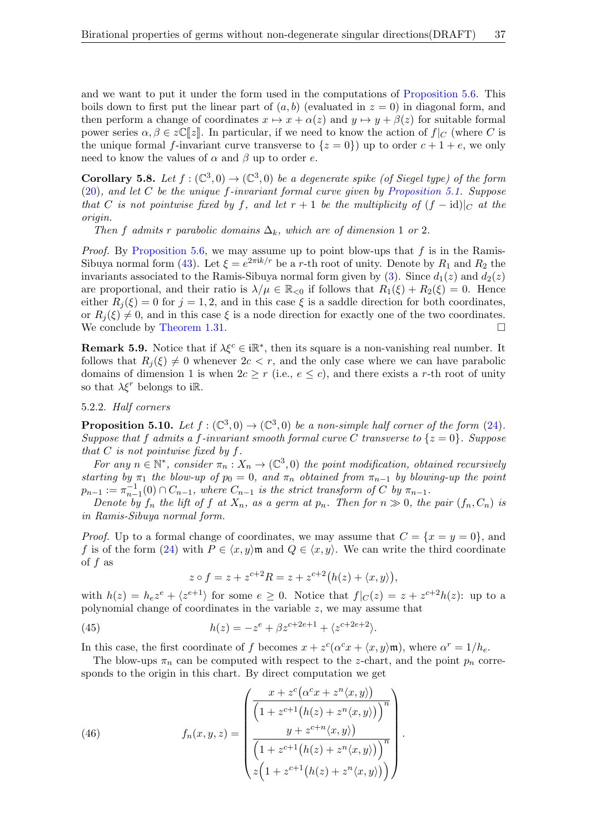and we want to put it under the form used in the computations of [Proposition 5.6.](#page-35-3) This boils down to first put the linear part of  $(a, b)$  (evaluated in  $z = 0$ ) in diagonal form, and then perform a change of coordinates  $x \mapsto x + \alpha(z)$  and  $y \mapsto y + \beta(z)$  for suitable formal power series  $\alpha, \beta \in \mathcal{Z}(\mathbb{Z}|\mathcal{Z})$ . In particular, if we need to know the action of  $f|_C$  (where C is the unique formal f-invariant curve transverse to  $\{z=0\}$  up to order  $c+1+e$ , we only need to know the values of  $\alpha$  and  $\beta$  up to order e.

<span id="page-36-2"></span>**Corollary 5.8.** Let  $f: (\mathbb{C}^3, 0) \to (\mathbb{C}^3, 0)$  be a degenerate spike (of Siegel type) of the form  $(20)$ , and let C be the unique f-invariant formal curve given by [Proposition 5.1.](#page-31-3) Suppose that C is not pointwise fixed by f, and let  $r + 1$  be the multiplicity of  $(f - id)|_C$  at the origin.

Then f admits r parabolic domains  $\Delta_k$ , which are of dimension 1 or 2.

*Proof.* By [Proposition 5.6,](#page-35-3) we may assume up to point blow-ups that  $f$  is in the Ramis-Sibuya normal form [\(43\)](#page-35-4). Let  $\xi = e^{2\pi i k/r}$  be a r-th root of unity. Denote by  $R_1$  and  $R_2$  the invariants associated to the Ramis-Sibuya normal form given by [\(3\)](#page-11-1). Since  $d_1(z)$  and  $d_2(z)$ are proportional, and their ratio is  $\lambda/\mu \in \mathbb{R}_{\leq 0}$  if follows that  $R_1(\xi) + R_2(\xi) = 0$ . Hence either  $R_i(\xi) = 0$  for  $j = 1, 2$ , and in this case  $\xi$  is a saddle direction for both coordinates, or  $R_i(\xi) \neq 0$ , and in this case  $\xi$  is a node direction for exactly one of the two coordinates. We conclude by [Theorem 1.31.](#page-11-2)

**Remark 5.9.** Notice that if  $\lambda \xi^c \in i\mathbb{R}^*$ , then its square is a non-vanishing real number. It follows that  $R_i(\xi) \neq 0$  whenever  $2c < r$ , and the only case where we can have parabolic domains of dimension 1 is when  $2c \geq r$  (i.e.,  $e \leq c$ ), and there exists a r-th root of unity so that  $\lambda \xi^r$  belongs to i $\mathbb{R}$ .

### <span id="page-36-3"></span>5.2.2. Half corners

<span id="page-36-1"></span>**Proposition 5.10.** Let  $f: (\mathbb{C}^3, 0) \to (\mathbb{C}^3, 0)$  be a non-simple half corner of the form [\(24\)](#page-20-0). Suppose that f admits a f-invariant smooth formal curve C transverse to  $\{z=0\}$ . Suppose that  $C$  is not pointwise fixed by  $f$ .

For any  $n \in \mathbb{N}^*$ , consider  $\pi_n : X_n \to (\mathbb{C}^3, 0)$  the point modification, obtained recursively starting by  $\pi_1$  the blow-up of  $p_0 = 0$ , and  $\pi_n$  obtained from  $\pi_{n-1}$  by blowing-up the point  $p_{n-1} := \pi_{n-1}^{-1}(0) \cap C_{n-1}$ , where  $C_{n-1}$  is the strict transform of C by  $\pi_{n-1}$ .

Denote by  $f_n$  the lift of f at  $X_n$ , as a germ at  $p_n$ . Then for  $n \gg 0$ , the pair  $(f_n, C_n)$  is in Ramis-Sibuya normal form.

*Proof.* Up to a formal change of coordinates, we may assume that  $C = \{x = y = 0\}$ , and f is of the form [\(24\)](#page-20-0) with  $P \in \langle x, y \rangle$  m and  $Q \in \langle x, y \rangle$ . We can write the third coordinate of  $f$  as

$$
z \circ f = z + z^{c+2}R = z + z^{c+2}(h(z) + \langle x, y \rangle),
$$

with  $h(z) = h_e z^e + \langle z^{e+1} \rangle$  for some  $e \geq 0$ . Notice that  $f|_{\mathcal{C}}(z) = z + z^{c+2} h(z)$ : up to a polynomial change of coordinates in the variable z, we may assume that

(45) 
$$
h(z) = -z^{e} + \beta z^{c+2e+1} + \langle z^{c+2e+2} \rangle.
$$

In this case, the first coordinate of f becomes  $x + z^c(\alpha^c x + \langle x, y \rangle \mathfrak{m})$ , where  $\alpha^r = 1/h_e$ .

The blow-ups  $\pi_n$  can be computed with respect to the z-chart, and the point  $p_n$  corresponds to the origin in this chart. By direct computation we get

<span id="page-36-0"></span>(46) 
$$
f_n(x,y,z) = \begin{pmatrix} \frac{x + z^c(\alpha^c x + z^n \langle x, y \rangle)}{\left(1 + z^{c+1}(h(z) + z^n \langle x, y \rangle)\right)^n} \\ \frac{y + z^{c+n} \langle x, y \rangle}{\left(1 + z^{c+1}(h(z) + z^n \langle x, y \rangle)\right)^n} \\ z\left(1 + z^{c+1}(h(z) + z^n \langle x, y \rangle)\right) \end{pmatrix}.
$$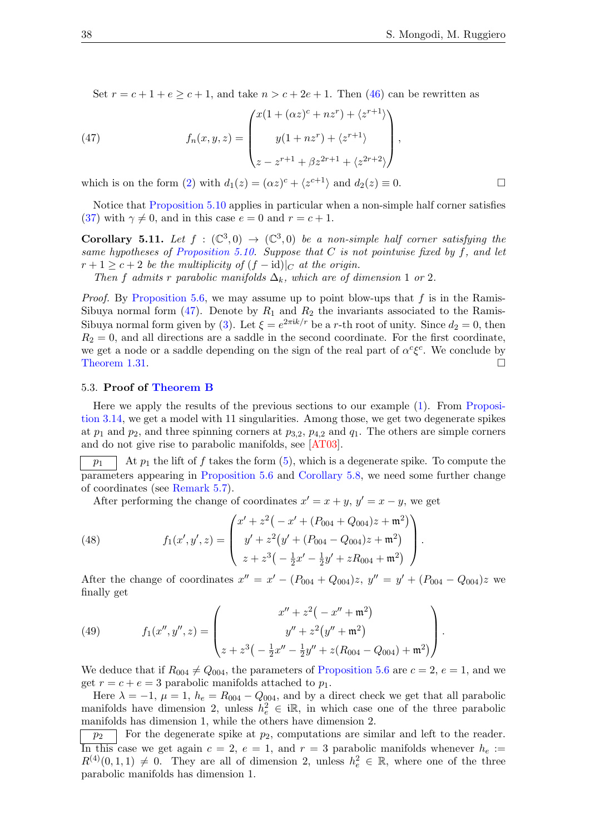<span id="page-37-0"></span>Set  $r = c + 1 + e > c + 1$ , and take  $n > c + 2e + 1$ . Then [\(46\)](#page-36-0) can be rewritten as

(47) 
$$
f_n(x, y, z) = \begin{pmatrix} x(1 + (\alpha z)^c + nz^r) + \langle z^{r+1} \rangle \\ y(1 + nz^r) + \langle z^{r+1} \rangle \\ z - z^{r+1} + \beta z^{2r+1} + \langle z^{2r+2} \rangle \end{pmatrix},
$$

which is on the form [\(2\)](#page-10-1) with  $d_1(z) = (\alpha z)^c + \langle z^{c+1} \rangle$  and  $d_2(z) \equiv 0$ .

Notice that [Proposition 5.10](#page-36-1) applies in particular when a non-simple half corner satisfies [\(37\)](#page-32-2) with  $\gamma \neq 0$ , and in this case  $e = 0$  and  $r = c + 1$ .

<span id="page-37-1"></span>**Corollary 5.11.** Let  $f : (\mathbb{C}^3, 0) \to (\mathbb{C}^3, 0)$  be a non-simple half corner satisfying the same hypotheses of [Proposition 5.10.](#page-36-1) Suppose that  $C$  is not pointwise fixed by  $f$ , and let  $r + 1 \geq c + 2$  be the multiplicity of  $(f - id)|_C$  at the origin.

Then f admits r parabolic manifolds  $\Delta_k$ , which are of dimension 1 or 2.

*Proof.* By [Proposition 5.6,](#page-35-3) we may assume up to point blow-ups that  $f$  is in the Ramis-Sibuya normal form  $(47)$ . Denote by  $R_1$  and  $R_2$  the invariants associated to the Ramis-Sibuya normal form given by [\(3\)](#page-11-1). Let  $\xi = e^{2\pi i k/r}$  be a r-th root of unity. Since  $d_2 = 0$ , then  $R_2 = 0$ , and all directions are a saddle in the second coordinate. For the first coordinate, we get a node or a saddle depending on the sign of the real part of  $\alpha^c \xi^c$ . We conclude by [Theorem 1.31.](#page-11-2)  $\Box$ 

## 5.3. Proof of [Theorem B](#page-2-0)

Here we apply the results of the previous sections to our example [\(1\)](#page-1-0). From [Proposi](#page-22-0)[tion 3.14,](#page-22-0) we get a model with 11 singularities. Among those, we get two degenerate spikes at  $p_1$  and  $p_2$ , and three spinning corners at  $p_{3,2}$ ,  $p_{4,2}$  and  $q_1$ . The others are simple corners and do not give rise to parabolic manifolds, see [\[AT03\]](#page-40-15).

 $\overline{p_1}$  At  $p_1$  the lift of f takes the form [\(5\)](#page-13-1), which is a degenerate spike. To compute the parameters appearing in [Proposition 5.6](#page-35-3) and [Corollary 5.8,](#page-36-2) we need some further change of coordinates (see [Remark 5.7\)](#page-35-0).

After performing the change of coordinates  $x' = x + y$ ,  $y' = x - y$ , we get

(48) 
$$
f_1(x', y', z) = \begin{pmatrix} x' + z^2(-x' + (P_{004} + Q_{004})z + \mathfrak{m}^2) \\ y' + z^2(y' + (P_{004} - Q_{004})z + \mathfrak{m}^2) \\ z + z^3(-\frac{1}{2}x' - \frac{1}{2}y' + zR_{004} + \mathfrak{m}^2) \end{pmatrix}.
$$

After the change of coordinates  $x'' = x' - (P_{004} + Q_{004})z$ ,  $y'' = y' + (P_{004} - Q_{004})z$  we finally get

(49) 
$$
f_1(x'', y'', z) = \begin{pmatrix} x'' + z^2(-x'' + \mathfrak{m}^2) \\ y'' + z^2(y'' + \mathfrak{m}^2) \\ z + z^3(-\frac{1}{2}x'' - \frac{1}{2}y'' + z(R_{004} - Q_{004}) + \mathfrak{m}^2) \end{pmatrix}.
$$

We deduce that if  $R_{004} \neq Q_{004}$ , the parameters of [Proposition 5.6](#page-35-3) are  $c = 2$ ,  $e = 1$ , and we get  $r = c + e = 3$  parabolic manifolds attached to  $p_1$ .

Here  $\lambda = -1$ ,  $\mu = 1$ ,  $h_e = R_{004} - Q_{004}$ , and by a direct check we get that all parabolic manifolds have dimension 2, unless  $h_e^2 \in \mathbb{R}$ , in which case one of the three parabolic manifolds has dimension 1, while the others have dimension 2.

 $\overline{p_2}$  For the degenerate spike at  $p_2$ , computations are similar and left to the reader. In this case we get again  $c = 2$ ,  $e = 1$ , and  $r = 3$  parabolic manifolds whenever  $h_e :=$  $R^{(4)}(0,1,1) \neq 0$ . They are all of dimension 2, unless  $h_e^2 \in \mathbb{R}$ , where one of the three parabolic manifolds has dimension 1.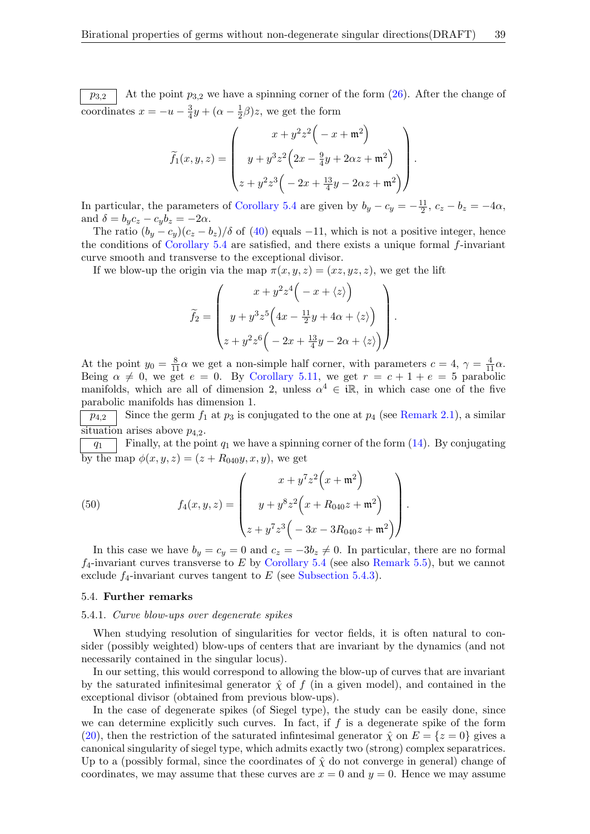$\overline{p_{3,2}}$  At the point  $p_{3,2}$  we have a spinning corner of the form  $(26)$ . After the change of coordinates  $x = -u - \frac{3}{4}$  $\frac{3}{4}y + (\alpha - \frac{1}{2})$  $(\frac{1}{2}\beta)z$ , we get the form

$$
\widetilde{f}_1(x, y, z) = \begin{pmatrix} x + y^2 z^2 \left( -x + \mathfrak{m}^2 \right) \\ y + y^3 z^2 \left( 2x - \frac{9}{4}y + 2\alpha z + \mathfrak{m}^2 \right) \\ z + y^2 z^3 \left( -2x + \frac{13}{4}y - 2\alpha z + \mathfrak{m}^2 \right) \end{pmatrix}.
$$

In particular, the parameters of [Corollary 5.4](#page-33-1) are given by  $b_y - c_y = -\frac{11}{2}$  $\frac{11}{2}$ ,  $c_z - b_z = -4\alpha$ , and  $\delta = b_y c_z - c_y b_z = -2\alpha$ .

The ratio  $(b_y - c_y)(c_z - b_z)/\delta$  of [\(40\)](#page-34-0) equals -11, which is not a positive integer, hence the conditions of Corollary  $5.4$  are satisfied, and there exists a unique formal f-invariant curve smooth and transverse to the exceptional divisor.

If we blow-up the origin via the map  $\pi(x, y, z) = (xz, yz, z)$ , we get the lift

$$
\widetilde{f}_2 = \begin{pmatrix} x + y^2 z^4 \left( -x + \langle z \rangle \right) \\ y + y^3 z^5 \left( 4x - \frac{11}{2}y + 4\alpha + \langle z \rangle \right) \\ z + y^2 z^6 \left( -2x + \frac{13}{4}y - 2\alpha + \langle z \rangle \right) \end{pmatrix}
$$

.

At the point  $y_0 = \frac{8}{11}\alpha$  we get a non-simple half corner, with parameters  $c = 4$ ,  $\gamma = \frac{4}{11}\alpha$ . Being  $\alpha \neq 0$ , we get  $e = 0$ . By [Corollary 5.11,](#page-37-1) we get  $r = c + 1 + e = 5$  parabolic manifolds, which are all of dimension 2, unless  $\alpha^4 \in \mathbb{R}$ , in which case one of the five parabolic manifolds has dimension 1.

 $p_{4,2}$  | Since the germ  $f_1$  at  $p_3$  is conjugated to the one at  $p_4$  (see [Remark 2.1\)](#page-12-0), a similar situation arises above  $p_{4,2}$ .

 $\boxed{q_1}$  Finally, at the point  $q_1$  we have a spinning corner of the form [\(14\)](#page-15-2). By conjugating by the map  $\phi(x, y, z) = (z + R_{040}y, x, y)$ , we get

(50) 
$$
f_4(x, y, z) = \begin{pmatrix} x + y^7 z^2 (x + \mathfrak{m}^2) \\ y + y^8 z^2 (x + R_{040} z + \mathfrak{m}^2) \\ z + y^7 z^3 (-3x - 3R_{040} z + \mathfrak{m}^2) \end{pmatrix}.
$$

In this case we have  $b_y = c_y = 0$  and  $c_z = -3b_z \neq 0$ . In particular, there are no formal  $f_4$ -invariant curves transverse to E by [Corollary 5.4](#page-33-1) (see also [Remark 5.5\)](#page-34-1), but we cannot exclude  $f_4$ -invariant curves tangent to  $E$  (see [Subsection 5.4.3\)](#page-40-17).

### 5.4. Further remarks

## 5.4.1. Curve blow-ups over degenerate spikes

When studying resolution of singularities for vector fields, it is often natural to consider (possibly weighted) blow-ups of centers that are invariant by the dynamics (and not necessarily contained in the singular locus).

In our setting, this would correspond to allowing the blow-up of curves that are invariant by the saturated infinitesimal generator  $\hat{\chi}$  of f (in a given model), and contained in the exceptional divisor (obtained from previous blow-ups).

In the case of degenerate spikes (of Siegel type), the study can be easily done, since we can determine explicitly such curves. In fact, if  $f$  is a degenerate spike of the form [\(20\)](#page-18-1), then the restriction of the saturated infinitesimal generator  $\hat{\chi}$  on  $E = \{z = 0\}$  gives a canonical singularity of siegel type, which admits exactly two (strong) complex separatrices. Up to a (possibly formal, since the coordinates of  $\hat{\chi}$  do not converge in general) change of coordinates, we may assume that these curves are  $x = 0$  and  $y = 0$ . Hence we may assume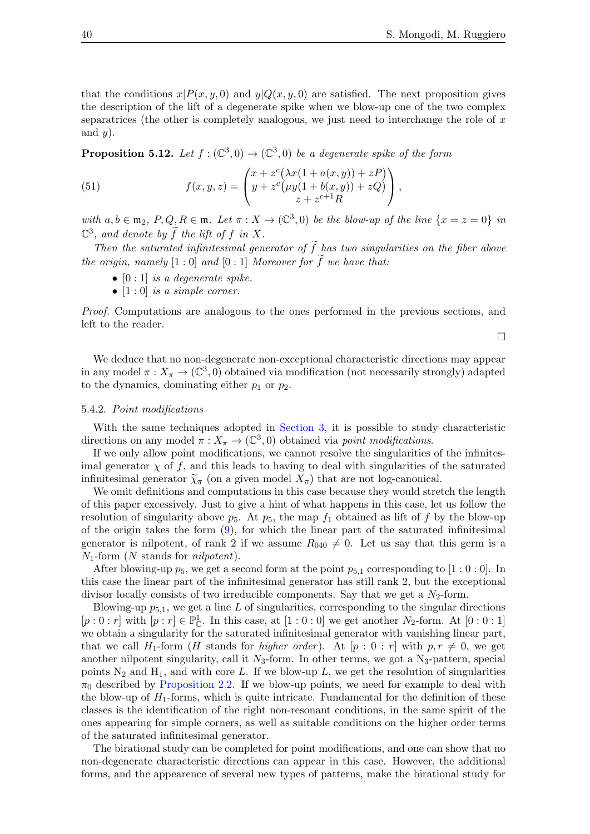$\Box$ 

that the conditions  $x|P(x, y, 0)$  and  $y|Q(x, y, 0)$  are satisfied. The next proposition gives the description of the lift of a degenerate spike when we blow-up one of the two complex separatrices (the other is completely analogous, we just need to interchange the role of  $x$ and  $y$ ).

<span id="page-39-0"></span>**Proposition 5.12.** Let  $f: (\mathbb{C}^3, 0) \to (\mathbb{C}^3, 0)$  be a degenerate spike of the form

(51) 
$$
f(x,y,z) = \begin{pmatrix} x + z^c (\lambda x (1 + a(x,y)) + zP) \\ y + z^c (\mu y (1 + b(x,y)) + zQ) \\ z + z^{c+1} R \end{pmatrix},
$$

with  $a, b \in \mathfrak{m}_2$ ,  $P, Q, R \in \mathfrak{m}$ . Let  $\pi : X \to (\mathbb{C}^3, 0)$  be the blow-up of the line  $\{x = z = 0\}$  in  $\mathbb{C}^3$ , and denote by  $\widetilde{f}$  the lift of f in X.

Then the saturated infinitesimal generator of  $\tilde{f}$  has two singularities on the fiber above the origin, namely  $[1:0]$  and  $[0:1]$  Moreover for f we have that:

- $[0:1]$  is a degenerate spike.
- $[1:0]$  is a simple corner.

Proof. Computations are analogous to the ones performed in the previous sections, and left to the reader.

We deduce that no non-degenerate non-exceptional characteristic directions may appear in any model  $\pi: X_{\pi} \to (\mathbb{C}^3, 0)$  obtained via modification (not necessarily strongly) adapted to the dynamics, dominating either  $p_1$  or  $p_2$ .

## <span id="page-39-1"></span>5.4.2. Point modifications

With the same techniques adopted in [Section 3,](#page-18-0) it is possible to study characteristic directions on any model  $\pi: X_{\pi} \to (\mathbb{C}^3, 0)$  obtained via point modifications.

If we only allow point modifications, we cannot resolve the singularities of the infinitesimal generator  $\chi$  of f, and this leads to having to deal with singularities of the saturated infinitesimal generator  $\widetilde{\chi}_{\pi}$  (on a given model  $X_{\pi}$ ) that are not log-canonical.

We omit definitions and computations in this case because they would stretch the length of this paper excessively. Just to give a hint of what happens in this case, let us follow the resolution of singularity above  $p_5$ . At  $p_5$ , the map  $f_1$  obtained as lift of f by the blow-up of the origin takes the form  $(9)$ , for which the linear part of the saturated infinitesimal generator is nilpotent, of rank 2 if we assume  $R_{040} \neq 0$ . Let us say that this germ is a  $N_1$ -form (N stands for *nilpotent*).

After blowing-up  $p_5$ , we get a second form at the point  $p_{5,1}$  corresponding to [1 : 0 : 0]. In this case the linear part of the infinitesimal generator has still rank 2, but the exceptional divisor locally consists of two irreducible components. Say that we get a  $N_2$ -form.

Blowing-up  $p_{5,1}$ , we get a line L of singularities, corresponding to the singular directions  $[p:0:r]$  with  $[p:r] \in \mathbb{P}_{\mathbb{C}}^1$ . In this case, at  $[1:0:0]$  we get another  $N_2$ -form. At  $[0:0:1]$ we obtain a singularity for the saturated infinitesimal generator with vanishing linear part, that we call H<sub>1</sub>-form (H stands for *higher order*). At  $[p:0:r]$  with  $p, r \neq 0$ , we get another nilpotent singularity, call it  $N_3$ -form. In other terms, we got a  $N_3$ -pattern, special points  $N_2$  and  $H_1$ , and with core L. If we blow-up L, we get the resolution of singularities  $\pi_0$  described by [Proposition 2.2.](#page-17-0) If we blow-up points, we need for example to deal with the blow-up of  $H_1$ -forms, which is quite intricate. Fundamental for the definition of these classes is the identification of the right non-resonant conditions, in the same spirit of the ones appearing for simple corners, as well as suitable conditions on the higher order terms of the saturated infinitesimal generator.

The birational study can be completed for point modifications, and one can show that no non-degenerate characteristic directions can appear in this case. However, the additional forms, and the appearence of several new types of patterns, make the birational study for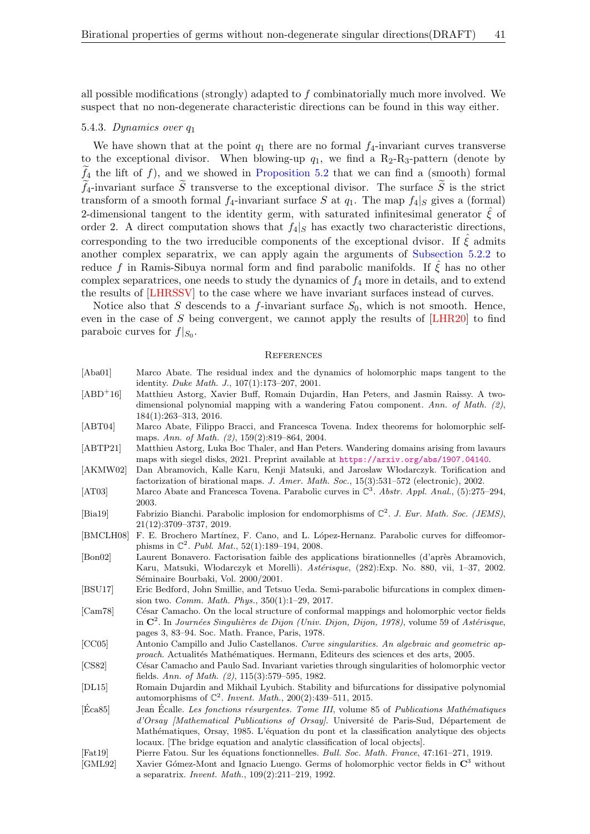all possible modifications (strongly) adapted to f combinatorially much more involved. We suspect that no non-degenerate characteristic directions can be found in this way either.

## <span id="page-40-17"></span>5.4.3. Dynamics over q<sup>1</sup>

We have shown that at the point  $q_1$  there are no formal  $f_4$ -invariant curves transverse to the exceptional divisor. When blowing-up  $q_1$ , we find a R<sub>2</sub>-R<sub>3</sub>-pattern (denote by  $f_4$  the lift of f), and we showed in [Proposition 5.2](#page-32-1) that we can find a (smooth) formal  $\widetilde{f}_4$ -invariant surface  $\widetilde{S}$  transverse to the exceptional divisor. The surface  $\widetilde{S}$  is the strict transform of a smooth formal  $f_4$ -invariant surface S at  $q_1$ . The map  $f_4|_S$  gives a (formal) 2-dimensional tangent to the identity germ, with saturated infinitesimal generator  $\hat{\xi}$  of order 2. A direct computation shows that  $f_4|_S$  has exactly two characteristic directions, corresponding to the two irreducible components of the exceptional dvisor. If  $\xi$  admits another complex separatrix, we can apply again the arguments of [Subsection 5.2.2](#page-36-3) to reduce f in Ramis-Sibuya normal form and find parabolic manifolds. If  $\hat{\xi}$  has no other complex separatrices, one needs to study the dynamics of  $f_4$  more in details, and to extend the results of [\[LHRSSV\]](#page-41-16) to the case where we have invariant surfaces instead of curves.

Notice also that S descends to a f-invariant surface  $S_0$ , which is not smooth. Hence, even in the case of S being convergent, we cannot apply the results of [\[LHR20\]](#page-41-11) to find paraboic curves for  $f|_{S_0}$ .

### **REFERENCES**

<span id="page-40-16"></span><span id="page-40-15"></span><span id="page-40-14"></span><span id="page-40-13"></span><span id="page-40-12"></span><span id="page-40-11"></span><span id="page-40-10"></span><span id="page-40-9"></span><span id="page-40-8"></span><span id="page-40-7"></span><span id="page-40-6"></span><span id="page-40-5"></span><span id="page-40-4"></span><span id="page-40-3"></span><span id="page-40-2"></span><span id="page-40-1"></span><span id="page-40-0"></span>

| [Aba01]          | Marco Abate. The residual index and the dynamics of holomorphic maps tangent to the<br>identity. Duke Math. J., 107(1):173-207, 2001.                                                                                                                                                                                                                         |
|------------------|---------------------------------------------------------------------------------------------------------------------------------------------------------------------------------------------------------------------------------------------------------------------------------------------------------------------------------------------------------------|
| $[ABD+16]$       | Matthieu Astorg, Xavier Buff, Romain Dujardin, Han Peters, and Jasmin Raissy. A two-<br>dimensional polynomial mapping with a wandering Fatou component. Ann. of Math. $(2)$ ,<br>$184(1):263-313, 2016.$                                                                                                                                                     |
| [ABT04]          | Marco Abate, Filippo Bracci, and Francesca Tovena. Index theorems for holomorphic self-<br>maps. Ann. of Math. $(2)$ , 159 $(2)$ :819-864, 2004.                                                                                                                                                                                                              |
| [ABTP21]         | Matthieu Astorg, Luka Boc Thaler, and Han Peters. Wandering domains arising from lavaurs<br>maps with siegel disks, 2021. Preprint available at https://arxiv.org/abs/1907.04140.                                                                                                                                                                             |
| [AKMW02]         | Dan Abramovich, Kalle Karu, Kenji Matsuki, and Jarosław Włodarczyk. Torification and<br>factorization of birational maps. J. Amer. Math. Soc., 15(3):531-572 (electronic), 2002.                                                                                                                                                                              |
| [AT03]           | Marco Abate and Francesca Tovena. Parabolic curves in $\mathbb{C}^3$ . Abstr. Appl. Anal., (5):275-294,<br>2003.                                                                                                                                                                                                                                              |
| [Bia19]          | Fabrizio Bianchi. Parabolic implosion for endomorphisms of $\mathbb{C}^2$ . J. Eur. Math. Soc. (JEMS),<br>21(12):3709-3737, 2019.                                                                                                                                                                                                                             |
| [BMCLH08]        | F. E. Brochero Martínez, F. Cano, and L. López-Hernanz. Parabolic curves for diffeomor-<br>phisms in $\mathbb{C}^2$ . Publ. Mat., 52(1):189-194, 2008.                                                                                                                                                                                                        |
| [Bon02]          | Laurent Bonavero. Factorisation faible des applications birationnelles (d'après Abramovich,<br>Karu, Matsuki, Włodarczyk et Morelli). Astérisque, (282): Exp. No. 880, vii, 1-37, 2002.<br>Séminaire Bourbaki, Vol. 2000/2001.                                                                                                                                |
| [BSU17]          | Eric Bedford, John Smillie, and Tetsuo Ueda. Semi-parabolic bifurcations in complex dimen-<br>sion two. <i>Comm. Math. Phys.</i> , $350(1):1-29$ , 2017.                                                                                                                                                                                                      |
| [Cam 78]         | César Camacho. On the local structure of conformal mappings and holomorphic vector fields<br>in $\mathbb{C}^2$ . In Journées Singulières de Dijon (Univ. Dijon, Dijon, 1978), volume 59 of Astérisque,<br>pages 3, 83–94. Soc. Math. France, Paris, 1978.                                                                                                     |
| [CC05]           | Antonio Campillo and Julio Castellanos. Curve singularities. An algebraic and geometric ap-<br>proach. Actualités Mathématiques. Hermann, Editeurs des sciences et des arts, 2005.                                                                                                                                                                            |
| [CS82]           | César Camacho and Paulo Sad. Invariant varieties through singularities of holomorphic vector<br>fields. Ann. of Math. (2), 115(3):579-595, 1982.                                                                                                                                                                                                              |
| [DL15]           | Romain Dujardin and Mikhail Lyubich. Stability and bifurcations for dissipative polynomial<br>automorphisms of $\mathbb{C}^2$ . <i>Invent. Math.</i> , 200(2):439-511, 2015.                                                                                                                                                                                  |
| $[\text{Éca85}]$ | Jean Écalle. Les fonctions résurgentes. Tome III, volume 85 of Publications Mathématiques<br>d'Orsay [Mathematical Publications of Orsay]. Université de Paris-Sud, Département de<br>Mathématiques, Orsay, 1985. L'équation du pont et la classification analytique des objects<br>locaux. The bridge equation and analytic classification of local objects. |
| $[{\rm Fat}19]$  | Pierre Fatou. Sur les équations fonctionnelles. Bull. Soc. Math. France, 47:161-271, 1919.                                                                                                                                                                                                                                                                    |
| [GML92]          | Xavier Gómez-Mont and Ignacio Luengo. Germs of holomorphic vector fields in $\mathbb{C}^3$ without<br>a separatrix. <i>Invent. Math.</i> , $109(2):211-219$ , 1992.                                                                                                                                                                                           |